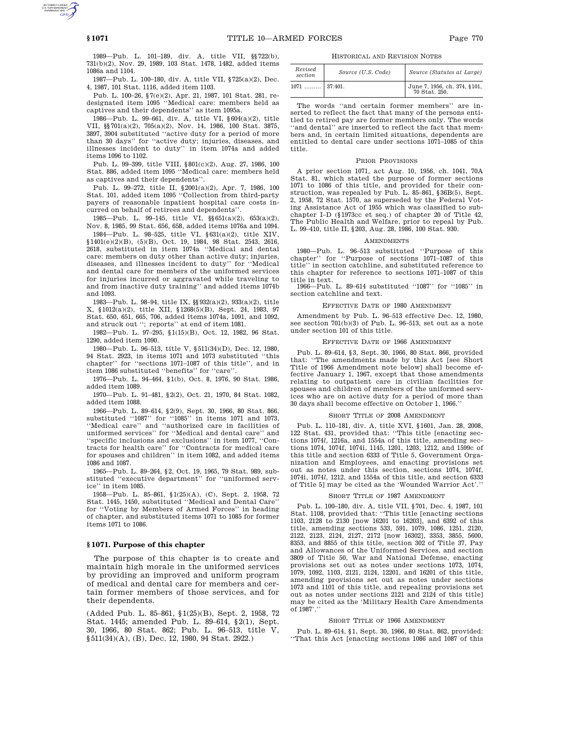1989—Pub. L. 101–189, div. A, title VII, §§722(b), 731(b)(2), Nov. 29, 1989, 103 Stat. 1478, 1482, added items 1086a and 1104.

1987—Pub. L. 100–180, div. A, title VII, §725(a)(2), Dec. 4, 1987, 101 Stat. 1116, added item 1103.

Pub. L. 100–26, §7(e)(2), Apr. 21, 1987, 101 Stat. 281, redesignated item 1095 ''Medical care: members held as captives and their dependents'' as item 1095a.

1986—Pub. L. 99–661, div. A, title VI, §604(a)(2), title VII, §§701(a)(2), 705(a)(2), Nov. 14, 1986, 100 Stat. 3875, 3897, 3904 substituted ''active duty for a period of more than 30 days'' for ''active duty; injuries, diseases, and illnesses incident to duty'' in item 1074a and added items 1096 to 1102.

Pub. L. 99–399, title VIII, §801(c)(2), Aug. 27, 1986, 100 Stat. 886, added item 1095 ''Medical care: members held as captives and their dependents''.

Pub. L. 99–272, title II, §2001(a)(2), Apr. 7, 1986, 100 Stat. 101, added item 1095 ''Collection from third-party payers of reasonable inpatient hospital care costs incurred on behalf of retirees and dependents''.

1985—Pub. L. 99–145, title VI, §§651(a)(2), 653(a)(2), Nov. 8, 1985, 99 Stat. 656, 658, added items 1076a and 1094.

1984—Pub. L. 98–525, title VI, §631(a)(2), title XIV, §1401(e)(2)(B), (5)(B), Oct. 19, 1984, 98 Stat. 2543, 2616, 2618, substituted in item 1074a ''Medical and dental care: members on duty other than active duty; injuries, diseases, and illnesses incident to duty'' for ''Medical and dental care for members of the uniformed services for injuries incurred or aggravated while traveling to and from inactive duty training'' and added items 1074b and 1093.

1983—Pub. L. 98–94, title IX, §§932(a)(2), 933(a)(2), title X, §1012(a)(2), title XII, §1268(5)(B), Sept. 24, 1983, 97 Stat. 650, 651, 665, 706, added items 1074a, 1091, and 1092, and struck out ''; reports'' at end of item 1081.

1982—Pub. L. 97–295, §1(15)(B), Oct. 12, 1982, 96 Stat. 1290, added item 1090.

1980—Pub. L. 96–513, title V, §511(34)(D), Dec. 12, 1980, 94 Stat. 2923, in items 1071 and 1073 substituted ''this chapter'' for ''sections 1071–1087 of this title'', and in item 1086 substituted ''benefits'' for ''care''.

1976—Pub. L. 94–464, §1(b), Oct. 8, 1976, 90 Stat. 1986, added item 1089.

1970—Pub. L. 91–481, §2(2), Oct. 21, 1970, 84 Stat. 1082, added item 1088.

1966—Pub. L. 89–614, §2(9), Sept. 30, 1966, 80 Stat. 866, substituted ''1087'' for ''1085'' in items 1071 and 1073, ''Medical care'' and ''authorized care in facilities of uniformed services'' for ''Medical and dental care'' and ''specific inclusions and exclusions'' in item 1077, ''Contracts for health care'' for ''Contracts for medical care for spouses and children'' in item 1082, and added items 1086 and 1087.

1965—Pub. L. 89–264, §2, Oct. 19, 1965, 79 Stat. 989, substituted ''executive department'' for ''uniformed service'' in item 1085.

1958—Pub. L. 85–861, §1(25)(A), (C), Sept. 2, 1958, 72 Stat. 1445, 1450, substituted ''Medical and Dental Care'' for ''Voting by Members of Armed Forces'' in heading of chapter, and substituted items 1071 to 1085 for former items 1071 to 1086.

#### **§ 1071. Purpose of this chapter**

The purpose of this chapter is to create and maintain high morale in the uniformed services by providing an improved and uniform program of medical and dental care for members and certain former members of those services, and for their dependents.

(Added Pub. L. 85–861, §1(25)(B), Sept. 2, 1958, 72 Stat. 1445; amended Pub. L. 89–614, §2(1), Sept. 30, 1966, 80 Stat. 862; Pub. L. 96–513, title V, §511(34)(A), (B), Dec. 12, 1980, 94 Stat. 2922.)

HISTORICAL AND REVISION NOTES

| Revised<br>section | Source (U.S. Code) | Source (Statutes at Large)                    |
|--------------------|--------------------|-----------------------------------------------|
| $1071$             | 137:401.           | June 7, 1956, ch. 374, §101,<br>70 Stat. 250. |

The words ''and certain former members'' are inserted to reflect the fact that many of the persons entitled to retired pay are former members only. The words 'and dental'' are inserted to reflect the fact that members and, in certain limited situations, dependents are entitled to dental care under sections 1071–1085 of this title.

#### PRIOR PROVISIONS

A prior section 1071, act Aug. 10, 1956, ch. 1041, 70A Stat. 81, which stated the purpose of former sections 1071 to 1086 of this title, and provided for their construction, was repealed by Pub. L. 85–861, §36B(5), Sept. 2, 1958, 72 Stat. 1570, as superseded by the Federal Voting Assistance Act of 1955 which was classified to subchapter I–D (§1973cc et seq.) of chapter 20 of Title 42, The Public Health and Welfare, prior to repeal by Pub. L. 99–410, title II, §203, Aug. 28, 1986, 100 Stat. 930.

#### AMENDMENTS

1980—Pub. L. 96–513 substituted ''Purpose of this chapter'' for ''Purpose of sections 1071–1087 of this title'' in section catchline, and substituted reference to this chapter for reference to sections 1071–1087 of this title in text.

1966—Pub. L. 89–614 substituted ''1087'' for ''1085'' in section catchline and text.

# EFFECTIVE DATE OF 1980 AMENDMENT

Amendment by Pub. L. 96–513 effective Dec. 12, 1980, see section 701(b)(3) of Pub. L. 96–513, set out as a note under section 101 of this title.

#### EFFECTIVE DATE OF 1966 AMENDMENT

Pub. L. 89–614, §3, Sept. 30, 1966, 80 Stat. 866, provided that: ''The amendments made by this Act [see Short Title of 1966 Amendment note below] shall become effective January 1, 1967, except that those amendments relating to outpatient care in civilian facilities for spouses and children of members of the uniformed services who are on active duty for a period of more than 30 days shall become effective on October 1, 1966.''

#### SHORT TITLE OF 2008 AMENDMENT

Pub. L. 110–181, div. A, title XVI, §1601, Jan. 28, 2008, 122 Stat. 431, provided that: ''This title [enacting sections 1074*l*, 1216a, and 1554a of this title, amending sections 1074, 1074f, 1074i, 1145, 1201, 1203, 1212, and 1599c of this title and section 6333 of Title 5, Government Organization and Employees, and enacting provisions set out as notes under this section, sections 1074, 1074f, 1074i, 1074*l*, 1212, and 1554a of this title, and section 6333 of Title 5] may be cited as the 'Wounded Warrior Act'.''

#### SHORT TITLE OF 1987 AMENDMENT

Pub. L. 100–180, div. A, title VII, §701, Dec. 4, 1987, 101 Stat. 1108, provided that: ''This title [enacting sections 1103, 2128 to 2130 [now 16201 to 16203], and 6392 of this title, amending sections 533, 591, 1079, 1086, 1251, 2120, 2122, 2123, 2124, 2127, 2172 [now 16302], 3353, 3855, 5600, 8353, and 8855 of this title, section 302 of Title 37, Pay and Allowances of the Uniformed Services, and section 3809 of Title 50, War and National Defense, enacting provisions set out as notes under sections 1073, 1074, 1079, 1092, 1103, 2121, 2124, 12201, and 16201 of this title, amending provisions set out as notes under sections 1073 and 1101 of this title, and repealing provisions set out as notes under sections 2121 and 2124 of this title] may be cited as the 'Military Health Care Amendments of 1987'.

#### SHORT TITLE OF 1966 AMENDMENT

Pub. L. 89–614, §1, Sept. 30, 1966, 80 Stat. 862, provided: ''That this Act [enacting sections 1086 and 1087 of this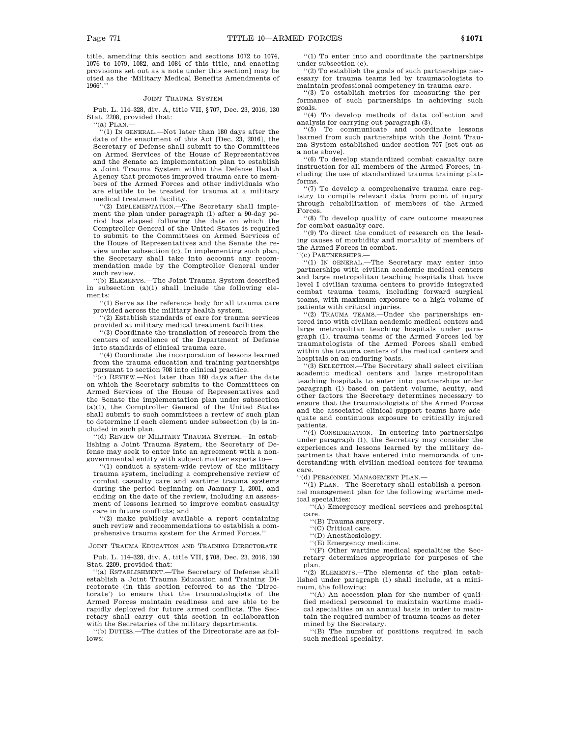title, amending this section and sections 1072 to 1074, 1076 to 1079, 1082, and 1084 of this title, and enacting provisions set out as a note under this section] may be cited as the 'Military Medical Benefits Amendments of 1966'.''

# JOINT TRAUMA SYSTEM

Pub. L. 114–328, div. A, title VII, §707, Dec. 23, 2016, 130 Stat. 2208, provided that:

 $``(a)$  PLAN.

''(1) IN GENERAL.—Not later than 180 days after the date of the enactment of this Act [Dec. 23, 2016], the Secretary of Defense shall submit to the Committees on Armed Services of the House of Representatives and the Senate an implementation plan to establish a Joint Trauma System within the Defense Health Agency that promotes improved trauma care to members of the Armed Forces and other individuals who are eligible to be treated for trauma at a military medical treatment facility.

'(2) IMPLEMENTATION.—The Secretary shall implement the plan under paragraph (1) after a 90-day period has elapsed following the date on which the Comptroller General of the United States is required to submit to the Committees on Armed Services of the House of Representatives and the Senate the review under subsection (c). In implementing such plan, the Secretary shall take into account any recommendation made by the Comptroller General under such review.

''(b) ELEMENTS.—The Joint Trauma System described in subsection (a)(1) shall include the following elements:

''(1) Serve as the reference body for all trauma care provided across the military health system.

''(2) Establish standards of care for trauma services provided at military medical treatment facilities.

''(3) Coordinate the translation of research from the centers of excellence of the Department of Defense into standards of clinical trauma care.

''(4) Coordinate the incorporation of lessons learned from the trauma education and training partnerships pursuant to section 708 into clinical practice.

'(c) REVIEW.--Not later than 180 days after the date on which the Secretary submits to the Committees on Armed Services of the House of Representatives and the Senate the implementation plan under subsection (a)(1), the Comptroller General of the United States shall submit to such committees a review of such plan to determine if each element under subsection (b) is included in such plan.

'(d) REVIEW OF MILITARY TRAUMA SYSTEM.-In establishing a Joint Trauma System, the Secretary of Defense may seek to enter into an agreement with a nongovernmental entity with subject matter experts to—

 $(1)$  conduct a system-wide review of the military trauma system, including a comprehensive review of combat casualty care and wartime trauma systems during the period beginning on January 1, 2001, and ending on the date of the review, including an assessment of lessons learned to improve combat casualty care in future conflicts; and

''(2) make publicly available a report containing such review and recommendations to establish a comprehensive trauma system for the Armed Forces.''

# JOINT TRAUMA EDUCATION AND TRAINING DIRECTORATE

Pub. L. 114–328, div. A, title VII, §708, Dec. 23, 2016, 130 Stat. 2209, provided that:

''(a) ESTABLISHMENT.—The Secretary of Defense shall establish a Joint Trauma Education and Training Directorate (in this section referred to as the 'Directorate') to ensure that the traumatologists of the Armed Forces maintain readiness and are able to be rapidly deployed for future armed conflicts. The Secretary shall carry out this section in collaboration with the Secretaries of the military departments.

''(b) DUTIES.—The duties of the Directorate are as follows:

''(1) To enter into and coordinate the partnerships under subsection (c).

''(2) To establish the goals of such partnerships necessary for trauma teams led by traumatologists to maintain professional competency in trauma care.

''(3) To establish metrics for measuring the performance of such partnerships in achieving such goals.

''(4) To develop methods of data collection and analysis for carrying out paragraph (3).

''(5) To communicate and coordinate lessons learned from such partnerships with the Joint Trauma System established under section 707 [set out as a note above].

''(6) To develop standardized combat casualty care instruction for all members of the Armed Forces, including the use of standardized trauma training platforms.

''(7) To develop a comprehensive trauma care registry to compile relevant data from point of injury through rehabilitation of members of the Armed Forces.

''(8) To develop quality of care outcome measures for combat casualty care.

''(9) To direct the conduct of research on the leading causes of morbidity and mortality of members of the Armed Forces in combat.

''(c) PARTNERSHIPS.—

''(1) IN GENERAL.—The Secretary may enter into partnerships with civilian academic medical centers and large metropolitan teaching hospitals that have level I civilian trauma centers to provide integrated combat trauma teams, including forward surgical teams, with maximum exposure to a high volume of patients with critical injuries.

'(2) TRAUMA TEAMS.—Under the partnerships entered into with civilian academic medical centers and large metropolitan teaching hospitals under paragraph (1), trauma teams of the Armed Forces led by traumatologists of the Armed Forces shall embed within the trauma centers of the medical centers and hospitals on an enduring basis.

''(3) SELECTION.—The Secretary shall select civilian academic medical centers and large metropolitan teaching hospitals to enter into partnerships under paragraph (1) based on patient volume, acuity, and other factors the Secretary determines necessary to ensure that the traumatologists of the Armed Forces and the associated clinical support teams have adequate and continuous exposure to critically injured patients.

''(4) CONSIDERATION.—In entering into partnerships under paragraph (1), the Secretary may consider the experiences and lessons learned by the military departments that have entered into memoranda of understanding with civilian medical centers for trauma care.

'(d) PERSONNEL MANAGEMENT PLAN.-

''(1) PLAN.—The Secretary shall establish a personnel management plan for the following wartime medical specialties:

''(A) Emergency medical services and prehospital care.

''(B) Trauma surgery.

''(C) Critical care.

''(D) Anesthesiology.

''(E) Emergency medicine.

''(F) Other wartime medical specialties the Secretary determines appropriate for purposes of the plan.

''(2) ELEMENTS.—The elements of the plan established under paragraph (1) shall include, at a minimum, the following:

'(A) An accession plan for the number of qualified medical personnel to maintain wartime medical specialties on an annual basis in order to maintain the required number of trauma teams as determined by the Secretary.

''(B) The number of positions required in each such medical specialty.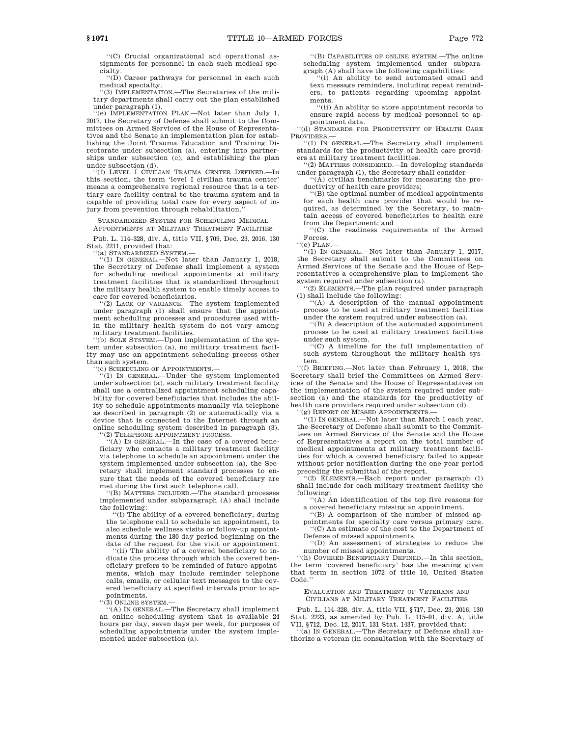''(C) Crucial organizational and operational assignments for personnel in each such medical specialty.

''(D) Career pathways for personnel in each such medical specialty.

''(3) IMPLEMENTATION.—The Secretaries of the military departments shall carry out the plan established

under paragraph (1). ''(e) IMPLEMENTATION PLAN.—Not later than July 1, 2017, the Secretary of Defense shall submit to the Committees on Armed Services of the House of Representatives and the Senate an implementation plan for establishing the Joint Trauma Education and Training Directorate under subsection (a), entering into partnerships under subsection (c), and establishing the plan under subsection (d).

''(f) LEVEL I CIVILIAN TRAUMA CENTER DEFINED.—In this section, the term 'level I civilian trauma center' means a comprehensive regional resource that is a tertiary care facility central to the trauma system and is capable of providing total care for every aspect of injury from prevention through rehabilitation.''

STANDARDIZED SYSTEM FOR SCHEDULING MEDICAL APPOINTMENTS AT MILITARY TREATMENT FACILITIES

Pub. L. 114–328, div. A, title VII, §709, Dec. 23, 2016, 130

Stat. 2211, provided that: ''(a) STANDARDIZED SYSTEM.—

''(1) IN GENERAL.—Not later than January 1, 2018, the Secretary of Defense shall implement a system for scheduling medical appointments at military treatment facilities that is standardized throughout the military health system to enable timely access to care for covered beneficiaries.

''(2) LACK OF VARIANCE.—The system implemented under paragraph (1) shall ensure that the appointment scheduling processes and procedures used within the military health system do not vary among military treatment facilities.

''(b) SOLE SYSTEM.—Upon implementation of the system under subsection (a), no military treatment facility may use an appointment scheduling process other than such system.

<sup>'</sup>(c) SCHEDULING OF APPOINTMENTS.—

''(1) IN GENERAL.—Under the system implemented under subsection (a), each military treatment facility shall use a centralized appointment scheduling capability for covered beneficiaries that includes the ability to schedule appointments manually via telephone as described in paragraph (2) or automatically via a device that is connected to the Internet through an online scheduling system described in paragraph (3). '(2) TELEPHONE APPOINTMENT PROCESS.

 $(A)$  IN GENERAL.—In the case of a covered beneficiary who contacts a military treatment facility via telephone to schedule an appointment under the system implemented under subsection (a), the Secretary shall implement standard processes to ensure that the needs of the covered beneficiary are met during the first such telephone call.

 $f(B)$  MATTERS INCLUDED.—The standard processes implemented under subparagraph (A) shall include the following:

''(i) The ability of a covered beneficiary, during the telephone call to schedule an appointment, to also schedule wellness visits or follow-up appointments during the 180-day period beginning on the date of the request for the visit or appointment.

''(ii) The ability of a covered beneficiary to indicate the process through which the covered beneficiary prefers to be reminded of future appointments, which may include reminder telephone calls, emails, or cellular text messages to the covered beneficiary at specified intervals prior to appointments.

''(3) ONLINE SYSTEM.— ''(A) IN GENERAL.—The Secretary shall implement an online scheduling system that is available 24 hours per day, seven days per week, for purposes of scheduling appointments under the system implemented under subsection (a).

''(B) CAPABILITIES OF ONLINE SYSTEM.—The online scheduling system implemented under subparagraph (A) shall have the following capabilities:

'(i) An ability to send automated email and text message reminders, including repeat reminders, to patients regarding upcoming appointments.

''(ii) An ability to store appointment records to ensure rapid access by medical personnel to appointment data.

''(d) STANDARDS FOR PRODUCTIVITY OF HEALTH CARE PROVIDERS.—

''(1) IN GENERAL.—The Secretary shall implement standards for the productivity of health care providers at military treatment facilities.

''(2) MATTERS CONSIDERED.—In developing standards under paragraph (1), the Secretary shall consider—

''(A) civilian benchmarks for measuring the productivity of health care providers;

''(B) the optimal number of medical appointments for each health care provider that would be required, as determined by the Secretary, to maintain access of covered beneficiaries to health care from the Department; and

''(C) the readiness requirements of the Armed Forces.

'(e) PLAN. ''(1) IN GENERAL.—Not later than January 1, 2017, the Secretary shall submit to the Committees on Armed Services of the Senate and the House of Representatives a comprehensive plan to implement the system required under subsection (a).

''(2) ELEMENTS.—The plan required under paragraph (1) shall include the following:

''(A) A description of the manual appointment process to be used at military treatment facilities under the system required under subsection (a).

''(B) A description of the automated appointment process to be used at military treatment facilities under such system.

''(C) A timeline for the full implementation of such system throughout the military health system.

''(f) BRIEFING.—Not later than February 1, 2018, the Secretary shall brief the Committees on Armed Services of the Senate and the House of Representatives on the implementation of the system required under subsection (a) and the standards for the productivity of health care providers required under subsection (d).

'(g) REPORT ON MISSED APPOINTMENTS.

(1) IN GENERAL.—Not later than March 1 each year, the Secretary of Defense shall submit to the Committees on Armed Services of the Senate and the House of Representatives a report on the total number of medical appointments at military treatment facilities for which a covered beneficiary failed to appear without prior notification during the one-year period preceding the submittal of the report.

''(2) ELEMENTS.—Each report under paragraph (1) shall include for each military treatment facility the following:

''(A) An identification of the top five reasons for a covered beneficiary missing an appointment.

''(B) A comparison of the number of missed appointments for specialty care versus primary care. ''(C) An estimate of the cost to the Department of Defense of missed appointments.

''(D) An assessment of strategies to reduce the number of missed appointments.

''(h) COVERED BENEFICIARY DEFINED.—In this section, the term 'covered beneficiary' has the meaning given that term in section 1072 of title 10, United States Code.

EVALUATION AND TREATMENT OF VETERANS AND CIVILIANS AT MILITARY TREATMENT FACILITIES

Pub. L. 114–328, div. A, title VII, §717, Dec. 23, 2016, 130 Stat. 2223, as amended by Pub. L. 115–91, div. A, title

VII, §712, Dec. 12, 2017, 131 Stat. 1437, provided that: ''(a) IN GENERAL.—The Secretary of Defense shall authorize a veteran (in consultation with the Secretary of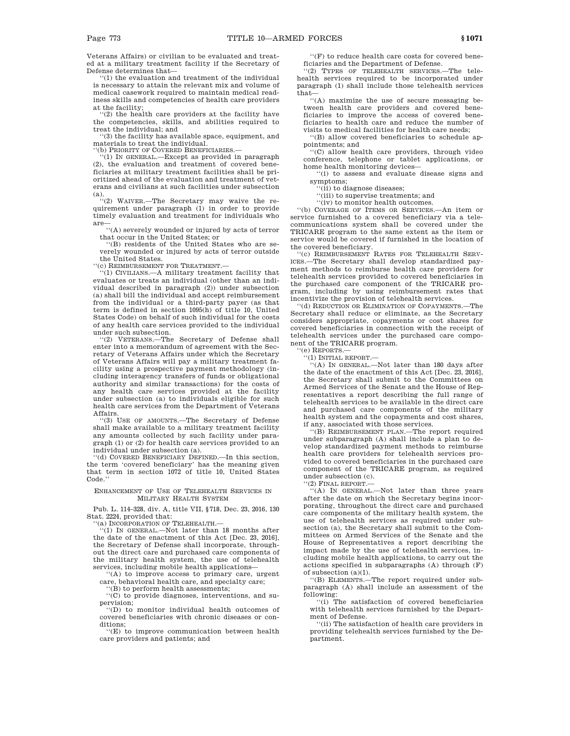Veterans Affairs) or civilian to be evaluated and treated at a military treatment facility if the Secretary of Defense determines that—

''(1) the evaluation and treatment of the individual is necessary to attain the relevant mix and volume of medical casework required to maintain medical readiness skills and competencies of health care providers

at the facility; ''(2) the health care providers at the facility have the competencies, skills, and abilities required to treat the individual; and

''(3) the facility has available space, equipment, and materials to treat the individual.

''(b) PRIORITY OF COVERED BENEFICIARIES.—

'(1) IN GENERAL.—Except as provided in paragraph (2), the evaluation and treatment of covered beneficiaries at military treatment facilities shall be prioritized ahead of the evaluation and treatment of veterans and civilians at such facilities under subsection (a).

''(2) WAIVER.—The Secretary may waive the re-quirement under paragraph (1) in order to provide timely evaluation and treatment for individuals who are—

 $\overset{\leftrightarrow}{\cdot \cdot}$  (A) severely wounded or injured by acts of terror that occur in the United States; or

''(B) residents of the United States who are severely wounded or injured by acts of terror outside the United States.

''(c) REIMBURSEMENT FOR TREATMENT.—

''(1) CIVILIANS.—A military treatment facility that evaluates or treats an individual (other than an individual described in paragraph (2)) under subsection (a) shall bill the individual and accept reimbursement from the individual or a third-party payer (as that term is defined in section 1095(h) of title 10, United States Code) on behalf of such individual for the costs of any health care services provided to the individual under such subsection.

''(2) VETERANS.—The Secretary of Defense shall enter into a memorandum of agreement with the Secretary of Veterans Affairs under which the Secretary of Veterans Affairs will pay a military treatment facility using a prospective payment methodology (including interagency transfers of funds or obligational authority and similar transactions) for the costs of any health care services provided at the facility under subsection (a) to individuals eligible for such health care services from the Department of Veterans Affairs.

''(3) USE OF AMOUNTS.—The Secretary of Defense shall make available to a military treatment facility any amounts collected by such facility under paragraph (1) or (2) for health care services provided to an individual under subsection (a).

''(d) COVERED BENEFICIARY DEFINED.—In this section, the term 'covered beneficiary' has the meaning given that term in section 1072 of title 10, United States Code.

#### ENHANCEMENT OF USE OF TELEHEALTH SERVICES IN MILITARY HEALTH SYSTEM

Pub. L. 114–328, div. A, title VII, §718, Dec. 23, 2016, 130 Stat. 2224, provided that:

(a) INCORPORATION OF TELEHEALTH.

 $(1)$  IN GENERAL.—Not later than 18 months after the date of the enactment of this Act [Dec. 23, 2016], the Secretary of Defense shall incorporate, throughout the direct care and purchased care components of the military health system, the use of telehealth services, including mobile health applications—

''(A) to improve access to primary care, urgent care, behavioral health care, and specialty care;

''(B) to perform health assessments;

''(C) to provide diagnoses, interventions, and supervision; ''(D) to monitor individual health outcomes of

covered beneficiaries with chronic diseases or conditions;

''(E) to improve communication between health care providers and patients; and

''(F) to reduce health care costs for covered beneficiaries and the Department of Defense.

''(2) TYPES OF TELEHEALTH SERVICES.—The telehealth services required to be incorporated under paragraph (1) shall include those telehealth services that—

''(A) maximize the use of secure messaging between health care providers and covered beneficiaries to improve the access of covered beneficiaries to health care and reduce the number of visits to medical facilities for health care needs;

''(B) allow covered beneficiaries to schedule appointments; and

''(C) allow health care providers, through video conference, telephone or tablet applications, or home health monitoring devices—

''(i) to assess and evaluate disease signs and symptoms;

''(ii) to diagnose diseases;

''(iii) to supervise treatments; and

''(iv) to monitor health outcomes.

''(b) COVERAGE OF ITEMS OR SERVICES.—An item or service furnished to a covered beneficiary via a telecommunications system shall be covered under the TRICARE program to the same extent as the item or service would be covered if furnished in the location of the covered beneficiary.

''(c) REIMBURSEMENT RATES FOR TELEHEALTH SERV-ICES.—The Secretary shall develop standardized payment methods to reimburse health care providers for telehealth services provided to covered beneficiaries in the purchased care component of the TRICARE program, including by using reimbursement rates that incentivize the provision of telehealth services.

''(d) REDUCTION OR ELIMINATION OF COPAYMENTS.—The Secretary shall reduce or eliminate, as the Secretary considers appropriate, copayments or cost shares for covered beneficiaries in connection with the receipt of telehealth services under the purchased care component of the TRICARE program.

''(e) REPORTS.—

''(1) INITIAL REPORT.—

''(A) IN GENERAL.—Not later than 180 days after the date of the enactment of this Act [Dec. 23, 2016], the Secretary shall submit to the Committees on Armed Services of the Senate and the House of Representatives a report describing the full range of telehealth services to be available in the direct care and purchased care components of the military health system and the copayments and cost shares, if any, associated with those services.

''(B) REIMBURSEMENT PLAN.—The report required under subparagraph (A) shall include a plan to develop standardized payment methods to reimburse health care providers for telehealth services provided to covered beneficiaries in the purchased care component of the TRICARE program, as required under subsection (c).

'(2) FINAL REPORT.-

''(A) IN GENERAL.—Not later than three years after the date on which the Secretary begins incorporating, throughout the direct care and purchased care components of the military health system, the use of telehealth services as required under subsection (a), the Secretary shall submit to the Committees on Armed Services of the Senate and the House of Representatives a report describing the impact made by the use of telehealth services, including mobile health applications, to carry out the actions specified in subparagraphs (A) through (F)

of subsection (a)(1). ''(B) ELEMENTS.—The report required under subparagraph (A) shall include an assessment of the

following:<br>"(i) The satisfaction of covered beneficiaries with telehealth services furnished by the Department of Defense.

''(ii) The satisfaction of health care providers in providing telehealth services furnished by the Department.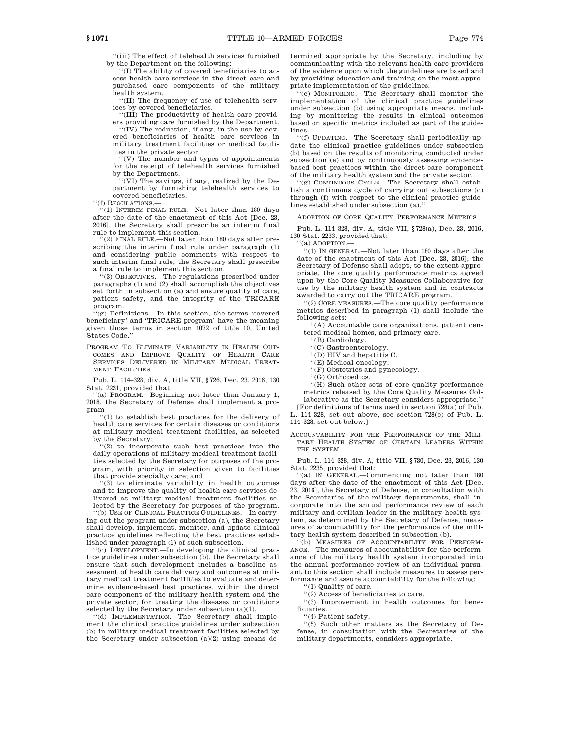''(iii) The effect of telehealth services furnished by the Department on the following:

''(I) The ability of covered beneficiaries to access health care services in the direct care and purchased care components of the military health system.

''(II) The frequency of use of telehealth services by covered beneficiaries.

''(III) The productivity of health care providers providing care furnished by the Department. ''(IV) The reduction, if any, in the use by cov-

ered beneficiaries of health care services in military treatment facilities or medical facilities in the private sector.

''(V) The number and types of appointments for the receipt of telehealth services furnished by the Department.

''(VI) The savings, if any, realized by the Department by furnishing telehealth services to covered beneficiaries.

''(f) REGULATIONS.—

'(1) INTERIM FINAL RULE.—Not later than 180 days after the date of the enactment of this Act [Dec. 23, 2016], the Secretary shall prescribe an interim final rule to implement this section.

''(2) FINAL RULE.—Not later than 180 days after prescribing the interim final rule under paragraph (1) and considering public comments with respect to such interim final rule, the Secretary shall prescribe a final rule to implement this section.

''(3) OBJECTIVES.—The regulations prescribed under paragraphs (1) and (2) shall accomplish the objectives set forth in subsection (a) and ensure quality of care, patient safety, and the integrity of the TRICARE program.

(g) Definitions.—In this section, the terms 'covered beneficiary' and 'TRICARE program' have the meaning given those terms in section 1072 of title 10, United States Code.''

PROGRAM TO ELIMINATE VARIABILITY IN HEALTH OUT-COMES AND IMPROVE QUALITY OF HEALTH CARE SERVICES DELIVERED IN MILITARY MEDICAL TREAT-MENT FACILITIES

Pub. L. 114–328, div. A, title VII, §726, Dec. 23, 2016, 130 Stat. 2231, provided that:

''(a) PROGRAM.—Beginning not later than January 1, 2018, the Secretary of Defense shall implement a program—

''(1) to establish best practices for the delivery of health care services for certain diseases or conditions at military medical treatment facilities, as selected by the Secretary;

 $(2)$  to incorporate such best practices into the daily operations of military medical treatment facilities selected by the Secretary for purposes of the program, with priority in selection given to facilities that provide specialty care; and

''(3) to eliminate variability in health outcomes and to improve the quality of health care services delivered at military medical treatment facilities selected by the Secretary for purposes of the program.

''(b) USE OF CLINICAL PRACTICE GUIDELINES.—In carrying out the program under subsection (a), the Secretary shall develop, implement, monitor, and update clinical practice guidelines reflecting the best practices established under paragraph (1) of such subsection.

'(c) DEVELOPMENT.—In developing the clinical practice guidelines under subsection (b), the Secretary shall ensure that such development includes a baseline assessment of health care delivery and outcomes at military medical treatment facilities to evaluate and determine evidence-based best practices, within the direct care component of the military health system and the private sector, for treating the diseases or conditions

selected by the Secretary under subsection (a)(1).<br>
"(d) IMPLEMENTATION.—The Secretary shall implement the clinical practice guidelines under subsection (b) in military medical treatment facilities selected by the Secretary under subsection (a)(2) using means determined appropriate by the Secretary, including by communicating with the relevant health care providers of the evidence upon which the guidelines are based and by providing education and training on the most appropriate implementation of the guidelines.

'(e) MONITORING.—The Secretary shall monitor the implementation of the clinical practice guidelines under subsection (b) using appropriate means, including by monitoring the results in clinical outcomes based on specific metrics included as part of the guidelines.

''(f) UPDATING.—The Secretary shall periodically update the clinical practice guidelines under subsection (b) based on the results of monitoring conducted under subsection (e) and by continuously assessing evidencebased best practices within the direct care component of the military health system and the private sector.

''(g) CONTINUOUS CYCLE.—The Secretary shall establish a continuous cycle of carrying out subsections (c) through (f) with respect to the clinical practice guidelines established under subsection (a).

ADOPTION OF CORE QUALITY PERFORMANCE METRICS

Pub. L. 114–328, div. A, title VII, §728(a), Dec. 23, 2016, 130 Stat. 2233, provided that:

''(a) ADOPTION.— ''(1) IN GENERAL.—Not later than 180 days after the date of the enactment of this Act [Dec. 23, 2016], the Secretary of Defense shall adopt, to the extent appropriate, the core quality performance metrics agreed upon by the Core Quality Measures Collaborative for use by the military health system and in contracts awarded to carry out the TRICARE program.

''(2) CORE MEASURES.—The core quality performance metrics described in paragraph (1) shall include the following sets:

''(A) Accountable care organizations, patient centered medical homes, and primary care.

''(B) Cardiology.

''(C) Gastroenterology.

''(D) HIV and hepatitis C.

''(E) Medical oncology.

''(F) Obstetrics and gynecology.

''(G) Orthopedics.

''(H) Such other sets of core quality performance metrics released by the Core Quality Measures Collaborative as the Secretary considers appropriate.''

[For definitions of terms used in section 728(a) of Pub. L. 114–328, set out above, see section 728(c) of Pub. L. 114–328, set out below.]

ACCOUNTABILITY FOR THE PERFORMANCE OF THE MILI-TARY HEALTH SYSTEM OF CERTAIN LEADERS WITHIN THE SYSTEM

Pub. L. 114–328, div. A, title VII, §730, Dec. 23, 2016, 130 Stat. 2235, provided that:

''(a) IN GENERAL.—Commencing not later than 180 days after the date of the enactment of this Act [Dec. 23, 2016], the Secretary of Defense, in consultation with the Secretaries of the military departments, shall incorporate into the annual performance review of each military and civilian leader in the military health system, as determined by the Secretary of Defense, measures of accountability for the performance of the military health system described in subsection (b).

(b) MEASURES OF ACCOUNTABILITY FOR PERFORM-ANCE.—The measures of accountability for the performance of the military health system incorporated into the annual performance review of an individual pursuant to this section shall include measures to assess performance and assure accountability for the following:

''(1) Quality of care.

''(2) Access of beneficiaries to care.

''(3) Improvement in health outcomes for beneficiaries.

''(4) Patient safety.

''(5) Such other matters as the Secretary of Defense, in consultation with the Secretaries of the military departments, considers appropriate.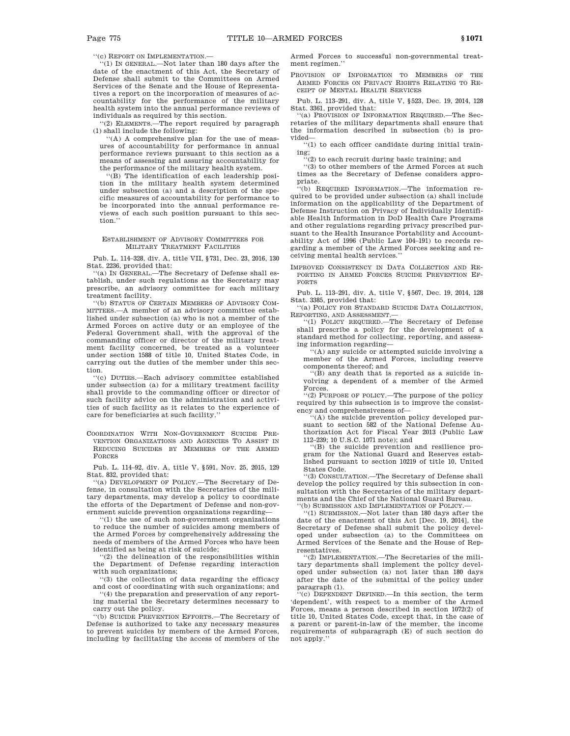''(c) REPORT ON IMPLEMENTATION.—

''(1) IN GENERAL.—Not later than 180 days after the date of the enactment of this Act, the Secretary of Defense shall submit to the Committees on Armed Services of the Senate and the House of Representatives a report on the incorporation of measures of accountability for the performance of the military health system into the annual performance reviews of individuals as required by this section.

'(2) ELEMENTS.-The report required by paragraph (1) shall include the following:

''(A) A comprehensive plan for the use of measures of accountability for performance in annual performance reviews pursuant to this section as a means of assessing and assuring accountability for the performance of the military health system.

''(B) The identification of each leadership position in the military health system determined under subsection (a) and a description of the specific measures of accountability for performance to be incorporated into the annual performance reviews of each such position pursuant to this section.''

#### ESTABLISHMENT OF ADVISORY COMMITTEES FOR MILITARY TREATMENT FACILITIES

Pub. L. 114–328, div. A, title VII, §731, Dec. 23, 2016, 130 Stat. 2236, provided that:

'(a) IN GENERAL.—The Secretary of Defense shall establish, under such regulations as the Secretary may prescribe, an advisory committee for each military treatment facility.

''(b) STATUS OF CERTAIN MEMBERS OF ADVISORY COM-MITTEES.—A member of an advisory committee established under subsection (a) who is not a member of the Armed Forces on active duty or an employee of the Federal Government shall, with the approval of the commanding officer or director of the military treatment facility concerned, be treated as a volunteer under section 1588 of title 10, United States Code, in carrying out the duties of the member under this section.

''(c) DUTIES.—Each advisory committee established under subsection (a) for a military treatment facility shall provide to the commanding officer or director of such facility advice on the administration and activities of such facility as it relates to the experience of care for beneficiaries at such facility.''

COORDINATION WITH NON-GOVERNMENT SUICIDE PRE-VENTION ORGANIZATIONS AND AGENCIES TO ASSIST IN REDUCING SUICIDES BY MEMBERS OF THE ARMED FORCES

Pub. L. 114–92, div. A, title V, §591, Nov. 25, 2015, 129 Stat. 832, provided that:

'(a) DEVELOPMENT OF POLICY.—The Secretary of Defense, in consultation with the Secretaries of the military departments, may develop a policy to coordinate the efforts of the Department of Defense and non-government suicide prevention organizations regarding—

''(1) the use of such non-government organizations to reduce the number of suicides among members of the Armed Forces by comprehensively addressing the needs of members of the Armed Forces who have been identified as being at risk of suicide;

''(2) the delineation of the responsibilities within the Department of Defense regarding interaction with such organizations;

'(3) the collection of data regarding the efficacy and cost of coordinating with such organizations; and ''(4) the preparation and preservation of any report-

ing material the Secretary determines necessary to carry out the policy. ''(b) SUICIDE PREVENTION EFFORTS.—The Secretary of

Defense is authorized to take any necessary measures to prevent suicides by members of the Armed Forces, including by facilitating the access of members of the

Armed Forces to successful non-governmental treatment regimen.''

PROVISION OF INFORMATION TO MEMBERS OF THE ARMED FORCES ON PRIVACY RIGHTS RELATING TO RE-CEIPT OF MENTAL HEALTH SERVICES

Pub. L. 113–291, div. A, title V, §523, Dec. 19, 2014, 128 Stat. 3361, provided that:

''(a) PROVISION OF INFORMATION REQUIRED.—The Secretaries of the military departments shall ensure that the information described in subsection (b) is provided—

''(1) to each officer candidate during initial training;

 $\tilde{f}'(2)$  to each recruit during basic training; and

''(3) to other members of the Armed Forces at such times as the Secretary of Defense considers appropriate.

''(b) REQUIRED INFORMATION.—The information required to be provided under subsection (a) shall include information on the applicability of the Department of Defense Instruction on Privacy of Individually Identifiable Health Information in DoD Health Care Programs and other regulations regarding privacy prescribed pursuant to the Health Insurance Portability and Accountability Act of 1996 (Public Law 104–191) to records regarding a member of the Armed Forces seeking and receiving mental health services.''

IMPROVED CONSISTENCY IN DATA COLLECTION AND RE-PORTING IN ARMED FORCES SUICIDE PREVENTION EF-FORTS

Pub. L. 113–291, div. A, title V, §567, Dec. 19, 2014, 128 Stat. 3385, provided that:

''(a) POLICY FOR STANDARD SUICIDE DATA COLLECTION, REPORTING, AND ASSESSMENT.—

''(1) POLICY REQUIRED.—The Secretary of Defense shall prescribe a policy for the development of a standard method for collecting, reporting, and assessing information regarding—

''(A) any suicide or attempted suicide involving a member of the Armed Forces, including reserve components thereof; and

'(B) any death that is reported as a suicide involving a dependent of a member of the Armed Forces.

''(2) PURPOSE OF POLICY.—The purpose of the policy required by this subsection is to improve the consistency and comprehensiveness of—

''(A) the suicide prevention policy developed pursuant to section 582 of the National Defense Authorization Act for Fiscal Year 2013 (Public Law 112–239; 10 U.S.C. 1071 note); and

''(B) the suicide prevention and resilience program for the National Guard and Reserves established pursuant to section 10219 of title 10, United States Code.

''(3) CONSULTATION.—The Secretary of Defense shall develop the policy required by this subsection in consultation with the Secretaries of the military departments and the Chief of the National Guard Bureau.

''(b) SUBMISSION AND IMPLEMENTATION OF POLICY.—

''(1) SUBMISSION.—Not later than 180 days after the date of the enactment of this Act [Dec. 19, 2014], the Secretary of Defense shall submit the policy developed under subsection (a) to the Committees on Armed Services of the Senate and the House of Representatives.

''(2) IMPLEMENTATION.—The Secretaries of the military departments shall implement the policy developed under subsection (a) not later than 180 days after the date of the submittal of the policy under paragraph (1).

''(c) DEPENDENT DEFINED.—In this section, the term 'dependent', with respect to a member of the Armed Forces, means a person described in section 1072(2) of title 10, United States Code, except that, in the case of a parent or parent-in-law of the member, the income requirements of subparagraph (E) of such section do not apply.''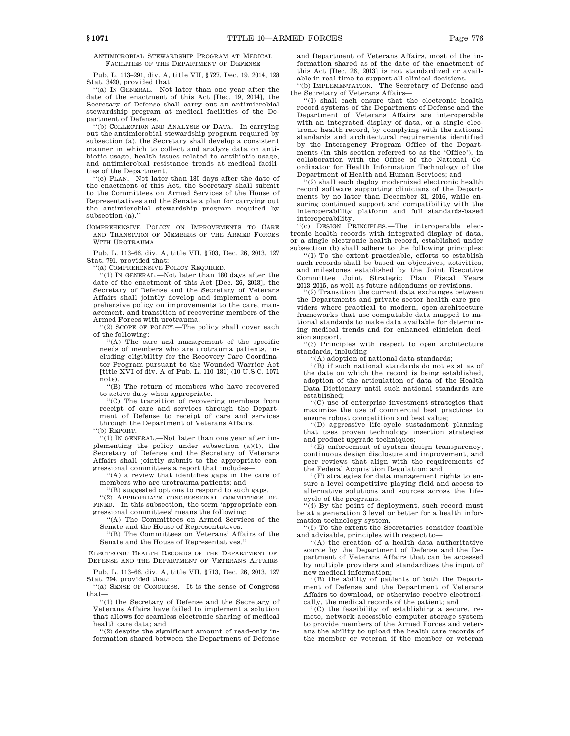ANTIMICROBIAL STEWARDSHIP PROGRAM AT MEDICAL FACILITIES OF THE DEPARTMENT OF DEFENSE

Pub. L. 113–291, div. A, title VII, §727, Dec. 19, 2014, 128 Stat. 3420, provided that:

''(a) IN GENERAL.—Not later than one year after the date of the enactment of this Act [Dec. 19, 2014], the Secretary of Defense shall carry out an antimicrobial stewardship program at medical facilities of the Department of Defense.

''(b) COLLECTION AND ANALYSIS OF DATA.—In carrying out the antimicrobial stewardship program required by subsection (a), the Secretary shall develop a consistent manner in which to collect and analyze data on antibiotic usage, health issues related to antibiotic usage, and antimicrobial resistance trends at medical facilities of the Department.

''(c) PLAN.—Not later than 180 days after the date of the enactment of this Act, the Secretary shall submit to the Committees on Armed Services of the House of Representatives and the Senate a plan for carrying out the antimicrobial stewardship program required by subsection (a).''

COMPREHENSIVE POLICY ON IMPROVEMENTS TO CARE AND TRANSITION OF MEMBERS OF THE ARMED FORCES WITH UROTRAUMA

Pub. L. 113–66, div. A, title VII, §703, Dec. 26, 2013, 127 Stat. 791, provided that:

'(a) COMPREHENSIVE POLICY REQUIRED.

 $(1)$  IN GENERAL.—Not later than 180 days after the date of the enactment of this Act [Dec. 26, 2013], the Secretary of Defense and the Secretary of Veterans Affairs shall jointly develop and implement a comprehensive policy on improvements to the care, management, and transition of recovering members of the Armed Forces with urotrauma.

''(2) SCOPE OF POLICY.—The policy shall cover each of the following:

''(A) The care and management of the specific needs of members who are urotrauma patients, including eligibility for the Recovery Care Coordinator Program pursuant to the Wounded Warrior Act [title XVI of div. A of Pub. L. 110–181] (10 U.S.C. 1071 note).

''(B) The return of members who have recovered to active duty when appropriate.

''(C) The transition of recovering members from receipt of care and services through the Department of Defense to receipt of care and services through the Department of Veterans Affairs.

 $"$ (b) REPORT.

''(1) IN GENERAL.—Not later than one year after implementing the policy under subsection (a)(1), the Secretary of Defense and the Secretary of Veterans Affairs shall jointly submit to the appropriate congressional committees a report that includes—

''(A) a review that identifies gaps in the care of members who are urotrauma patients; and

''(B) suggested options to respond to such gaps.

''(2) APPROPRIATE CONGRESSIONAL COMMITTEES DE-FINED.—In this subsection, the term 'appropriate congressional committees' means the following:

''(A) The Committees on Armed Services of the Senate and the House of Representatives.

''(B) The Committees on Veterans' Affairs of the Senate and the House of Representatives.

ELECTRONIC HEALTH RECORDS OF THE DEPARTMENT OF DEFENSE AND THE DEPARTMENT OF VETERANS AFFAIRS

Pub. L. 113–66, div. A, title VII, §713, Dec. 26, 2013, 127 Stat. 794, provided that:

''(a) SENSE OF CONGRESS.—It is the sense of Congress that—

''(1) the Secretary of Defense and the Secretary of Veterans Affairs have failed to implement a solution that allows for seamless electronic sharing of medical health care data; and

''(2) despite the significant amount of read-only information shared between the Department of Defense and Department of Veterans Affairs, most of the information shared as of the date of the enactment of this Act [Dec. 26, 2013] is not standardized or available in real time to support all clinical decisions.

''(b) IMPLEMENTATION.—The Secretary of Defense and the Secretary of Veterans Affairs—

''(1) shall each ensure that the electronic health record systems of the Department of Defense and the Department of Veterans Affairs are interoperable with an integrated display of data, or a single electronic health record, by complying with the national standards and architectural requirements identified by the Interagency Program Office of the Departments (in this section referred to as the 'Office'), in collaboration with the Office of the National Coordinator for Health Information Technology of the Department of Health and Human Services; and

 $(2)$  shall each deploy modernized electronic health record software supporting clinicians of the Departments by no later than December 31, 2016, while ensuring continued support and compatibility with the interoperability platform and full standards-based interoperability.

''(c) DESIGN PRINCIPLES.—The interoperable electronic health records with integrated display of data, or a single electronic health record, established under subsection (b) shall adhere to the following principles:

'(1) To the extent practicable, efforts to establish such records shall be based on objectives, activities, and milestones established by the Joint Executive Committee Joint Strategic Plan Fiscal Years 2013–2015, as well as future addendums or revisions.

'(2) Transition the current data exchanges between the Departments and private sector health care providers where practical to modern, open-architecture frameworks that use computable data mapped to national standards to make data available for determining medical trends and for enhanced clinician decision support.

''(3) Principles with respect to open architecture standards, including—

''(A) adoption of national data standards;

''(B) if such national standards do not exist as of the date on which the record is being established, adoption of the articulation of data of the Health Data Dictionary until such national standards are established;

''(C) use of enterprise investment strategies that maximize the use of commercial best practices to ensure robust competition and best value;

''(D) aggressive life-cycle sustainment planning that uses proven technology insertion strategies and product upgrade techniques;

''(E) enforcement of system design transparency, continuous design disclosure and improvement, and peer reviews that align with the requirements of the Federal Acquisition Regulation; and

 $f(F)$  strategies for data management rights to ensure a level competitive playing field and access to alternative solutions and sources across the lifecycle of the programs.

 $(4)$  By the point of deployment, such record must be at a generation 3 level or better for a health information technology system.

''(5) To the extent the Secretaries consider feasible and advisable, principles with respect to—

''(A) the creation of a health data authoritative source by the Department of Defense and the Department of Veterans Affairs that can be accessed by multiple providers and standardizes the input of new medical information;

''(B) the ability of patients of both the Department of Defense and the Department of Veterans Affairs to download, or otherwise receive electronically, the medical records of the patient; and

''(C) the feasibility of establishing a secure, remote, network-accessible computer storage system to provide members of the Armed Forces and veterans the ability to upload the health care records of the member or veteran if the member or veteran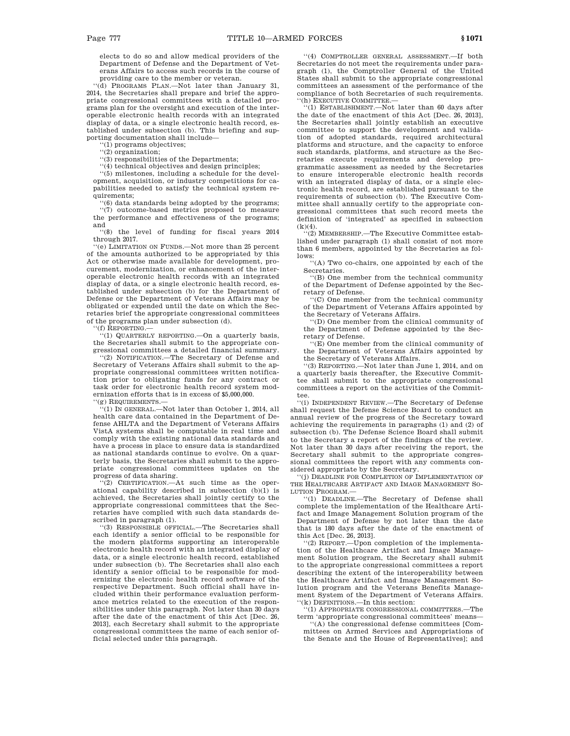elects to do so and allow medical providers of the Department of Defense and the Department of Veterans Affairs to access such records in the course of providing care to the member or veteran.

''(d) PROGRAMS PLAN.—Not later than January 31, 2014, the Secretaries shall prepare and brief the appropriate congressional committees with a detailed programs plan for the oversight and execution of the interoperable electronic health records with an integrated display of data, or a single electronic health record, established under subsection (b). This briefing and supporting documentation shall include—

''(1) programs objectives;

''(2) organization;

''(3) responsibilities of the Departments;

''(4) technical objectives and design principles; ''(5) milestones, including a schedule for the development, acquisition, or industry competitions for capabilities needed to satisfy the technical system requirements;

''(6) data standards being adopted by the programs; ''(7) outcome-based metrics proposed to measure the performance and effectiveness of the programs; and

''(8) the level of funding for fiscal years 2014 through 2017.

''(e) LIMITATION ON FUNDS.—Not more than 25 percent of the amounts authorized to be appropriated by this Act or otherwise made available for development, procurement, modernization, or enhancement of the interoperable electronic health records with an integrated display of data, or a single electronic health record, established under subsection (b) for the Department of Defense or the Department of Veterans Affairs may be obligated or expended until the date on which the Secretaries brief the appropriate congressional committees of the programs plan under subsection (d).

'(f) REPORTING.

 $(1)$  QUARTERLY REPORTING. - On a quarterly basis, the Secretaries shall submit to the appropriate congressional committees a detailed financial summary.

''(2) NOTIFICATION.—The Secretary of Defense and Secretary of Veterans Affairs shall submit to the appropriate congressional committees written notification prior to obligating funds for any contract or task order for electronic health record system modernization efforts that is in excess of \$5,000,000.

''(g) REQUIREMENTS.—

 $(1)$  IN GENERAL.—Not later than October 1, 2014, all health care data contained in the Department of Defense AHLTA and the Department of Veterans Affairs VistA systems shall be computable in real time and comply with the existing national data standards and have a process in place to ensure data is standardized as national standards continue to evolve. On a quarterly basis, the Secretaries shall submit to the appropriate congressional committees updates on the progress of data sharing.

''(2) CERTIFICATION.—At such time as the operational capability described in subsection (b)(1) is achieved, the Secretaries shall jointly certify to the appropriate congressional committees that the Secretaries have complied with such data standards described in paragraph (1).

''(3) RESPONSIBLE OFFICIAL.—The Secretaries shall each identify a senior official to be responsible for the modern platforms supporting an interoperable electronic health record with an integrated display of data, or a single electronic health record, established under subsection (b). The Secretaries shall also each identify a senior official to be responsible for modernizing the electronic health record software of the respective Department. Such official shall have included within their performance evaluation performance metrics related to the execution of the responsibilities under this paragraph. Not later than 30 days after the date of the enactment of this Act [Dec. 26, 2013], each Secretary shall submit to the appropriate congressional committees the name of each senior official selected under this paragraph.

''(4) COMPTROLLER GENERAL ASSESSMENT.—If both Secretaries do not meet the requirements under paragraph (1), the Comptroller General of the United States shall submit to the appropriate congressional committees an assessment of the performance of the compliance of both Secretaries of such requirements. ''(h) EXECUTIVE COMMITTEE.—

''(1) ESTABLISHMENT.—Not later than 60 days after the date of the enactment of this Act [Dec. 26, 2013], the Secretaries shall jointly establish an executive committee to support the development and validation of adopted standards, required architectural platforms and structure, and the capacity to enforce such standards, platforms, and structure as the Secretaries execute requirements and develop programmatic assessment as needed by the Secretaries to ensure interoperable electronic health records with an integrated display of data, or a single electronic health record, are established pursuant to the requirements of subsection (b). The Executive Committee shall annually certify to the appropriate congressional committees that such record meets the definition of 'integrated' as specified in subsection  $(k)(4)$ .

''(2) MEMBERSHIP.—The Executive Committee established under paragraph (1) shall consist of not more than 6 members, appointed by the Secretaries as follows:

''(A) Two co-chairs, one appointed by each of the Secretaries.

''(B) One member from the technical community of the Department of Defense appointed by the Secretary of Defense.

''(C) One member from the technical community of the Department of Veterans Affairs appointed by the Secretary of Veterans Affairs.

''(D) One member from the clinical community of the Department of Defense appointed by the Secretary of Defense.

''(E) One member from the clinical community of the Department of Veterans Affairs appointed by the Secretary of Veterans Affairs.

''(3) REPORTING.—Not later than June 1, 2014, and on a quarterly basis thereafter, the Executive Committee shall submit to the appropriate congressional committees a report on the activities of the Committee.

''(i) INDEPENDENT REVIEW.—The Secretary of Defense shall request the Defense Science Board to conduct an annual review of the progress of the Secretary toward achieving the requirements in paragraphs (1) and (2) of subsection (b). The Defense Science Board shall submit to the Secretary a report of the findings of the review. Not later than 30 days after receiving the report, the Secretary shall submit to the appropriate congressional committees the report with any comments considered appropriate by the Secretary.

''(j) DEADLINE FOR COMPLETION OF IMPLEMENTATION OF THE HEALTHCARE ARTIFACT AND IMAGE MANAGEMENT SO-LUTION PROGRAM.

''(1) DEADLINE.—The Secretary of Defense shall complete the implementation of the Healthcare Artifact and Image Management Solution program of the Department of Defense by not later than the date that is 180 days after the date of the enactment of this Act [Dec. 26, 2013].

''(2) REPORT.—Upon completion of the implementation of the Healthcare Artifact and Image Management Solution program, the Secretary shall submit to the appropriate congressional committees a report describing the extent of the interoperability between the Healthcare Artifact and Image Management Solution program and the Veterans Benefits Management System of the Department of Veterans Affairs. '(k) DEFINITIONS.—In this section:

''(1) APPROPRIATE CONGRESSIONAL COMMITTEES.—The term 'appropriate congressional committees' means—

''(A) the congressional defense committees [Committees on Armed Services and Appropriations of the Senate and the House of Representatives]; and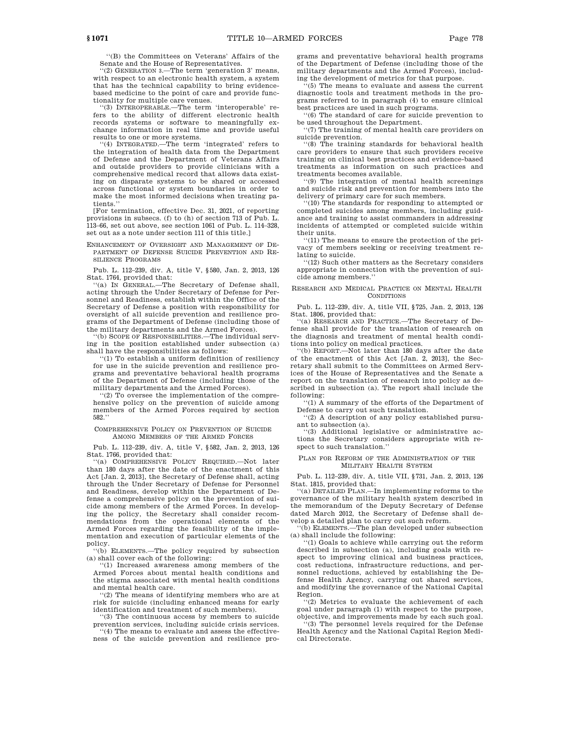''(B) the Committees on Veterans' Affairs of the Senate and the House of Representatives.

''(2) GENERATION 3.—The term 'generation 3' means, with respect to an electronic health system, a system that has the technical capability to bring evidencebased medicine to the point of care and provide functionality for multiple care venues.

''(3) INTEROPERABLE.—The term 'interoperable' refers to the ability of different electronic health records systems or software to meaningfully exchange information in real time and provide useful results to one or more systems.

''(4) INTEGRATED.—The term 'integrated' refers to the integration of health data from the Department of Defense and the Department of Veterans Affairs and outside providers to provide clinicians with a comprehensive medical record that allows data existing on disparate systems to be shared or accessed across functional or system boundaries in order to make the most informed decisions when treating patients.''

[For termination, effective Dec. 31, 2021, of reporting provisions in subsecs. (f) to (h) of section 713 of Pub. L. 113–66, set out above, see section 1061 of Pub. L. 114–328, set out as a note under section 111 of this title.]

ENHANCEMENT OF OVERSIGHT AND MANAGEMENT OF DE-PARTMENT OF DEFENSE SUICIDE PREVENTION AND RE-SILIENCE PROGRAMS

Pub. L. 112–239, div. A, title V, §580, Jan. 2, 2013, 126 Stat. 1764, provided that:

'(a) IN GENERAL.—The Secretary of Defense shall, acting through the Under Secretary of Defense for Personnel and Readiness, establish within the Office of the Secretary of Defense a position with responsibility for oversight of all suicide prevention and resilience programs of the Department of Defense (including those of the military departments and the Armed Forces).

(b) SCOPE OF RESPONSIBILITIES.—The individual serving in the position established under subsection (a) shall have the responsibilities as follows:

''(1) To establish a uniform definition of resiliency for use in the suicide prevention and resilience programs and preventative behavioral health programs of the Department of Defense (including those of the military departments and the Armed Forces).

 $(2)$  To oversee the implementation of the comprehensive policy on the prevention of suicide among members of the Armed Forces required by section 582.''

# COMPREHENSIVE POLICY ON PREVENTION OF SUICIDE AMONG MEMBERS OF THE ARMED FORCES

Pub. L. 112–239, div. A, title V, §582, Jan. 2, 2013, 126 Stat. 1766, provided that:

'(a) COMPREHENSIVE POLICY REQUIRED.-Not later than 180 days after the date of the enactment of this Act [Jan. 2, 2013], the Secretary of Defense shall, acting through the Under Secretary of Defense for Personnel and Readiness, develop within the Department of Defense a comprehensive policy on the prevention of suicide among members of the Armed Forces. In developing the policy, the Secretary shall consider recommendations from the operational elements of the Armed Forces regarding the feasibility of the implementation and execution of particular elements of the policy.

''(b) ELEMENTS.—The policy required by subsection (a) shall cover each of the following:

''(1) Increased awareness among members of the Armed Forces about mental health conditions and the stigma associated with mental health conditions and mental health care.

'(2) The means of identifying members who are at risk for suicide (including enhanced means for early identification and treatment of such members).

''(3) The continuous access by members to suicide prevention services, including suicide crisis services.

''(4) The means to evaluate and assess the effectiveness of the suicide prevention and resilience programs and preventative behavioral health programs of the Department of Defense (including those of the military departments and the Armed Forces), including the development of metrics for that purpose.

 $(5)$  The means to evaluate and assess the current diagnostic tools and treatment methods in the programs referred to in paragraph (4) to ensure clinical best practices are used in such programs.

''(6) The standard of care for suicide prevention to be used throughout the Department.

''(7) The training of mental health care providers on suicide prevention.

''(8) The training standards for behavioral health care providers to ensure that such providers receive training on clinical best practices and evidence-based treatments as information on such practices and treatments becomes available.

''(9) The integration of mental health screenings and suicide risk and prevention for members into the delivery of primary care for such members.

''(10) The standards for responding to attempted or completed suicides among members, including guidance and training to assist commanders in addressing incidents of attempted or completed suicide within their units.

''(11) The means to ensure the protection of the privacy of members seeking or receiving treatment relating to suicide.

''(12) Such other matters as the Secretary considers appropriate in connection with the prevention of suicide among members.''

RESEARCH AND MEDICAL PRACTICE ON MENTAL HEALTH **CONDITIONS** 

Pub. L. 112–239, div. A, title VII, §725, Jan. 2, 2013, 126 Stat. 1806, provided that:

''(a) RESEARCH AND PRACTICE.—The Secretary of Defense shall provide for the translation of research on the diagnosis and treatment of mental health conditions into policy on medical practices.

''(b) REPORT.—Not later than 180 days after the date of the enactment of this Act [Jan. 2, 2013], the Secretary shall submit to the Committees on Armed Services of the House of Representatives and the Senate a report on the translation of research into policy as described in subsection (a). The report shall include the following:

''(1) A summary of the efforts of the Department of Defense to carry out such translation.

''(2) A description of any policy established pursuant to subsection (a).

'(3) Additional legislative or administrative actions the Secretary considers appropriate with respect to such translation.''

# PLAN FOR REFORM OF THE ADMINISTRATION OF THE MILITARY HEALTH SYSTEM

Pub. L. 112–239, div. A, title VII, §731, Jan. 2, 2013, 126 Stat. 1815, provided that:

''(a) DETAILED PLAN.—In implementing reforms to the governance of the military health system described in the memorandum of the Deputy Secretary of Defense dated March 2012, the Secretary of Defense shall develop a detailed plan to carry out such reform.

''(b) ELEMENTS.—The plan developed under subsection (a) shall include the following:

''(1) Goals to achieve while carrying out the reform described in subsection (a), including goals with re-spect to improving clinical and business practices, cost reductions, infrastructure reductions, and personnel reductions, achieved by establishing the Defense Health Agency, carrying out shared services, and modifying the governance of the National Capital Region.

''(2) Metrics to evaluate the achievement of each goal under paragraph (1) with respect to the purpose, objective, and improvements made by each such goal.

'(3) The personnel levels required for the Defense Health Agency and the National Capital Region Medical Directorate.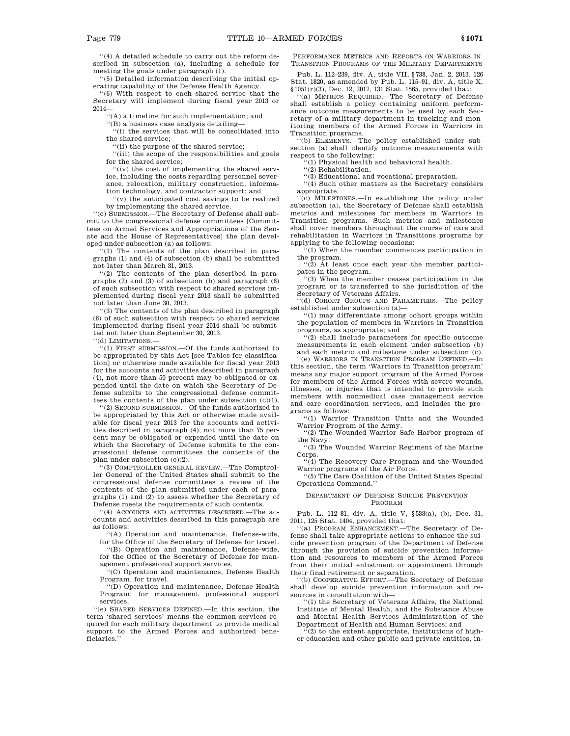''(4) A detailed schedule to carry out the reform described in subsection (a), including a schedule for meeting the goals under paragraph (1).

''(5) Detailed information describing the initial operating capability of the Defense Health Agency.

''(6) With respect to each shared service that the Secretary will implement during fiscal year 2013 or 2014—

''(A) a timeline for such implementation; and

''(B) a business case analysis detailing—

''(i) the services that will be consolidated into the shared service;

''(ii) the purpose of the shared service;

''(iii) the scope of the responsibilities and goals for the shared service;

''(iv) the cost of implementing the shared service, including the costs regarding personnel severance, relocation, military construction, information technology, and contractor support; and

''(v) the anticipated cost savings to be realized by implementing the shared service.

''(c) SUBMISSION.—The Secretary of Defense shall submit to the congressional defense committees [Committees on Armed Services and Appropriations of the Senate and the House of Representatives] the plan developed under subsection (a) as follows:

''(1) The contents of the plan described in paragraphs (1) and (4) of subsection (b) shall be submitted not later than March 31, 2013.

''(2) The contents of the plan described in paragraphs (2) and (3) of subsection (b) and paragraph (6) of such subsection with respect to shared services implemented during fiscal year 2013 shall be submitted not later than June 30, 2013.

''(3) The contents of the plan described in paragraph (6) of such subsection with respect to shared services implemented during fiscal year 2014 shall be submitted not later than September 30, 2013.

''(d) LIMITATIONS.—

''(1) FIRST SUBMISSION.—Of the funds authorized to be appropriated by this Act [see Tables for classification] or otherwise made available for fiscal year 2013 for the accounts and activities described in paragraph (4), not more than 50 percent may be obligated or expended until the date on which the Secretary of Defense submits to the congressional defense committees the contents of the plan under subsection  $(c)(1)$ .

'(2) SECOND SUBMISSION.—Of the funds authorized to be appropriated by this Act or otherwise made available for fiscal year 2013 for the accounts and activities described in paragraph (4), not more than 75 percent may be obligated or expended until the date on which the Secretary of Defense submits to the congressional defense committees the contents of the plan under subsection (c)(2).

''(3) COMPTROLLER GENERAL REVIEW.—The Comptroller General of the United States shall submit to the congressional defense committees a review of the contents of the plan submitted under each of paragraphs (1) and (2) to assess whether the Secretary of Defense meets the requirements of such contents.

''(4) ACCOUNTS AND ACTIVITIES DESCRIBED.—The accounts and activities described in this paragraph are as follows:

''(A) Operation and maintenance, Defense-wide, for the Office of the Secretary of Defense for travel.

''(B) Operation and maintenance, Defense-wide, for the Office of the Secretary of Defense for man-

agement professional support services. ''(C) Operation and maintenance, Defense Health Program, for travel.

''(D) Operation and maintenance, Defense Health Program, for management professional support services.

''(e) SHARED SERVICES DEFINED.—In this section, the term 'shared services' means the common services required for each military department to provide medical support to the Armed Forces and authorized beneficiaries.''

PERFORMANCE METRICS AND REPORTS ON WARRIORS IN TRANSITION PROGRAMS OF THE MILITARY DEPARTMENTS

Pub. L. 112–239, div. A, title VII, §738, Jan. 2, 2013, 126 Stat. 1820, as amended by Pub. L. 115–91, div. A, title X, §1051(r)(3), Dec. 12, 2017, 131 Stat. 1565, provided that:

''(a) METRICS REQUIRED.—The Secretary of Defense shall establish a policy containing uniform performance outcome measurements to be used by each Secretary of a military department in tracking and monitoring members of the Armed Forces in Warriors in Transition programs.

''(b) ELEMENTS.—The policy established under subsection (a) shall identify outcome measurements with respect to the following:

''(1) Physical health and behavioral health.

 $\lq\lq (2)$ Rehabilitation.

''(3) Educational and vocational preparation.

''(4) Such other matters as the Secretary considers appropriate.

''(c) MILESTONES.—In establishing the policy under subsection (a), the Secretary of Defense shall establish metrics and milestones for members in Warriors in Transition programs. Such metrics and milestones shall cover members throughout the course of care and rehabilitation in Warriors in Transitions programs by applying to the following occasions:

'(1) When the member commences participation in the program.

''(2) At least once each year the member participates in the program.

''(3) When the member ceases participation in the program or is transferred to the jurisdiction of the Secretary of Veterans Affairs.

''(d) COHORT GROUPS AND PARAMETERS.—The policy established under subsection (a)—

''(1) may differentiate among cohort groups within the population of members in Warriors in Transition programs, as appropriate; and

''(2) shall include parameters for specific outcome measurements in each element under subsection (b) and each metric and milestone under subsection (c).

''(e) WARRIORS IN TRANSITION PROGRAM DEFINED.—In this section, the term 'Warriors in Transition program' means any major support program of the Armed Forces for members of the Armed Forces with severe wounds, illnesses, or injuries that is intended to provide such members with nonmedical case management service and care coordination services, and includes the programs as follows:

''(1) Warrior Transition Units and the Wounded Warrior Program of the Army.

''(2) The Wounded Warrior Safe Harbor program of the Navy.

''(3) The Wounded Warrior Regiment of the Marine Corps.

 $\widehat{A}(4)$  The Recovery Care Program and the Wounded Warrior programs of the Air Force.

'(5) The Care Coalition of the United States Special Operations Command.''

# DEPARTMENT OF DEFENSE SUICIDE PREVENTION PROGRAM

Pub. L. 112–81, div. A, title V, §533(a), (b), Dec. 31, 2011, 125 Stat. 1404, provided that:

''(a) PROGRAM ENHANCEMENT.—The Secretary of Defense shall take appropriate actions to enhance the suicide prevention program of the Department of Defense through the provision of suicide prevention information and resources to members of the Armed Forces from their initial enlistment or appointment through their final retirement or separation.

''(b) COOPERATIVE EFFORT.—The Secretary of Defense shall develop suicide prevention information and resources in consultation with—

''(1) the Secretary of Veterans Affairs, the National Institute of Mental Health, and the Substance Abuse and Mental Health Services Administration of the Department of Health and Human Services; and

''(2) to the extent appropriate, institutions of higher education and other public and private entities, in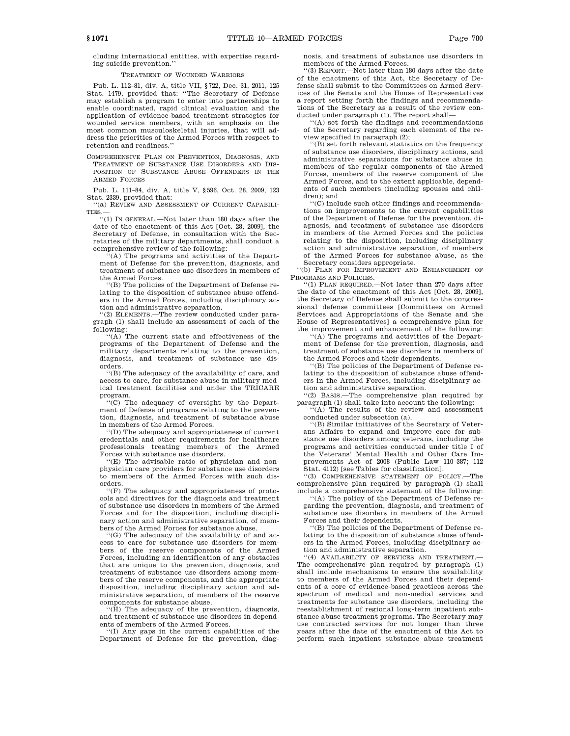cluding international entities, with expertise regarding suicide prevention.''

#### TREATMENT OF WOUNDED WARRIORS

Pub. L. 112–81, div. A, title VII, §722, Dec. 31, 2011, 125 Stat. 1479, provided that: ''The Secretary of Defense may establish a program to enter into partnerships to enable coordinated, rapid clinical evaluation and the application of evidence-based treatment strategies for wounded service members, with an emphasis on the most common musculoskeletal injuries, that will address the priorities of the Armed Forces with respect to retention and readiness.''

COMPREHENSIVE PLAN ON PREVENTION, DIAGNOSIS, AND TREATMENT OF SUBSTANCE USE DISORDERS AND DIS-POSITION OF SUBSTANCE ABUSE OFFENDERS IN THE ARMED FORCES

Pub. L. 111–84, div. A, title V, §596, Oct. 28, 2009, 123 Stat. 2339, provided that:

''(a) REVIEW AND ASSESSMENT OF CURRENT CAPABILI-TIES.

''(1) IN GENERAL.—Not later than 180 days after the date of the enactment of this Act [Oct. 28, 2009], the Secretary of Defense, in consultation with the Secretaries of the military departments, shall conduct a comprehensive review of the following:

 $f(A)$  The programs and activities of the Department of Defense for the prevention, diagnosis, and treatment of substance use disorders in members of the Armed Forces.

''(B) The policies of the Department of Defense relating to the disposition of substance abuse offenders in the Armed Forces, including disciplinary action and administrative separation.

''(2) ELEMENTS.—The review conducted under paragraph (1) shall include an assessment of each of the following:

''(A) The current state and effectiveness of the programs of the Department of Defense and the military departments relating to the prevention, diagnosis, and treatment of substance use disorders.

''(B) The adequacy of the availability of care, and access to care, for substance abuse in military medical treatment facilities and under the TRICARE program.

''(C) The adequacy of oversight by the Department of Defense of programs relating to the prevention, diagnosis, and treatment of substance abuse in members of the Armed Forces.

''(D) The adequacy and appropriateness of current credentials and other requirements for healthcare professionals treating members of the Armed Forces with substance use disorders.

''(E) The advisable ratio of physician and nonphysician care providers for substance use disorders to members of the Armed Forces with such disorders.

''(F) The adequacy and appropriateness of protocols and directives for the diagnosis and treatment of substance use disorders in members of the Armed Forces and for the disposition, including disciplinary action and administrative separation, of members of the Armed Forces for substance abuse.

''(G) The adequacy of the availability of and access to care for substance use disorders for members of the reserve components of the Armed Forces, including an identification of any obstacles that are unique to the prevention, diagnosis, and treatment of substance use disorders among members of the reserve components, and the appropriate disposition, including disciplinary action and administrative separation, of members of the reserve components for substance abuse.

''(H) The adequacy of the prevention, diagnosis, and treatment of substance use disorders in dependents of members of the Armed Forces.

''(I) Any gaps in the current capabilities of the Department of Defense for the prevention, diagnosis, and treatment of substance use disorders in members of the Armed Forces.

''(3) REPORT.—Not later than 180 days after the date of the enactment of this Act, the Secretary of Defense shall submit to the Committees on Armed Services of the Senate and the House of Representatives a report setting forth the findings and recommendations of the Secretary as a result of the review conducted under paragraph (1). The report shall—

'(A) set forth the findings and recommendations of the Secretary regarding each element of the review specified in paragraph (2);

''(B) set forth relevant statistics on the frequency of substance use disorders, disciplinary actions, and administrative separations for substance abuse in members of the regular components of the Armed Forces, members of the reserve component of the Armed Forces, and to the extent applicable, dependents of such members (including spouses and children); and

''(C) include such other findings and recommendations on improvements to the current capabilities of the Department of Defense for the prevention, diagnosis, and treatment of substance use disorders in members of the Armed Forces and the policies relating to the disposition, including disciplinary action and administrative separation, of members of the Armed Forces for substance abuse, as the Secretary considers appropriate.

''(b) PLAN FOR IMPROVEMENT AND ENHANCEMENT OF PROGRAMS AND POLICIES.—

''(1) PLAN REQUIRED.—Not later than 270 days after the date of the enactment of this Act [Oct. 28, 2009], the Secretary of Defense shall submit to the congressional defense committees [Committees on Armed Services and Appropriations of the Senate and the House of Representatives] a comprehensive plan for the improvement and enhancement of the following:

''(A) The programs and activities of the Department of Defense for the prevention, diagnosis, and treatment of substance use disorders in members of the Armed Forces and their dependents.

''(B) The policies of the Department of Defense relating to the disposition of substance abuse offenders in the Armed Forces, including disciplinary action and administrative separation.

'(2) BASIS.—The comprehensive plan required by paragraph (1) shall take into account the following:

''(A) The results of the review and assessment conducted under subsection (a).

''(B) Similar initiatives of the Secretary of Veterans Affairs to expand and improve care for substance use disorders among veterans, including the programs and activities conducted under title I of the Veterans' Mental Health and Other Care Improvements Act of 2008 (Public Law 110–387; 112 Stat. 4112) [see Tables for classification].

''(3) COMPREHENSIVE STATEMENT OF POLICY.—The comprehensive plan required by paragraph (1) shall include a comprehensive statement of the following:

''(A) The policy of the Department of Defense regarding the prevention, diagnosis, and treatment of substance use disorders in members of the Armed Forces and their dependents.

''(B) The policies of the Department of Defense relating to the disposition of substance abuse offenders in the Armed Forces, including disciplinary action and administrative separation.

''(4) AVAILABILITY OF SERVICES AND TREATMENT.— The comprehensive plan required by paragraph (1) shall include mechanisms to ensure the availability to members of the Armed Forces and their dependents of a core of evidence-based practices across the spectrum of medical and non-medial services and treatments for substance use disorders, including the reestablishment of regional long-term inpatient substance abuse treatment programs. The Secretary may use contracted services for not longer than three years after the date of the enactment of this Act to perform such inpatient substance abuse treatment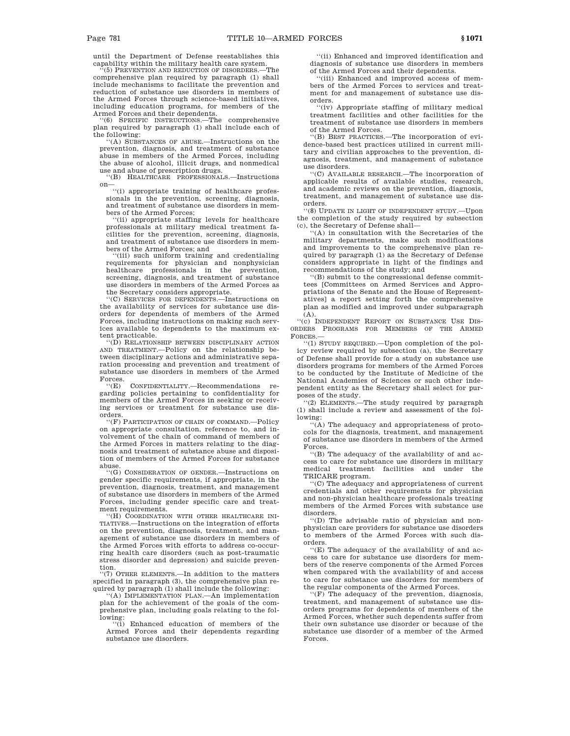until the Department of Defense reestablishes this capability within the military health care system.

''(5) PREVENTION AND REDUCTION OF DISORDERS.—The comprehensive plan required by paragraph (1) shall include mechanisms to facilitate the prevention and reduction of substance use disorders in members of the Armed Forces through science-based initiatives, including education programs, for members of the Armed Forces and their dependents.

''(6) SPECIFIC INSTRUCTIONS.—The comprehensive plan required by paragraph (1) shall include each of the following:

''(A) SUBSTANCES OF ABUSE.—Instructions on the prevention, diagnosis, and treatment of substance abuse in members of the Armed Forces, including the abuse of alcohol, illicit drugs, and nonmedical use and abuse of prescription drugs.

''(B) HEALTHCARE PROFESSIONALS.—Instructions on—

''(i) appropriate training of healthcare professionals in the prevention, screening, diagnosis, and treatment of substance use disorders in members of the Armed Forces;

''(ii) appropriate staffing levels for healthcare professionals at military medical treatment facilities for the prevention, screening, diagnosis, and treatment of substance use disorders in members of the Armed Forces; and

'(iii) such uniform training and credentialing requirements for physician and nonphysician healthcare professionals in the prevention, screening, diagnosis, and treatment of substance use disorders in members of the Armed Forces as the Secretary considers appropriate.

''(C) SERVICES FOR DEPENDENTS.—Instructions on the availability of services for substance use disorders for dependents of members of the Armed Forces, including instructions on making such services available to dependents to the maximum extent practicable.

''(D) RELATIONSHIP BETWEEN DISCIPLINARY ACTION AND TREATMENT.—Policy on the relationship between disciplinary actions and administrative separation processing and prevention and treatment of substance use disorders in members of the Armed

Forces. ''(E) CONFIDENTIALITY.—Recommendations regarding policies pertaining to confidentiality for members of the Armed Forces in seeking or receiving services or treatment for substance use disorders.

''(F) PARTICIPATION OF CHAIN OF COMMAND.—Policy on appropriate consultation, reference to, and involvement of the chain of command of members of the Armed Forces in matters relating to the diagnosis and treatment of substance abuse and disposition of members of the Armed Forces for substance abuse.

''(G) CONSIDERATION OF GENDER.—Instructions on gender specific requirements, if appropriate, in the prevention, diagnosis, treatment, and management of substance use disorders in members of the Armed Forces, including gender specific care and treatment requirements.

'(H) COORDINATION WITH OTHER HEALTHCARE INI-TIATIVES.—Instructions on the integration of efforts on the prevention, diagnosis, treatment, and management of substance use disorders in members of the Armed Forces with efforts to address co-occurring health care disorders (such as post-traumatic stress disorder and depression) and suicide prevention.

''(7) OTHER ELEMENTS.—In addition to the matters specified in paragraph (3), the comprehensive plan required by paragraph (1) shall include the following:

''(A) IMPLEMENTATION PLAN.—An implementation plan for the achievement of the goals of the comprehensive plan, including goals relating to the following:

''(i) Enhanced education of members of the Armed Forces and their dependents regarding substance use disorders.

''(ii) Enhanced and improved identification and diagnosis of substance use disorders in members of the Armed Forces and their dependents.

''(iii) Enhanced and improved access of members of the Armed Forces to services and treatment for and management of substance use disorders.

''(iv) Appropriate staffing of military medical treatment facilities and other facilities for the treatment of substance use disorders in members of the Armed Forces.

''(B) BEST PRACTICES.—The incorporation of evidence-based best practices utilized in current military and civilian approaches to the prevention, diagnosis, treatment, and management of substance use disorders.

''(C) AVAILABLE RESEARCH.—The incorporation of applicable results of available studies, research, and academic reviews on the prevention, diagnosis, treatment, and management of substance use disorders.

''(8) UPDATE IN LIGHT OF INDEPENDENT STUDY.—Upon the completion of the study required by subsection (c), the Secretary of Defense shall—

''(A) in consultation with the Secretaries of the military departments, make such modifications and improvements to the comprehensive plan required by paragraph (1) as the Secretary of Defense considers appropriate in light of the findings and recommendations of the study; and

''(B) submit to the congressional defense committees [Committees on Armed Services and Appropriations of the Senate and the House of Representatives] a report setting forth the comprehensive plan as modified and improved under subparagraph  $(A)$ .

''(c) INDEPENDENT REPORT ON SUBSTANCE USE DIS-ORDERS PROGRAMS FOR MEMBERS OF THE ARMED FORCES.—

'(1) STUDY REQUIRED.—Upon completion of the policy review required by subsection (a), the Secretary of Defense shall provide for a study on substance use disorders programs for members of the Armed Forces to be conducted by the Institute of Medicine of the National Academies of Sciences or such other independent entity as the Secretary shall select for pur-

poses of the study. ''(2) ELEMENTS.—The study required by paragraph (1) shall include a review and assessment of the following:

''(A) The adequacy and appropriateness of protocols for the diagnosis, treatment, and management of substance use disorders in members of the Armed Forces.

''(B) The adequacy of the availability of and access to care for substance use disorders in military medical treatment facilities and under the TRICARE program.

''(C) The adequacy and appropriateness of current credentials and other requirements for physician and non-physician healthcare professionals treating members of the Armed Forces with substance use disorders.

''(D) The advisable ratio of physician and nonphysician care providers for substance use disorders to members of the Armed Forces with such disorders.

''(E) The adequacy of the availability of and access to care for substance use disorders for members of the reserve components of the Armed Forces when compared with the availability of and access to care for substance use disorders for members of the regular components of the Armed Forces.

''(F) The adequacy of the prevention, diagnosis, treatment, and management of substance use disorders programs for dependents of members of the Armed Forces, whether such dependents suffer from their own substance use disorder or because of the substance use disorder of a member of the Armed Forces.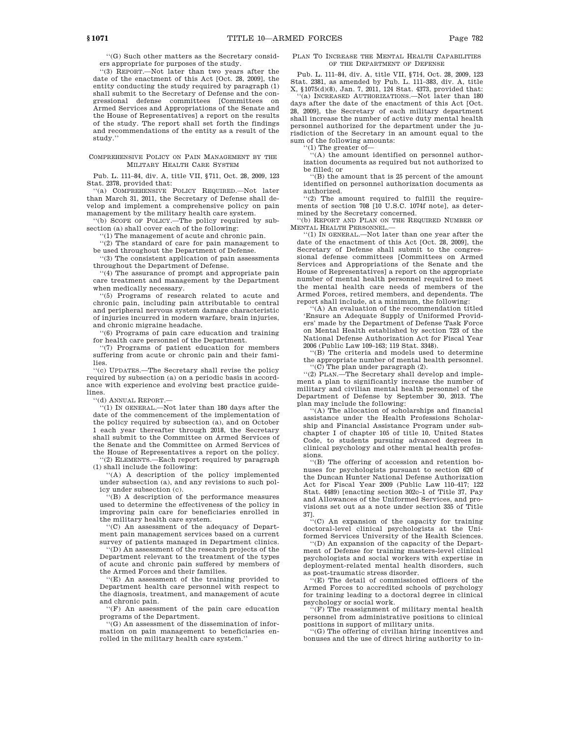''(G) Such other matters as the Secretary considers appropriate for purposes of the study.

''(3) REPORT.—Not later than two years after the date of the enactment of this Act [Oct. 28, 2009], the entity conducting the study required by paragraph (1) shall submit to the Secretary of Defense and the congressional defense committees [Committees on Armed Services and Appropriations of the Senate and the House of Representatives] a report on the results of the study. The report shall set forth the findings and recommendations of the entity as a result of the study.''

# COMPREHENSIVE POLICY ON PAIN MANAGEMENT BY THE MILITARY HEALTH CARE SYSTEM

Pub. L. 111–84, div. A, title VII, §711, Oct. 28, 2009, 123 Stat. 2378, provided that:

''(a) COMPREHENSIVE POLICY REQUIRED.—Not later than March 31, 2011, the Secretary of Defense shall develop and implement a comprehensive policy on pain management by the military health care system.

'(b) SCOPE OF POLICY.—The policy required by subsection (a) shall cover each of the following:

''(1) The management of acute and chronic pain.

''(2) The standard of care for pain management to be used throughout the Department of Defense.

''(3) The consistent application of pain assessments throughout the Department of Defense.

''(4) The assurance of prompt and appropriate pain care treatment and management by the Department when medically necessary.

''(5) Programs of research related to acute and chronic pain, including pain attributable to central and peripheral nervous system damage characteristic of injuries incurred in modern warfare, brain injuries, and chronic migraine headache.

''(6) Programs of pain care education and training for health care personnel of the Department.

''(7) Programs of patient education for members suffering from acute or chronic pain and their families.

''(c) UPDATES.—The Secretary shall revise the policy required by subsection (a) on a periodic basis in accordance with experience and evolving best practice guidelines.

''(d) ANNUAL REPORT.—

''(1) IN GENERAL.—Not later than 180 days after the date of the commencement of the implementation of the policy required by subsection (a), and on October 1 each year thereafter through 2018, the Secretary shall submit to the Committee on Armed Services of the Senate and the Committee on Armed Services of the House of Representatives a report on the policy.

''(2) ELEMENTS.—Each report required by paragraph (1) shall include the following:

''(A) A description of the policy implemented under subsection (a), and any revisions to such policy under subsection (c).

''(B) A description of the performance measures used to determine the effectiveness of the policy in improving pain care for beneficiaries enrolled in the military health care system.

''(C) An assessment of the adequacy of Department pain management services based on a current survey of patients managed in Department clinics.

''(D) An assessment of the research projects of the Department relevant to the treatment of the types of acute and chronic pain suffered by members of the Armed Forces and their families.

'(E) An assessment of the training provided to Department health care personnel with respect to the diagnosis, treatment, and management of acute and chronic pain.

''(F) An assessment of the pain care education programs of the Department.

''(G) An assessment of the dissemination of information on pain management to beneficiaries enrolled in the military health care system.''

PLAN TO INCREASE THE MENTAL HEALTH CAPABILITIES OF THE DEPARTMENT OF DEFENSE

Pub. L. 111–84, div. A, title VII, §714, Oct. 28, 2009, 123 Stat. 2381, as amended by Pub. L. 111–383, div. A, title

X, §1075(d)(8), Jan. 7, 2011, 124 Stat. 4373, provided that: ''(a) INCREASED AUTHORIZATIONS.—Not later than 180 days after the date of the enactment of this Act [Oct. 28, 2009], the Secretary of each military department shall increase the number of active duty mental health personnel authorized for the department under the jurisdiction of the Secretary in an amount equal to the sum of the following amounts:

'(1) The greater of-

''(A) the amount identified on personnel authorization documents as required but not authorized to be filled; or

''(B) the amount that is 25 percent of the amount identified on personnel authorization documents as authorized.

''(2) The amount required to fulfill the requirements of section 708 [10 U.S.C. 1074f note], as determined by the Secretary concerned.

''(b) REPORT AND PLAN ON THE REQUIRED NUMBER OF MENTAL HEALTH PERSONNEL.—

''(1) IN GENERAL.—Not later than one year after the date of the enactment of this Act [Oct. 28, 2009], the Secretary of Defense shall submit to the congressional defense committees [Committees on Armed Services and Appropriations of the Senate and the House of Representatives] a report on the appropriate number of mental health personnel required to meet the mental health care needs of members of the Armed Forces, retired members, and dependents. The report shall include, at a minimum, the following:

''(A) An evaluation of the recommendation titled 'Ensure an Adequate Supply of Uniformed Providers' made by the Department of Defense Task Force on Mental Health established by section 723 of the National Defense Authorization Act for Fiscal Year 2006 (Public Law 109–163; 119 Stat. 3348).

''(B) The criteria and models used to determine the appropriate number of mental health personnel. ''(C) The plan under paragraph (2).

''(2) PLAN.—The Secretary shall develop and implement a plan to significantly increase the number of military and civilian mental health personnel of the Department of Defense by September 30, 2013. The plan may include the following:

''(A) The allocation of scholarships and financial assistance under the Health Professions Scholarship and Financial Assistance Program under subchapter I of chapter 105 of title 10, United States Code, to students pursuing advanced degrees in clinical psychology and other mental health professions.

''(B) The offering of accession and retention bonuses for psychologists pursuant to section 620 of the Duncan Hunter National Defense Authorization Act for Fiscal Year 2009 (Public Law 110–417; 122 Stat. 4489) [enacting section 302c–1 of Title 37, Pay and Allowances of the Uniformed Services, and provisions set out as a note under section 335 of Title

37]. ''(C) An expansion of the capacity for training doctoral-level clinical psychologists at the Uniformed Services University of the Health Sciences.

''(D) An expansion of the capacity of the Department of Defense for training masters-level clinical psychologists and social workers with expertise in deployment-related mental health disorders, such as post-traumatic stress disorder.

''(E) The detail of commissioned officers of the Armed Forces to accredited schools of psychology for training leading to a doctoral degree in clinical psychology or social work.

 $\lq(\mathbf{F})$  The reassignment of military mental health personnel from administrative positions to clinical positions in support of military units.

''(G) The offering of civilian hiring incentives and bonuses and the use of direct hiring authority to in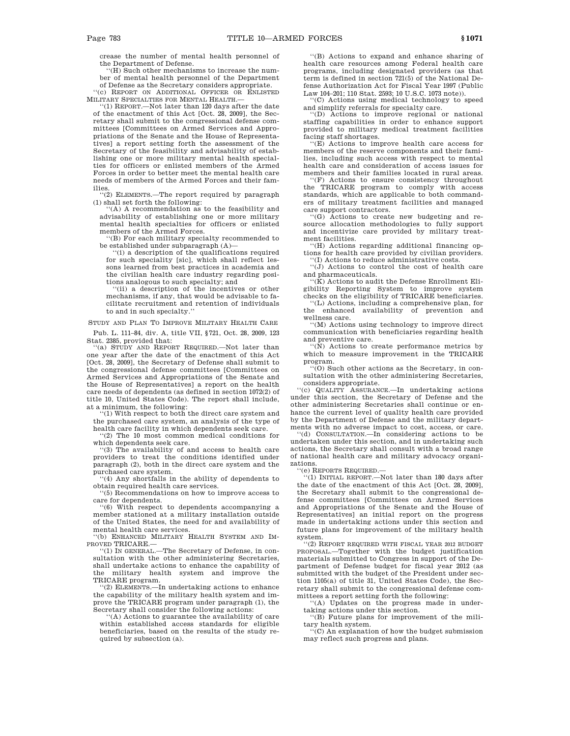crease the number of mental health personnel of the Department of Defense.

''(H) Such other mechanisms to increase the number of mental health personnel of the Department

of Defense as the Secretary considers appropriate. ''(c) REPORT ON ADDITIONAL OFFICER OR ENLISTED MILITARY SPECIALTIES FOR MENTAL HEALTH.—

''(1) REPORT.—Not later than 120 days after the date of the enactment of this Act [Oct. 28, 2009], the Secretary shall submit to the congressional defense committees [Committees on Armed Services and Appropriations of the Senate and the House of Representatives] a report setting forth the assessment of the Secretary of the feasibility and advisability of establishing one or more military mental health specialties for officers or enlisted members of the Armed Forces in order to better meet the mental health care needs of members of the Armed Forces and their families.

''(2) ELEMENTS.—The report required by paragraph (1) shall set forth the following: ''(A) A recommendation as to the feasibility and

advisability of establishing one or more military mental health specialties for officers or enlisted members of the Armed Forces.

''(B) For each military specialty recommended to be established under subparagraph (A)—

''(i) a description of the qualifications required for such speciality [sic], which shall reflect lessons learned from best practices in academia and the civilian health care industry regarding positions analogous to such specialty; and

''(ii) a description of the incentives or other mechanisms, if any, that would be advisable to facilitate recruitment and retention of individuals to and in such specialty.''

STUDY AND PLAN TO IMPROVE MILITARY HEALTH CARE

Pub. L. 111–84, div. A, title VII, §721, Oct. 28, 2009, 123 Stat. 2385, provided that:

'(a) STUDY AND REPORT REQUIRED.-Not later than one year after the date of the enactment of this Act [Oct. 28, 2009], the Secretary of Defense shall submit to the congressional defense committees [Committees on Armed Services and Appropriations of the Senate and the House of Representatives] a report on the health care needs of dependents (as defined in section 1072(2) of title 10, United States Code). The report shall include, at a minimum, the following:

''(1) With respect to both the direct care system and the purchased care system, an analysis of the type of health care facility in which dependents seek care.

''(2) The 10 most common medical conditions for

which dependents seek care. ''(3) The availability of and access to health care providers to treat the conditions identified under paragraph (2), both in the direct care system and the purchased care system.

''(4) Any shortfalls in the ability of dependents to obtain required health care services.

''(5) Recommendations on how to improve access to care for dependents.

''(6) With respect to dependents accompanying a member stationed at a military installation outside of the United States, the need for and availability of mental health care services.

''(b) ENHANCED MILITARY HEALTH SYSTEM AND IM-PROVED TRICARE.—

''(1) IN GENERAL.—The Secretary of Defense, in consultation with the other administering Secretaries, shall undertake actions to enhance the capability of the military health system and improve the TRICARE program.

''(2) ELEMENTS.—In undertaking actions to enhance the capability of the military health system and improve the TRICARE program under paragraph (1), the Secretary shall consider the following actions:

''(A) Actions to guarantee the availability of care within established access standards for eligible beneficiaries, based on the results of the study required by subsection (a).

''(B) Actions to expand and enhance sharing of health care resources among Federal health care programs, including designated providers (as that term is defined in section 721(5) of the National Defense Authorization Act for Fiscal Year 1997 (Public Law 104–201; 110 Stat. 2593; 10 U.S.C. 1073 note)).

''(C) Actions using medical technology to speed and simplify referrals for specialty care.

''(D) Actions to improve regional or national staffing capabilities in order to enhance support provided to military medical treatment facilities facing staff shortages.

''(E) Actions to improve health care access for members of the reserve components and their families, including such access with respect to mental health care and consideration of access issues for members and their families located in rural areas.

''(F) Actions to ensure consistency throughout the TRICARE program to comply with access standards, which are applicable to both commanders of military treatment facilities and managed care support contractors.

''(G) Actions to create new budgeting and resource allocation methodologies to fully support and incentivize care provided by military treatment facilities.

''(H) Actions regarding additional financing options for health care provided by civilian providers.

'(I) Actions to reduce administrative costs ''(J) Actions to control the cost of health care and pharmaceuticals.

 $``(\overline{K})$  Actions to audit the Defense Enrollment Eli-

gibility Reporting System to improve system checks on the eligibility of TRICARE beneficiaries. ''(L) Actions, including a comprehensive plan, for

the enhanced availability of prevention and wellness care.

''(M) Actions using technology to improve direct communication with beneficiaries regarding health and preventive care.

''(N) Actions to create performance metrics by which to measure improvement in the TRICARE program.

''(O) Such other actions as the Secretary, in consultation with the other administering Secretaries, considers appropriate.

''(c) QUALITY ASSURANCE.—In undertaking actions under this section, the Secretary of Defense and the other administering Secretaries shall continue or enhance the current level of quality health care provided by the Department of Defense and the military departments with no adverse impact to cost, access, or care.

''(d) CONSULTATION.—In considering actions to be undertaken under this section, and in undertaking such actions, the Secretary shall consult with a broad range of national health care and military advocacy organizations.

'(e) REPORTS REQUIRED.

''(1) INITIAL REPORT.—Not later than 180 days after the date of the enactment of this Act [Oct. 28, 2009], the Secretary shall submit to the congressional defense committees [Committees on Armed Services and Appropriations of the Senate and the House of Representatives] an initial report on the progress made in undertaking actions under this section and future plans for improvement of the military health system.

''(2) REPORT REQUIRED WITH FISCAL YEAR 2012 BUDGET PROPOSAL.—Together with the budget justification materials submitted to Congress in support of the Department of Defense budget for fiscal year 2012 (as submitted with the budget of the President under section 1105(a) of title 31, United States Code), the Secretary shall submit to the congressional defense committees a report setting forth the following:

''(A) Updates on the progress made in undertaking actions under this section.

''(B) Future plans for improvement of the military health system. ''(C) An explanation of how the budget submission

may reflect such progress and plans.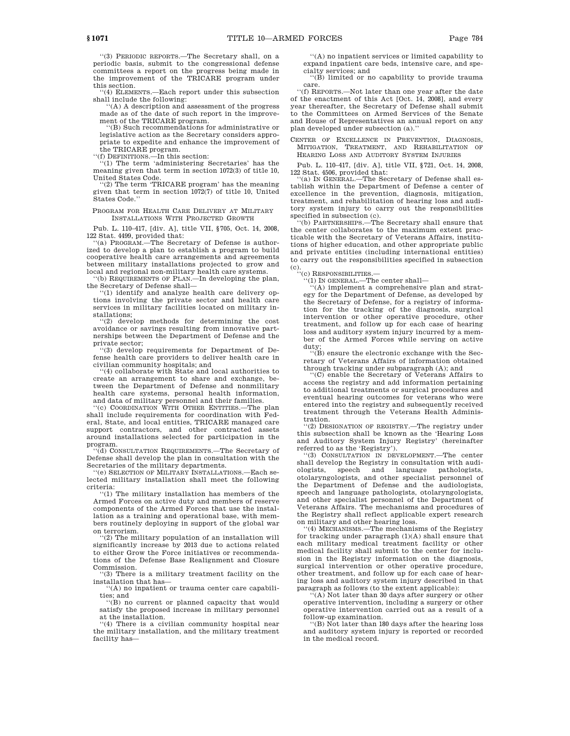''(3) PERIODIC REPORTS.—The Secretary shall, on a periodic basis, submit to the congressional defense committees a report on the progress being made in the improvement of the TRICARE program under this section.

''(4) ELEMENTS.—Each report under this subsection shall include the following:

''(A) A description and assessment of the progress made as of the date of such report in the improvement of the TRICARE program.

''(B) Such recommendations for administrative or legislative action as the Secretary considers appropriate to expedite and enhance the improvement of the TRICARE program.

''(f) DEFINITIONS.—In this section: ''(1) The term 'administering Secretaries' has the meaning given that term in section 1072(3) of title 10, United States Code.

''(2) The term 'TRICARE program' has the meaning given that term in section 1072(7) of title 10, United States Code.''

#### PROGRAM FOR HEALTH CARE DELIVERY AT MILITARY INSTALLATIONS WITH PROJECTED GROWTH

Pub. L. 110–417, [div. A], title VII, §705, Oct. 14, 2008, 122 Stat. 4499, provided that:

''(a) PROGRAM.—The Secretary of Defense is authorized to develop a plan to establish a program to build cooperative health care arrangements and agreements between military installations projected to grow and local and regional non-military health care systems.

''(b) REQUIREMENTS OF PLAN.—In developing the plan,

the Secretary of Defense shall— ''(1) identify and analyze health care delivery options involving the private sector and health care services in military facilities located on military installations;

''(2) develop methods for determining the cost avoidance or savings resulting from innovative partnerships between the Department of Defense and the private sector;

''(3) develop requirements for Department of Defense health care providers to deliver health care in

civilian community hospitals; and ''(4) collaborate with State and local authorities to create an arrangement to share and exchange, between the Department of Defense and nonmilitary health care systems, personal health information,

and data of military personnel and their families. ''(c) COORDINATION WITH OTHER ENTITIES.—The plan shall include requirements for coordination with Federal, State, and local entities, TRICARE managed care support contractors, and other contracted assets around installations selected for participation in the program.

(d) CONSULTATION REQUIREMENTS.—The Secretary of Defense shall develop the plan in consultation with the Secretaries of the military departments.

''(e) SELECTION OF MILITARY INSTALLATIONS.—Each selected military installation shall meet the following criteria:

''(1) The military installation has members of the Armed Forces on active duty and members of reserve components of the Armed Forces that use the installation as a training and operational base, with members routinely deploying in support of the global war on terrorism.

''(2) The military population of an installation will significantly increase by 2013 due to actions related to either Grow the Force initiatives or recommendations of the Defense Base Realignment and Closure

Commission. ''(3) There is a military treatment facility on the installation that has—

'(A) no inpatient or trauma center care capabilities; and

''(B) no current or planned capacity that would satisfy the proposed increase in military personnel at the installation.

''(4) There is a civilian community hospital near the military installation, and the military treatment facility has—

''(A) no inpatient services or limited capability to expand inpatient care beds, intensive care, and specialty services; and

''(B) limited or no capability to provide trauma care.

'(f) REPORTS.—Not later than one year after the date of the enactment of this Act [Oct. 14, 2008], and every year thereafter, the Secretary of Defense shall submit to the Committees on Armed Services of the Senate and House of Representatives an annual report on any plan developed under subsection (a).

CENTER OF EXCELLENCE IN PREVENTION, DIAGNOSIS, MITIGATION, TREATMENT, AND REHABILITATION OF HEARING LOSS AND AUDITORY SYSTEM INJURIES

Pub. L. 110–417, [div. A], title VII, §721, Oct. 14, 2008, 122 Stat. 4506, provided that:

(a) IN GENERAL.—The Secretary of Defense shall establish within the Department of Defense a center of excellence in the prevention, diagnosis, mitigation, treatment, and rehabilitation of hearing loss and auditory system injury to carry out the responsibilities specified in subsection (c).

''(b) PARTNERSHIPS.—The Secretary shall ensure that the center collaborates to the maximum extent practicable with the Secretary of Veterans Affairs, institutions of higher education, and other appropriate public and private entities (including international entities) to carry out the responsibilities specified in subsection (c). ''(c) RESPONSIBILITIES.—

''(1) IN GENERAL.—The center shall— ''(A) implement a comprehensive plan and strategy for the Department of Defense, as developed by the Secretary of Defense, for a registry of information for the tracking of the diagnosis, surgical intervention or other operative procedure, other treatment, and follow up for each case of hearing loss and auditory system injury incurred by a member of the Armed Forces while serving on active

duty; ''(B) ensure the electronic exchange with the Secretary of Veterans Affairs of information obtained through tracking under subparagraph (A); and

'(C) enable the Secretary of Veterans Affairs to access the registry and add information pertaining to additional treatments or surgical procedures and eventual hearing outcomes for veterans who were entered into the registry and subsequently received treatment through the Veterans Health Administration.

''(2) DESIGNATION OF REGISTRY.—The registry under this subsection shall be known as the 'Hearing Loss and Auditory System Injury Registry' (hereinafter referred to as the 'Registry').

''(3) CONSULTATION IN DEVELOPMENT.—The center shall develop the Registry in consultation with audiologists, speech and language pathologists, otolaryngologists, and other specialist personnel of the Department of Defense and the audiologists, speech and language pathologists, otolaryngologists, and other specialist personnel of the Department of Veterans Affairs. The mechanisms and procedures of the Registry shall reflect applicable expert research on military and other hearing loss.

''(4) MECHANISMS.—The mechanisms of the Registry for tracking under paragraph  $(1)(\mathbf{A})$  shall ensure that each military medical treatment facility or other medical facility shall submit to the center for inclusion in the Registry information on the diagnosis, surgical intervention or other operative procedure, other treatment, and follow up for each case of hearing loss and auditory system injury described in that paragraph as follows (to the extent applicable):

''(A) Not later than 30 days after surgery or other operative intervention, including a surgery or other operative intervention carried out as a result of a follow-up examination.

'(B) Not later than 180 days after the hearing loss and auditory system injury is reported or recorded in the medical record.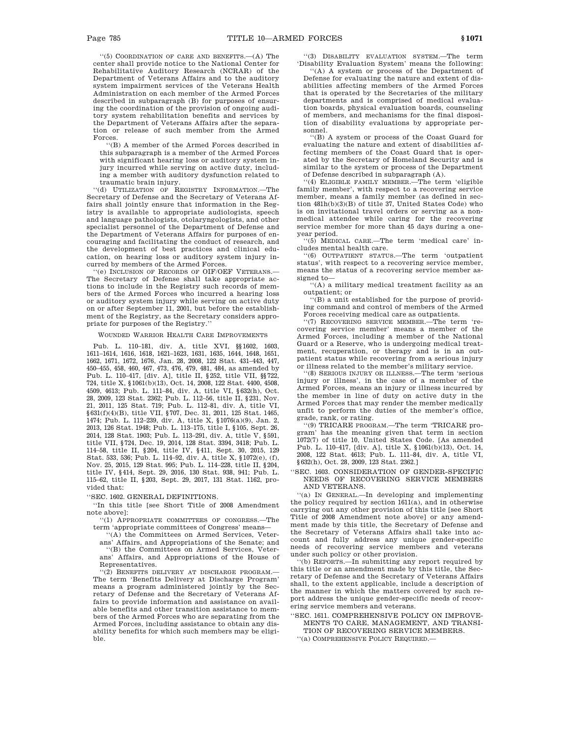''(5) COORDINATION OF CARE AND BENEFITS.—(A) The center shall provide notice to the National Center for Rehabilitative Auditory Research (NCRAR) of the Department of Veterans Affairs and to the auditory system impairment services of the Veterans Health Administration on each member of the Armed Forces described in subparagraph (B) for purposes of ensuring the coordination of the provision of ongoing auditory system rehabilitation benefits and services by the Department of Veterans Affairs after the separation or release of such member from the Armed Forces.

''(B) A member of the Armed Forces described in this subparagraph is a member of the Armed Forces with significant hearing loss or auditory system injury incurred while serving on active duty, including a member with auditory dysfunction related to traumatic brain injury.

''(d) UTILIZATION OF REGISTRY INFORMATION.—The Secretary of Defense and the Secretary of Veterans Affairs shall jointly ensure that information in the Registry is available to appropriate audiologists, speech and language pathologists, otolaryngologists, and other specialist personnel of the Department of Defense and the Department of Veterans Affairs for purposes of encouraging and facilitating the conduct of research, and the development of best practices and clinical education, on hearing loss or auditory system injury incurred by members of the Armed Forces.

''(e) INCLUSION OF RECORDS OF OIF/OEF VETERANS.— The Secretary of Defense shall take appropriate actions to include in the Registry such records of members of the Armed Forces who incurred a hearing loss or auditory system injury while serving on active duty on or after September 11, 2001, but before the establishment of the Registry, as the Secretary considers appropriate for purposes of the Registry.''

# WOUNDED WARRIOR HEALTH CARE IMPROVEMENTS

Pub. L. 110–181, div. A, title XVI, §§1602, 1603, 1611–1614, 1616, 1618, 1621–1623, 1631, 1635, 1644, 1648, 1651, 1662, 1671, 1672, 1676, Jan. 28, 2008, 122 Stat. 431–443, 447, 450–455, 458, 460, 467, 473, 476, 479, 481, 484, as amended by Pub. L. 110–417, [div. A], title II, §252, title VII, §§722, 724, title X, §1061(b)(13), Oct. 14, 2008, 122 Stat. 4400, 4508, 4509, 4613; Pub. L. 111–84, div. A, title VI, §632(h), Oct. 28, 2009, 123 Stat. 2362; Pub. L. 112–56, title II, §231, Nov. 21, 2011, 125 Stat. 719; Pub. L. 112–81, div. A, title VI, §631(f)(4)(B), title VII, §707, Dec. 31, 2011, 125 Stat. 1465, 1474; Pub. L. 112–239, div. A, title X, §1076(a)(9), Jan. 2, 2013, 126 Stat. 1948; Pub. L. 113–175, title I, §105, Sept. 26, 2014, 128 Stat. 1903; Pub. L. 113–291, div. A, title V, §591, title VII, §724, Dec. 19, 2014, 128 Stat. 3394, 3418; Pub. L. 114–58, title II, §204, title IV, §411, Sept. 30, 2015, 129 Stat. 533, 536; Pub. L. 114–92, div. A, title X, §1072(e), (f), Nov. 25, 2015, 129 Stat. 995; Pub. L. 114–228, title II, §204, title IV, §414, Sept. 29, 2016, 130 Stat. 938, 941; Pub. L. 115–62, title II, §203, Sept. 29, 2017, 131 Stat. 1162, provided that:

''SEC. 1602. GENERAL DEFINITIONS.

''In this title [see Short Title of 2008 Amendment note above]:

'(1) APPROPRIATE COMMITTEES OF CONGRESS.-The term 'appropriate committees of Congress' means—

''(A) the Committees on Armed Services, Veterans' Affairs, and Appropriations of the Senate; and ''(B) the Committees on Armed Services, Veter-

ans' Affairs, and Appropriations of the House of Representatives.

''(2) BENEFITS DELIVERY AT DISCHARGE PROGRAM.— The term 'Benefits Delivery at Discharge Program' means a program administered jointly by the Secretary of Defense and the Secretary of Veterans Affairs to provide information and assistance on available benefits and other transition assistance to members of the Armed Forces who are separating from the Armed Forces, including assistance to obtain any disability benefits for which such members may be eligible.

''(3) DISABILITY EVALUATION SYSTEM.—The term 'Disability Evaluation System' means the following:

''(A) A system or process of the Department of Defense for evaluating the nature and extent of disabilities affecting members of the Armed Forces that is operated by the Secretaries of the military departments and is comprised of medical evaluation boards, physical evaluation boards, counseling of members, and mechanisms for the final disposition of disability evaluations by appropriate personnel.

''(B) A system or process of the Coast Guard for evaluating the nature and extent of disabilities affecting members of the Coast Guard that is operated by the Secretary of Homeland Security and is similar to the system or process of the Department of Defense described in subparagraph (A).

'(4) ELIGIBLE FAMILY MEMBER.—The term 'eligible family member', with respect to a recovering service member, means a family member (as defined in section 481h(b)(3)(B) of title 37, United States Code) who is on invitational travel orders or serving as a nonmedical attendee while caring for the recovering service member for more than 45 days during a oneyear period.

''(5) MEDICAL CARE.—The term 'medical care' includes mental health care.

'(6) OUTPATIENT STATUS.—The term 'outpatient status', with respect to a recovering service member, means the status of a recovering service member assigned to—

 $(A)$  a military medical treatment facility as an outpatient; or

''(B) a unit established for the purpose of providing command and control of members of the Armed Forces receiving medical care as outpatients.

 $''(7)$  RECOVERING SERVICE MEMBER.—The term covering service member' means a member of the Armed Forces, including a member of the National Guard or a Reserve, who is undergoing medical treatment, recuperation, or therapy and is in an outpatient status while recovering from a serious injury or illness related to the member's military service.

''(8) SERIOUS INJURY OR ILLNESS.—The term 'serious injury or illness', in the case of a member of the Armed Forces, means an injury or illness incurred by the member in line of duty on active duty in the Armed Forces that may render the member medically unfit to perform the duties of the member's office, grade, rank, or rating.

''(9) TRICARE PROGRAM.—The term 'TRICARE program' has the meaning given that term in section 1072(7) of title 10, United States Code. [As amended Pub. L. 110–417, [div. A], title X, §1061(b)(13), Oct. 14, 2008, 122 Stat. 4613; Pub. L. 111–84, div. A, title VI, §632(h), Oct. 28, 2009, 123 Stat. 2362.]

''SEC. 1603. CONSIDERATION OF GENDER-SPECIFIC NEEDS OF RECOVERING SERVICE MEMBERS AND VETERANS.

''(a) IN GENERAL.—In developing and implementing the policy required by section 1611(a), and in otherwise carrying out any other provision of this title [see Short Title of 2008 Amendment note above] or any amendment made by this title, the Secretary of Defense and the Secretary of Veterans Affairs shall take into account and fully address any unique gender-specific needs of recovering service members and veterans under such policy or other provision.

''(b) REPORTS.—In submitting any report required by this title or an amendment made by this title, the Secretary of Defense and the Secretary of Veterans Affairs shall, to the extent applicable, include a description of the manner in which the matters covered by such report address the unique gender-specific needs of recovering service members and veterans.

''SEC. 1611. COMPREHENSIVE POLICY ON IMPROVE-MENTS TO CARE, MANAGEMENT, AND TRANSI-TION OF RECOVERING SERVICE MEMBERS.

''(a) COMPREHENSIVE POLICY REQUIRED.—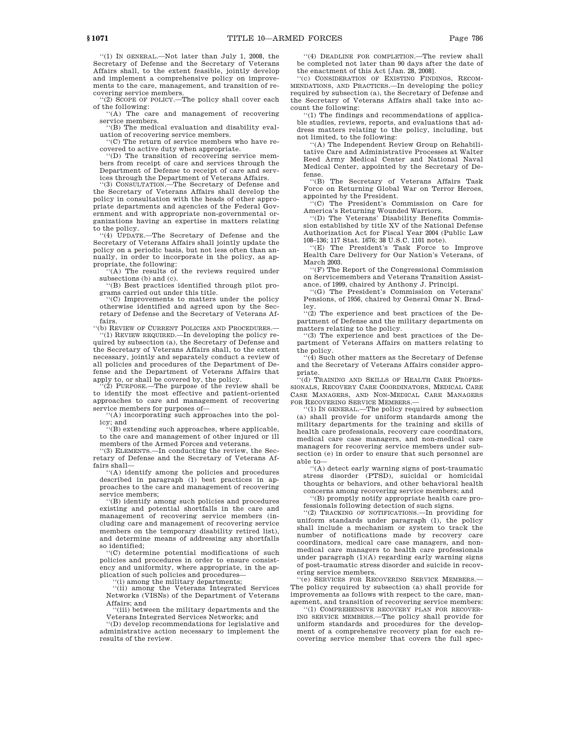''(1) IN GENERAL.—Not later than July 1, 2008, the Secretary of Defense and the Secretary of Veterans Affairs shall, to the extent feasible, jointly develop and implement a comprehensive policy on improvements to the care, management, and transition of re-

covering service members. ''(2) SCOPE OF POLICY.—The policy shall cover each

of the following: ''(A) The care and management of recovering service members.

''(B) The medical evaluation and disability evaluation of recovering service members.

''(C) The return of service members who have recovered to active duty when appropriate.

''(D) The transition of recovering service members from receipt of care and services through the Department of Defense to receipt of care and services through the Department of Veterans Affairs. ''(3) CONSULTATION.—The Secretary of Defense and

the Secretary of Veterans Affairs shall develop the policy in consultation with the heads of other appropriate departments and agencies of the Federal Government and with appropriate non-governmental organizations having an expertise in matters relating to the policy.

''(4) UPDATE.—The Secretary of Defense and the Secretary of Veterans Affairs shall jointly update the policy on a periodic basis, but not less often than annually, in order to incorporate in the policy, as appropriate, the following:

'(A) The results of the reviews required under subsections (b) and (c).

''(B) Best practices identified through pilot programs carried out under this title.

''(C) Improvements to matters under the policy otherwise identified and agreed upon by the Secretary of Defense and the Secretary of Veterans Affairs.

''(b) REVIEW OF CURRENT POLICIES AND PROCEDURES.— ''(1) REVIEW REQUIRED.—In developing the policy required by subsection (a), the Secretary of Defense and the Secretary of Veterans Affairs shall, to the extent necessary, jointly and separately conduct a review of all policies and procedures of the Department of Defense and the Department of Veterans Affairs that

apply to, or shall be covered by, the policy. ''(2) PURPOSE.—The purpose of the review shall be to identify the most effective and patient-oriented approaches to care and management of recovering service members for purposes of—

''(A) incorporating such approaches into the pol-

icy; and ''(B) extending such approaches, where applicable, to the care and management of other injured or ill members of the Armed Forces and veterans.

'(3) ELEMENTS.—In conducting the review, the Secretary of Defense and the Secretary of Veterans Affairs shall—

''(A) identify among the policies and procedures described in paragraph (1) best practices in approaches to the care and management of recovering service members;

''(B) identify among such policies and procedures existing and potential shortfalls in the care and management of recovering service members (including care and management of recovering service members on the temporary disability retired list), and determine means of addressing any shortfalls

so identified; ''(C) determine potential modifications of such policies and procedures in order to ensure consistency and uniformity, where appropriate, in the application of such policies and procedures—

''(i) among the military departments; ''(ii) among the Veterans Integrated Services Networks (VISNs) of the Department of Veterans Affairs; and

''(iii) between the military departments and the

Veterans Integrated Services Networks; and

''(D) develop recommendations for legislative and administrative action necessary to implement the results of the review.

''(4) DEADLINE FOR COMPLETION.—The review shall be completed not later than 90 days after the date of the enactment of this Act [Jan. 28, 2008].

''(c) CONSIDERATION OF EXISTING FINDINGS, RECOM-MENDATIONS, AND PRACTICES.—In developing the policy required by subsection (a), the Secretary of Defense and the Secretary of Veterans Affairs shall take into account the following:

''(1) The findings and recommendations of applicable studies, reviews, reports, and evaluations that address matters relating to the policy, including, but not limited, to the following:

''(A) The Independent Review Group on Rehabilitative Care and Administrative Processes at Walter Reed Army Medical Center and National Naval Medical Center, appointed by the Secretary of Defense.

''(B) The Secretary of Veterans Affairs Task Force on Returning Global War on Terror Heroes, appointed by the President.

''(C) The President's Commission on Care for America's Returning Wounded Warriors.

''(D) The Veterans' Disability Benefits Commission established by title XV of the National Defense Authorization Act for Fiscal Year 2004 (Public Law 108–136; 117 Stat. 1676; 38 U.S.C. 1101 note).

''(E) The President's Task Force to Improve Health Care Delivery for Our Nation's Veterans, of March 2003.

''(F) The Report of the Congressional Commission on Servicemembers and Veterans Transition Assistance, of 1999, chaired by Anthony J. Principi.

''(G) The President's Commission on Veterans' Pensions, of 1956, chaired by General Omar N. Bradley.

''(2) The experience and best practices of the Department of Defense and the military departments on matters relating to the policy.

''(3) The experience and best practices of the Department of Veterans Affairs on matters relating to the policy.

''(4) Such other matters as the Secretary of Defense and the Secretary of Veterans Affairs consider appropriate.

''(d) TRAINING AND SKILLS OF HEALTH CARE PROFES-SIONALS, RECOVERY CARE COORDINATORS, MEDICAL CARE CASE MANAGERS, AND NON-MEDICAL CARE MANAGERS FOR RECOVERING SERVICE MEMBERS.-

''(1) IN GENERAL.—The policy required by subsection (a) shall provide for uniform standards among the military departments for the training and skills of health care professionals, recovery care coordinators, medical care case managers, and non-medical care managers for recovering service members under subsection (e) in order to ensure that such personnel are able to—

''(A) detect early warning signs of post-traumatic stress disorder (PTSD), suicidal or homicidal thoughts or behaviors, and other behavioral health concerns among recovering service members; and

''(B) promptly notify appropriate health care professionals following detection of such signs.

''(2) TRACKING OF NOTIFICATIONS.—In providing for uniform standards under paragraph  $(1)$ , the policy shall include a mechanism or system to track the number of notifications made by recovery care coordinators, medical care case managers, and nonmedical care managers to health care professionals under paragraph (1)(A) regarding early warning signs of post-traumatic stress disorder and suicide in recovering service members.

''(e) SERVICES FOR RECOVERING SERVICE MEMBERS.— The policy required by subsection (a) shall provide for improvements as follows with respect to the care, management, and transition of recovering service members:

'(1) COMPREHENSIVE RECOVERY PLAN FOR RECOVER-ING SERVICE MEMBERS.—The policy shall provide for uniform standards and procedures for the development of a comprehensive recovery plan for each recovering service member that covers the full spec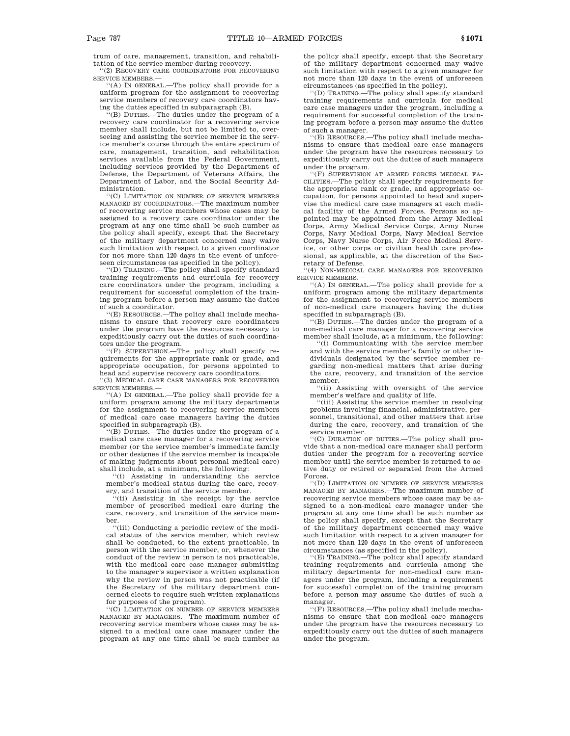trum of care, management, transition, and rehabilitation of the service member during recovery.

''(2) RECOVERY CARE COORDINATORS FOR RECOVERING SERVICE MEMBERS.

''(A) IN GENERAL.—The policy shall provide for a uniform program for the assignment to recovering service members of recovery care coordinators having the duties specified in subparagraph (B).

''(B) DUTIES.—The duties under the program of a recovery care coordinator for a recovering service member shall include, but not be limited to, overseeing and assisting the service member in the service member's course through the entire spectrum of care, management, transition, and rehabilitation services available from the Federal Government, including services provided by the Department of Defense, the Department of Veterans Affairs, the Department of Labor, and the Social Security Administration.

''(C) LIMITATION ON NUMBER OF SERVICE MEMBERS MANAGED BY COORDINATORS.—The maximum number of recovering service members whose cases may be assigned to a recovery care coordinator under the program at any one time shall be such number as the policy shall specify, except that the Secretary of the military department concerned may waive such limitation with respect to a given coordinator for not more than 120 days in the event of unforeseen circumstances (as specified in the policy).

(D) TRAINING.—The policy shall specify standard training requirements and curricula for recovery care coordinators under the program, including a requirement for successful completion of the training program before a person may assume the duties of such a coordinator.

'(E) RESOURCES.—The policy shall include mechanisms to ensure that recovery care coordinators under the program have the resources necessary to expeditiously carry out the duties of such coordinators under the program.

''(F) SUPERVISION.—The policy shall specify requirements for the appropriate rank or grade, and appropriate occupation, for persons appointed to head and supervise recovery care coordinators.

''(3) MEDICAL CARE CASE MANAGERS FOR RECOVERING SERVICE MEMBERS.—

'(A) IN GENERAL.—The policy shall provide for a uniform program among the military departments for the assignment to recovering service members of medical care case managers having the duties specified in subparagraph (B).

''(B) DUTIES.—The duties under the program of a medical care case manager for a recovering service member (or the service member's immediate family or other designee if the service member is incapable of making judgments about personal medical care) shall include, at a minimum, the following:

''(i) Assisting in understanding the service member's medical status during the care, recov-

ery, and transition of the service member. ''(ii) Assisting in the receipt by the service member of prescribed medical care during the care, recovery, and transition of the service member.

''(iii) Conducting a periodic review of the medical status of the service member, which review shall be conducted, to the extent practicable, in person with the service member, or, whenever the conduct of the review in person is not practicable, with the medical care case manager submitting to the manager's supervisor a written explanation why the review in person was not practicable (if the Secretary of the military department concerned elects to require such written explanations for purposes of the program).

''(C) LIMITATION ON NUMBER OF SERVICE MEMBERS MANAGED BY MANAGERS.—The maximum number of recovering service members whose cases may be assigned to a medical care case manager under the program at any one time shall be such number as the policy shall specify, except that the Secretary of the military department concerned may waive such limitation with respect to a given manager for not more than 120 days in the event of unforeseen circumstances (as specified in the policy).

 $f(D)$  TRAINING.—The policy shall specify standard training requirements and curricula for medical care case managers under the program, including a requirement for successful completion of the training program before a person may assume the duties of such a manager.

'(E) RESOURCES.—The policy shall include mechanisms to ensure that medical care case managers under the program have the resources necessary to expeditiously carry out the duties of such managers under the program.

''(F) SUPERVISION AT ARMED FORCES MEDICAL FA-CILITIES.—The policy shall specify requirements for the appropriate rank or grade, and appropriate occupation, for persons appointed to head and supervise the medical care case managers at each medical facility of the Armed Forces. Persons so appointed may be appointed from the Army Medical Corps, Army Medical Service Corps, Army Nurse Corps, Navy Medical Corps, Navy Medical Service Corps, Navy Nurse Corps, Air Force Medical Service, or other corps or civilian health care professional, as applicable, at the discretion of the Secretary of Defense.

'(4) NON-MEDICAL CARE MANAGERS FOR RECOVERING SERVICE MEMBERS.—

'(A) IN GENERAL.—The policy shall provide for a uniform program among the military departments for the assignment to recovering service members of non-medical care managers having the duties specified in subparagraph (B).

''(B) DUTIES.—The duties under the program of a non-medical care manager for a recovering service member shall include, at a minimum, the following:

''(i) Communicating with the service member and with the service member's family or other individuals designated by the service member regarding non-medical matters that arise during the care, recovery, and transition of the service member.

''(ii) Assisting with oversight of the service member's welfare and quality of life.

''(iii) Assisting the service member in resolving problems involving financial, administrative, personnel, transitional, and other matters that arise during the care, recovery, and transition of the service member.

''(C) DURATION OF DUTIES.—The policy shall provide that a non-medical care manager shall perform duties under the program for a recovering service member until the service member is returned to active duty or retired or separated from the Armed Forces.

''(D) LIMITATION ON NUMBER OF SERVICE MEMBERS MANAGED BY MANAGERS.—The maximum number of recovering service members whose cases may be assigned to a non-medical care manager under the program at any one time shall be such number as the policy shall specify, except that the Secretary of the military department concerned may waive such limitation with respect to a given manager for not more than 120 days in the event of unforeseen circumstances (as specified in the policy).

''(E) TRAINING.—The policy shall specify standard training requirements and curricula among the military departments for non-medical care managers under the program, including a requirement for successful completion of the training program before a person may assume the duties of such a manager.

'(F) RESOURCES.—The policy shall include mechanisms to ensure that non-medical care managers under the program have the resources necessary to expeditiously carry out the duties of such managers under the program.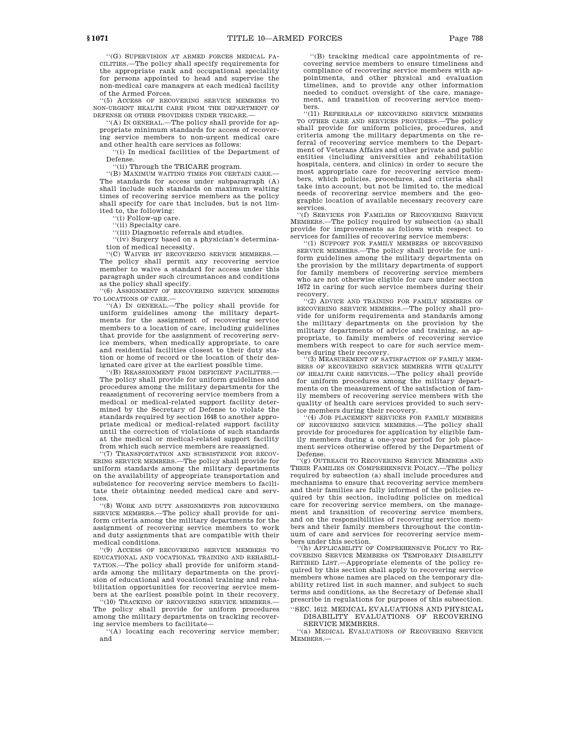''(G) SUPERVISION AT ARMED FORCES MEDICAL FA-CILITIES.—The policy shall specify requirements for the appropriate rank and occupational speciality for persons appointed to head and supervise the non-medical care managers at each medical facility of the Armed Forces.

''(5) ACCESS OF RECOVERING SERVICE MEMBERS TO NON-URGENT HEALTH CARE FROM THE DEPARTMENT OF DEFENSE OR OTHER PROVIDERS UNDER TRICARE.—

'(A) IN GENERAL.—The policy shall provide for appropriate minimum standards for access of recovering service members to non-urgent medical care and other health care services as follows:

''(i) In medical facilities of the Department of Defense.

''(ii) Through the TRICARE program.

''(B) MAXIMUM WAITING TIMES FOR CERTAIN CARE.— The standards for access under subparagraph (A) shall include such standards on maximum waiting times of recovering service members as the policy shall specify for care that includes, but is not limited to, the following:

''(i) Follow-up care.

''(ii) Specialty care.

''(iii) Diagnostic referrals and studies.

''(iv) Surgery based on a physician's determination of medical necessity.

''(C) WAIVER BY RECOVERING SERVICE MEMBERS.—

The policy shall permit any recovering service member to waive a standard for access under this paragraph under such circumstances and conditions as the policy shall specify.

''(6) ASSIGNMENT OF RECOVERING SERVICE MEMBERS TO LOCATIONS OF CARE.—

''(A) IN GENERAL.—The policy shall provide for uniform guidelines among the military departments for the assignment of recovering service members to a location of care, including guidelines that provide for the assignment of recovering service members, when medically appropriate, to care and residential facilities closest to their duty station or home of record or the location of their designated care giver at the earliest possible time.

''(B) REASSIGNMENT FROM DEFICIENT FACILITIES.— The policy shall provide for uniform guidelines and procedures among the military departments for the reassignment of recovering service members from a medical or medical-related support facility determined by the Secretary of Defense to violate the standards required by section 1648 to another appropriate medical or medical-related support facility until the correction of violations of such standards at the medical or medical-related support facility from which such service members are reassigned.

''(7) TRANSPORTATION AND SUBSISTENCE FOR RECOV-ERING SERVICE MEMBERS.—The policy shall provide for uniform standards among the military departments on the availability of appropriate transportation and subsistence for recovering service members to facilitate their obtaining needed medical care and services.

''(8) WORK AND DUTY ASSIGNMENTS FOR RECOVERING SERVICE MEMBERS.—The policy shall provide for uniform criteria among the military departments for the assignment of recovering service members to work and duty assignments that are compatible with their medical conditions.

''(9) ACCESS OF RECOVERING SERVICE MEMBERS TO EDUCATIONAL AND VOCATIONAL TRAINING AND REHABILI-TATION.—The policy shall provide for uniform standards among the military departments on the provision of educational and vocational training and rehabilitation opportunities for recovering service members at the earliest possible point in their recovery.

''(10) TRACKING OF RECOVERING SERVICE MEMBERS.— The policy shall provide for uniform procedures among the military departments on tracking recover-

ing service members to facilitate— ''(A) locating each recovering service member; and

''(B) tracking medical care appointments of recovering service members to ensure timeliness and compliance of recovering service members with appointments, and other physical and evaluation timelines, and to provide any other information needed to conduct oversight of the care, management, and transition of recovering service members.

'(11) REFERRALS OF RECOVERING SERVICE MEMBERS TO OTHER CARE AND SERVICES PROVIDERS.—The policy shall provide for uniform policies, procedures, and criteria among the military departments on the referral of recovering service members to the Department of Veterans Affairs and other private and public entities (including universities and rehabilitation hospitals, centers, and clinics) in order to secure the most appropriate care for recovering service members, which policies, procedures, and criteria shall take into account, but not be limited to, the medical needs of recovering service members and the geographic location of available necessary recovery care services.

''(f) SERVICES FOR FAMILIES OF RECOVERING SERVICE MEMBERS.—The policy required by subsection (a) shall provide for improvements as follows with respect to services for families of recovering service members:

''(1) SUPPORT FOR FAMILY MEMBERS OF RECOVERING SERVICE MEMBERS.—The policy shall provide for uniform guidelines among the military departments on the provision by the military departments of support for family members of recovering service members who are not otherwise eligible for care under section 1672 in caring for such service members during their recovery.

''(2) ADVICE AND TRAINING FOR FAMILY MEMBERS OF RECOVERING SERVICE MEMBERS.—The policy shall provide for uniform requirements and standards among the military departments on the provision by the military departments of advice and training, as appropriate, to family members of recovering service members with respect to care for such service members during their recovery.

''(3) MEASUREMENT OF SATISFACTION OF FAMILY MEM-BERS OF RECOVERING SERVICE MEMBERS WITH QUALITY OF HEALTH CARE SERVICES.—The policy shall provide for uniform procedures among the military departments on the measurement of the satisfaction of family members of recovering service members with the quality of health care services provided to such serv-

ice members during their recovery. ''(4) JOB PLACEMENT SERVICES FOR FAMILY MEMBERS OF RECOVERING SERVICE MEMBERS.—The policy shall provide for procedures for application by eligible family members during a one-year period for job placement services otherwise offered by the Department of Defense.

(g) OUTREACH TO RECOVERING SERVICE MEMBERS AND THEIR FAMILIES ON COMPREHENSIVE POLICY.—The policy required by subsection (a) shall include procedures and mechanisms to ensure that recovering service members and their families are fully informed of the policies required by this section, including policies on medical care for recovering service members, on the management and transition of recovering service members, and on the responsibilities of recovering service members and their family members throughout the continuum of care and services for recovering service members under this section.

''(h) APPLICABILITY OF COMPREHENSIVE POLICY TO RE-COVERING SERVICE MEMBERS ON TEMPORARY DISABILITY RETIRED LIST.—Appropriate elements of the policy required by this section shall apply to recovering service members whose names are placed on the temporary disability retired list in such manner, and subject to such terms and conditions, as the Secretary of Defense shall prescribe in regulations for purposes of this subsection. 'SEC. 1612. MEDICAL EVALUATIONS AND PHYSICAL

DISABILITY EVALUATIONS OF RECOVERING SERVICE MEMBERS.

''(a) MEDICAL EVALUATIONS OF RECOVERING SERVICE MEMBERS.—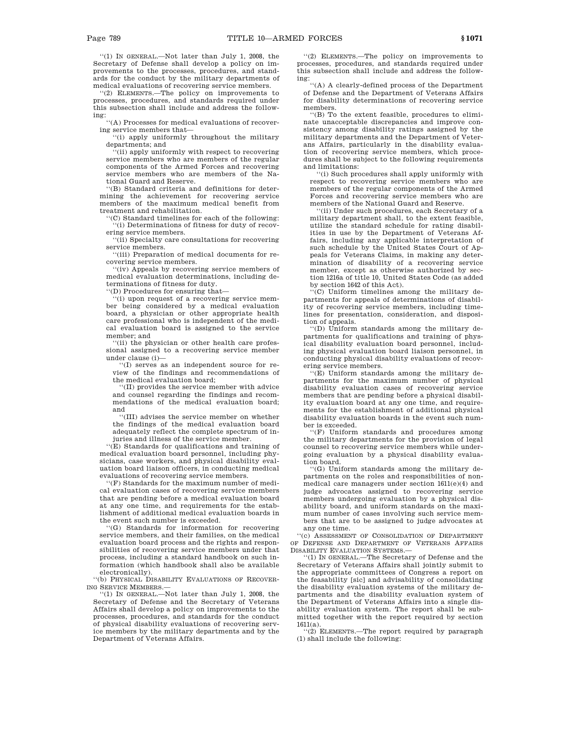''(1) IN GENERAL.—Not later than July 1, 2008, the Secretary of Defense shall develop a policy on improvements to the processes, procedures, and standards for the conduct by the military departments of medical evaluations of recovering service members.

'(2) ELEMENTS.-The policy on improvements to processes, procedures, and standards required under this subsection shall include and address the following:

''(A) Processes for medical evaluations of recovering service members that—

''(i) apply uniformly throughout the military departments; and

(ii) apply uniformly with respect to recovering service members who are members of the regular components of the Armed Forces and recovering service members who are members of the National Guard and Reserve.

''(B) Standard criteria and definitions for determining the achievement for recovering service members of the maximum medical benefit from treatment and rehabilitation.

''(C) Standard timelines for each of the following: ''(i) Determinations of fitness for duty of recovering service members.

''(ii) Specialty care consultations for recovering service members.

''(iii) Preparation of medical documents for recovering service members.

''(iv) Appeals by recovering service members of medical evaluation determinations, including determinations of fitness for duty.

''(D) Procedures for ensuring that—

''(i) upon request of a recovering service member being considered by a medical evaluation board, a physician or other appropriate health care professional who is independent of the medical evaluation board is assigned to the service member; and

''(ii) the physician or other health care professional assigned to a recovering service member under clause (i)—

''(I) serves as an independent source for review of the findings and recommendations of the medical evaluation board;

''(II) provides the service member with advice and counsel regarding the findings and recommendations of the medical evaluation board; and

''(III) advises the service member on whether the findings of the medical evaluation board adequately reflect the complete spectrum of injuries and illness of the service member.

''(E) Standards for qualifications and training of medical evaluation board personnel, including physicians, case workers, and physical disability evaluation board liaison officers, in conducting medical evaluations of recovering service members.

''(F) Standards for the maximum number of medical evaluation cases of recovering service members that are pending before a medical evaluation board at any one time, and requirements for the establishment of additional medical evaluation boards in the event such number is exceeded.

''(G) Standards for information for recovering service members, and their families, on the medical evaluation board process and the rights and responsibilities of recovering service members under that process, including a standard handbook on such information (which handbook shall also be available electronically).

''(b) PHYSICAL DISABILITY EVALUATIONS OF RECOVER-ING SERVICE MEMBERS.—

''(1) IN GENERAL.—Not later than July 1, 2008, the Secretary of Defense and the Secretary of Veterans Affairs shall develop a policy on improvements to the processes, procedures, and standards for the conduct of physical disability evaluations of recovering service members by the military departments and by the Department of Veterans Affairs.

''(2) ELEMENTS.—The policy on improvements to processes, procedures, and standards required under this subsection shall include and address the following:

''(A) A clearly-defined process of the Department of Defense and the Department of Veterans Affairs for disability determinations of recovering service members.

''(B) To the extent feasible, procedures to eliminate unacceptable discrepancies and improve consistency among disability ratings assigned by the military departments and the Department of Veterans Affairs, particularly in the disability evaluation of recovering service members, which procedures shall be subject to the following requirements and limitations:

''(i) Such procedures shall apply uniformly with respect to recovering service members who are members of the regular components of the Armed Forces and recovering service members who are members of the National Guard and Reserve.

'(ii) Under such procedures, each Secretary of a military department shall, to the extent feasible, utilize the standard schedule for rating disabilities in use by the Department of Veterans Affairs, including any applicable interpretation of such schedule by the United States Court of Appeals for Veterans Claims, in making any determination of disability of a recovering service member, except as otherwise authorized by section 1216a of title 10, United States Code (as added by section 1642 of this Act).

''(C) Uniform timelines among the military departments for appeals of determinations of disability of recovering service members, including timelines for presentation, consideration, and disposition of appeals.

''(D) Uniform standards among the military departments for qualifications and training of physical disability evaluation board personnel, including physical evaluation board liaison personnel, in conducting physical disability evaluations of recovering service members.

 $\check{E}$ ) Uniform standards among the military departments for the maximum number of physical disability evaluation cases of recovering service members that are pending before a physical disability evaluation board at any one time, and requirements for the establishment of additional physical disability evaluation boards in the event such number is exceeded.

''(F) Uniform standards and procedures among the military departments for the provision of legal counsel to recovering service members while undergoing evaluation by a physical disability evaluation board.

''(G) Uniform standards among the military departments on the roles and responsibilities of nonmedical care managers under section 1611(e)(4) and judge advocates assigned to recovering service members undergoing evaluation by a physical disability board, and uniform standards on the maximum number of cases involving such service members that are to be assigned to judge advocates at any one time.

''(c) ASSESSMENT OF CONSOLIDATION OF DEPARTMENT OF DEFENSE AND DEPARTMENT OF VETERANS AFFAIRS DISABILITY EVALUATION SYSTEMS -

''(1) IN GENERAL.—The Secretary of Defense and the Secretary of Veterans Affairs shall jointly submit to the appropriate committees of Congress a report on the feasability [sic] and advisability of consolidating the disability evaluation systems of the military departments and the disability evaluation system of the Department of Veterans Affairs into a single disability evaluation system. The report shall be submitted together with the report required by section

1611(a). ''(2) ELEMENTS.—The report required by paragraph (1) shall include the following: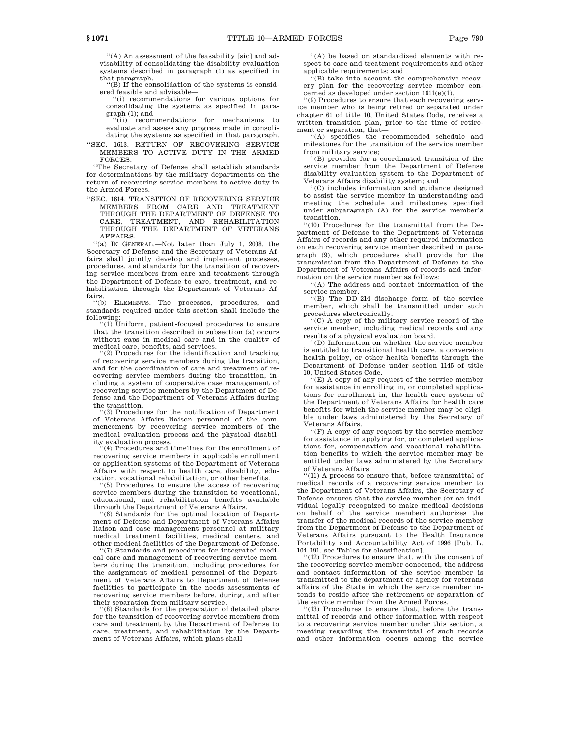''(A) An assessment of the feasability [sic] and advisability of consolidating the disability evaluation systems described in paragraph (1) as specified in that paragraph.

''(B) If the consolidation of the systems is consid-

ered feasible and advisable— ''(i) recommendations for various options for consolidating the systems as specified in paragraph (1); and

''(ii) recommendations for mechanisms to evaluate and assess any progress made in consolidating the systems as specified in that paragraph.

''SEC. 1613. RETURN OF RECOVERING SERVICE MEMBERS TO ACTIVE DUTY IN THE ARMED FORCES.

''The Secretary of Defense shall establish standards for determinations by the military departments on the return of recovering service members to active duty in the Armed Forces.

''SEC. 1614. TRANSITION OF RECOVERING SERVICE MEMBERS FROM CARE AND TREATMENT THROUGH THE DEPARTMENT OF DEFENSE TO CARE, TREATMENT, AND REHABILITATION THROUGH THE DEPARTMENT OF VETERANS AFFAIRS.

''(a) IN GENERAL.—Not later than July 1, 2008, the Secretary of Defense and the Secretary of Veterans Affairs shall jointly develop and implement processes, procedures, and standards for the transition of recovering service members from care and treatment through the Department of Defense to care, treatment, and rehabilitation through the Department of Veterans Affairs.

''(b) ELEMENTS.—The processes, procedures, and standards required under this section shall include the following:

''(1) Uniform, patient-focused procedures to ensure that the transition described in subsection (a) occurs without gaps in medical care and in the quality of medical care, benefits, and services.

(2) Procedures for the identification and tracking of recovering service members during the transition, and for the coordination of care and treatment of recovering service members during the transition, including a system of cooperative case management of recovering service members by the Department of Defense and the Department of Veterans Affairs during the transition.

''(3) Procedures for the notification of Department of Veterans Affairs liaison personnel of the commencement by recovering service members of the medical evaluation process and the physical disability evaluation process.

 $i(4)$  Procedures and timelines for the enrollment of recovering service members in applicable enrollment or application systems of the Department of Veterans Affairs with respect to health care, disability, education, vocational rehabilitation, or other benefits.

''(5) Procedures to ensure the access of recovering service members during the transition to vocational, educational, and rehabilitation benefits available through the Department of Veterans Affairs.

''(6) Standards for the optimal location of Department of Defense and Department of Veterans Affairs liaison and case management personnel at military medical treatment facilities, medical centers, and other medical facilities of the Department of Defense.

''(7) Standards and procedures for integrated medical care and management of recovering service members during the transition, including procedures for the assignment of medical personnel of the Department of Veterans Affairs to Department of Defense facilities to participate in the needs assessments of recovering service members before, during, and after

their separation from military service. ''(8) Standards for the preparation of detailed plans for the transition of recovering service members from care and treatment by the Department of Defense to care, treatment, and rehabilitation by the Department of Veterans Affairs, which plans shall—

''(A) be based on standardized elements with respect to care and treatment requirements and other applicable requirements; and

(B) take into account the comprehensive recovery plan for the recovering service member concerned as developed under section 1611(e)(1).

''(9) Procedures to ensure that each recovering service member who is being retired or separated under chapter 61 of title 10, United States Code, receives a written transition plan, prior to the time of retirement or separation, that—

'(A) specifies the recommended schedule and milestones for the transition of the service member from military service;

''(B) provides for a coordinated transition of the service member from the Department of Defense disability evaluation system to the Department of Veterans Affairs disability system; and

''(C) includes information and guidance designed to assist the service member in understanding and meeting the schedule and milestones specified under subparagraph (A) for the service member's transition.

''(10) Procedures for the transmittal from the Department of Defense to the Department of Veterans Affairs of records and any other required information on each recovering service member described in paragraph (9), which procedures shall provide for the transmission from the Department of Defense to the Department of Veterans Affairs of records and information on the service member as follows:

''(A) The address and contact information of the service member.

''(B) The DD–214 discharge form of the service member, which shall be transmitted under such procedures electronically.

''(C) A copy of the military service record of the service member, including medical records and any results of a physical evaluation board.

''(D) Information on whether the service member is entitled to transitional health care, a conversion health policy, or other health benefits through the Department of Defense under section 1145 of title 10, United States Code.

''(E) A copy of any request of the service member for assistance in enrolling in, or completed applications for enrollment in, the health care system of the Department of Veterans Affairs for health care benefits for which the service member may be eligible under laws administered by the Secretary of Veterans Affairs.

''(F) A copy of any request by the service member for assistance in applying for, or completed applications for, compensation and vocational rehabilitation benefits to which the service member may be entitled under laws administered by the Secretary of Veterans Affairs.

'(11) A process to ensure that, before transmittal of medical records of a recovering service member to the Department of Veterans Affairs, the Secretary of Defense ensures that the service member (or an individual legally recognized to make medical decisions on behalf of the service member) authorizes the transfer of the medical records of the service member from the Department of Defense to the Department of Veterans Affairs pursuant to the Health Insurance Portability and Accountability Act of 1996 [Pub. L. 104–191, see Tables for classification].

''(12) Procedures to ensure that, with the consent of the recovering service member concerned, the address and contact information of the service member is transmitted to the department or agency for veterans affairs of the State in which the service member intends to reside after the retirement or separation of the service member from the Armed Forces.

'(13) Procedures to ensure that, before the transmittal of records and other information with respect to a recovering service member under this section, a meeting regarding the transmittal of such records and other information occurs among the service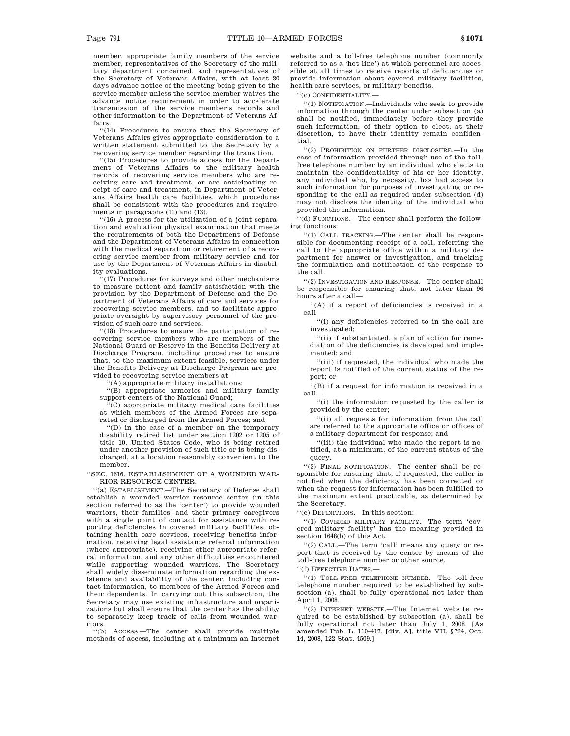member, appropriate family members of the service member, representatives of the Secretary of the military department concerned, and representatives of the Secretary of Veterans Affairs, with at least 30 days advance notice of the meeting being given to the service member unless the service member waives the advance notice requirement in order to accelerate transmission of the service member's records and other information to the Department of Veterans Affairs.

''(14) Procedures to ensure that the Secretary of Veterans Affairs gives appropriate consideration to a written statement submitted to the Secretary by a recovering service member regarding the transition.

''(15) Procedures to provide access for the Department of Veterans Affairs to the military health records of recovering service members who are receiving care and treatment, or are anticipating receipt of care and treatment, in Department of Veterans Affairs health care facilities, which procedures shall be consistent with the procedures and requirements in paragraphs (11) and (13).

''(16) A process for the utilization of a joint separation and evaluation physical examination that meets the requirements of both the Department of Defense and the Department of Veterans Affairs in connection with the medical separation or retirement of a recovering service member from military service and for use by the Department of Veterans Affairs in disability evaluations. ''(17) Procedures for surveys and other mechanisms

to measure patient and family satisfaction with the provision by the Department of Defense and the Department of Veterans Affairs of care and services for recovering service members, and to facilitate appropriate oversight by supervisory personnel of the provision of such care and services.

''(18) Procedures to ensure the participation of recovering service members who are members of the National Guard or Reserve in the Benefits Delivery at Discharge Program, including procedures to ensure that, to the maximum extent feasible, services under the Benefits Delivery at Discharge Program are provided to recovering service members at—

'(A) appropriate military installations;

''(B) appropriate armories and military family support centers of the National Guard;

''(C) appropriate military medical care facilities at which members of the Armed Forces are separated or discharged from the Armed Forces; and

''(D) in the case of a member on the temporary disability retired list under section 1202 or 1205 of title 10, United States Code, who is being retired under another provision of such title or is being discharged, at a location reasonably convenient to the member.

''SEC. 1616. ESTABLISHMENT OF A WOUNDED WAR-RIOR RESOURCE CENTER.

'(a) ESTABLISHMENT.—The Secretary of Defense shall establish a wounded warrior resource center (in this section referred to as the 'center') to provide wounded warriors, their families, and their primary caregivers with a single point of contact for assistance with reporting deficiencies in covered military facilities, obtaining health care services, receiving benefits information, receiving legal assistance referral information (where appropriate), receiving other appropriate referral information, and any other difficulties encountered while supporting wounded warriors. The Secretary shall widely disseminate information regarding the existence and availability of the center, including contact information, to members of the Armed Forces and their dependents. In carrying out this subsection, the Secretary may use existing infrastructure and organizations but shall ensure that the center has the ability to separately keep track of calls from wounded war-

riors. ''(b) ACCESS.—The center shall provide multiple methods of access, including at a minimum an Internet website and a toll-free telephone number (commonly referred to as a 'hot line') at which personnel are accessible at all times to receive reports of deficiencies or provide information about covered military facilities, health care services, or military benefits.

''(c) CONFIDENTIALITY.—

''(1) NOTIFICATION.—Individuals who seek to provide information through the center under subsection (a) shall be notified, immediately before they provide such information, of their option to elect, at their discretion, to have their identity remain confidential.

''(2) PROHIBITION ON FURTHER DISCLOSURE.—In the case of information provided through use of the tollfree telephone number by an individual who elects to maintain the confidentiality of his or her identity, any individual who, by necessity, has had access to such information for purposes of investigating or responding to the call as required under subsection (d) may not disclose the identity of the individual who provided the information.

''(d) FUNCTIONS.—The center shall perform the following functions:

''(1) CALL TRACKING.—The center shall be responsible for documenting receipt of a call, referring the call to the appropriate office within a military department for answer or investigation, and tracking the formulation and notification of the response to the call.

''(2) INVESTIGATION AND RESPONSE.—The center shall be responsible for ensuring that, not later than 96 hours after a call—

''(A) if a report of deficiencies is received in a call—

''(i) any deficiencies referred to in the call are investigated;

''(ii) if substantiated, a plan of action for remediation of the deficiencies is developed and implemented; and

''(iii) if requested, the individual who made the report is notified of the current status of the report; or

''(B) if a request for information is received in a call—

''(i) the information requested by the caller is provided by the center;

''(ii) all requests for information from the call are referred to the appropriate office or offices of a military department for response; and

''(iii) the individual who made the report is notified, at a minimum, of the current status of the query.

''(3) FINAL NOTIFICATION.—The center shall be responsible for ensuring that, if requested, the caller is notified when the deficiency has been corrected or when the request for information has been fulfilled to the maximum extent practicable, as determined by the Secretary.

''(e) DEFINITIONS.—In this section:

''(1) COVERED MILITARY FACILITY.—The term 'covered military facility' has the meaning provided in section 1648(b) of this Act.

''(2) CALL.—The term 'call' means any query or report that is received by the center by means of the toll-free telephone number or other source.

''(f) EFFECTIVE DATES.—

''(1) TOLL-FREE TELEPHONE NUMBER.—The toll-free telephone number required to be established by subsection (a), shall be fully operational not later than April 1, 2008.

''(2) INTERNET WEBSITE.—The Internet website required to be established by subsection (a), shall be fully operational not later than July 1, 2008. [As amended Pub. L. 110–417, [div. A], title VII, §724, Oct. 14, 2008, 122 Stat. 4509.]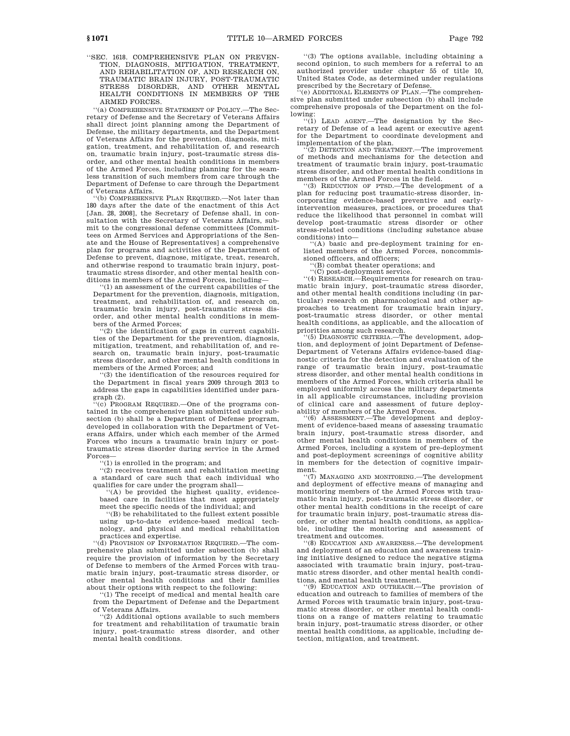''SEC. 1618. COMPREHENSIVE PLAN ON PREVEN-TION, DIAGNOSIS, MITIGATION, TREATMENT, AND REHABILITATION OF, AND RESEARCH ON, TRAUMATIC BRAIN INJURY, POST-TRAUMATIC STRESS DISORDER, AND OTHER MENTAL HEALTH CONDITIONS IN MEMBERS OF THE ARMED FORCES.

''(a) COMPREHENSIVE STATEMENT OF POLICY.—The Secretary of Defense and the Secretary of Veterans Affairs shall direct joint planning among the Department of Defense, the military departments, and the Department of Veterans Affairs for the prevention, diagnosis, mitigation, treatment, and rehabilitation of, and research on, traumatic brain injury, post-traumatic stress disorder, and other mental health conditions in members of the Armed Forces, including planning for the seamless transition of such members from care through the Department of Defense to care through the Department of Veterans Affairs.

''(b) COMPREHENSIVE PLAN REQUIRED.—Not later than 180 days after the date of the enactment of this Act [Jan. 28, 2008], the Secretary of Defense shall, in consultation with the Secretary of Veterans Affairs, submit to the congressional defense committees [Committees on Armed Services and Appropriations of the Senate and the House of Representatives] a comprehensive plan for programs and activities of the Department of Defense to prevent, diagnose, mitigate, treat, research, and otherwise respond to traumatic brain injury, posttraumatic stress disorder, and other mental health conditions in members of the Armed Forces, including—

'(1) an assessment of the current capabilities of the Department for the prevention, diagnosis, mitigation, treatment, and rehabilitation of, and research on, traumatic brain injury, post-traumatic stress disorder, and other mental health conditions in members of the Armed Forces;

''(2) the identification of gaps in current capabilities of the Department for the prevention, diagnosis, mitigation, treatment, and rehabilitation of, and research on, traumatic brain injury, post-traumatic stress disorder, and other mental health conditions in members of the Armed Forces; and

''(3) the identification of the resources required for the Department in fiscal years 2009 through 2013 to address the gaps in capabilities identified under paragraph (2).

 $'(c)$  PROGRAM REQUIRED. One of the programs contained in the comprehensive plan submitted under subsection (b) shall be a Department of Defense program, developed in collaboration with the Department of Veterans Affairs, under which each member of the Armed Forces who incurs a traumatic brain injury or posttraumatic stress disorder during service in the Armed Forces—

''(1) is enrolled in the program; and

''(2) receives treatment and rehabilitation meeting a standard of care such that each individual who qualifies for care under the program shall—

''(A) be provided the highest quality, evidencebased care in facilities that most appropriately meet the specific needs of the individual; and

''(B) be rehabilitated to the fullest extent possible using up-to-date evidence-based medical technology, and physical and medical rehabilitation practices and expertise.

''(d) PROVISION OF INFORMATION REQUIRED.—The comprehensive plan submitted under subsection (b) shall require the provision of information by the Secretary of Defense to members of the Armed Forces with traumatic brain injury, post-traumatic stress disorder, or other mental health conditions and their families about their options with respect to the following:

''(1) The receipt of medical and mental health care from the Department of Defense and the Department of Veterans Affairs.

''(2) Additional options available to such members for treatment and rehabilitation of traumatic brain injury, post-traumatic stress disorder, and other mental health conditions.

''(3) The options available, including obtaining a second opinion, to such members for a referral to an authorized provider under chapter 55 of title 10, United States Code, as determined under regulations prescribed by the Secretary of Defense.

(e) ADDITIONAL ELEMENTS OF PLAN.—The comprehensive plan submitted under subsection (b) shall include comprehensive proposals of the Department on the following:

''(1) LEAD AGENT.—The designation by the Secretary of Defense of a lead agent or executive agent for the Department to coordinate development and implementation of the plan.

(2) DETECTION AND TREATMENT.—The improvement of methods and mechanisms for the detection and treatment of traumatic brain injury, post-traumatic stress disorder, and other mental health conditions in members of the Armed Forces in the field.

''(3) REDUCTION OF PTSD.—The development of a plan for reducing post traumatic-stress disorder, incorporating evidence-based preventive and earlyintervention measures, practices, or procedures that reduce the likelihood that personnel in combat will develop post-traumatic stress disorder or other stress-related conditions (including substance abuse conditions) into—

''(A) basic and pre-deployment training for enlisted members of the Armed Forces, noncommissioned officers, and officers;

''(B) combat theater operations; and

''(C) post-deployment service.

''(4) RESEARCH.—Requirements for research on traumatic brain injury, post-traumatic stress disorder, and other mental health conditions including (in particular) research on pharmacological and other approaches to treatment for traumatic brain injury, post-traumatic stress disorder, or other mental health conditions, as applicable, and the allocation of priorities among such research.

''(5) DIAGNOSTIC CRITERIA.—The development, adoption, and deployment of joint Department of Defense-Department of Veterans Affairs evidence-based diagnostic criteria for the detection and evaluation of the range of traumatic brain injury, post-traumatic stress disorder, and other mental health conditions in members of the Armed Forces, which criteria shall be employed uniformly across the military departments in all applicable circumstances, including provision of clinical care and assessment of future deployability of members of the Armed Forces.

''(6) ASSESSMENT.—The development and deployment of evidence-based means of assessing traumatic brain injury, post-traumatic stress disorder, and other mental health conditions in members of the Armed Forces, including a system of pre-deployment and post-deployment screenings of cognitive ability in members for the detection of cognitive impairment.

''(7) MANAGING AND MONITORING.—The development and deployment of effective means of managing and monitoring members of the Armed Forces with traumatic brain injury, post-traumatic stress disorder, or other mental health conditions in the receipt of care for traumatic brain injury, post-traumatic stress disorder, or other mental health conditions, as applicable, including the monitoring and assessment of treatment and outcomes.

''(8) EDUCATION AND AWARENESS.—The development and deployment of an education and awareness training initiative designed to reduce the negative stigma associated with traumatic brain injury, post-traumatic stress disorder, and other mental health condi-

tions, and mental health treatment. ''(9) EDUCATION AND OUTREACH.—The provision of education and outreach to families of members of the Armed Forces with traumatic brain injury, post-traumatic stress disorder, or other mental health conditions on a range of matters relating to traumatic brain injury, post-traumatic stress disorder, or other mental health conditions, as applicable, including detection, mitigation, and treatment.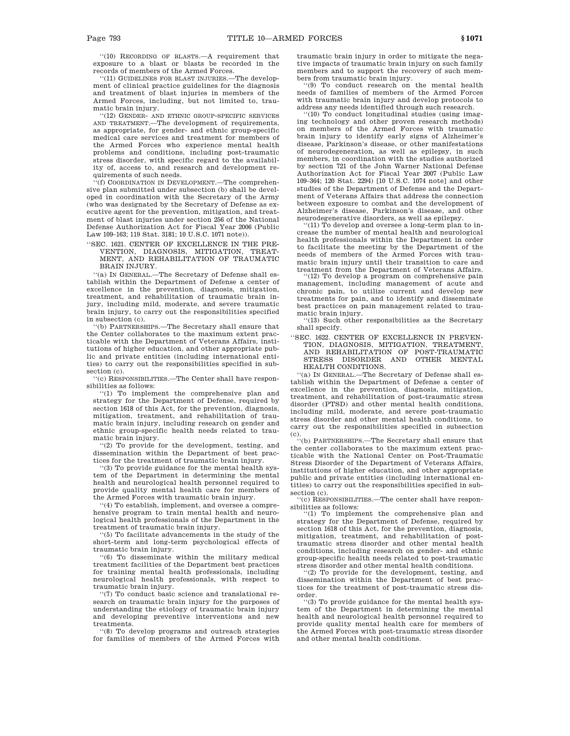''(10) RECORDING OF BLASTS.—A requirement that exposure to a blast or blasts be recorded in the records of members of the Armed Forces.

'(11) GUIDELINES FOR BLAST INJURIES.—The development of clinical practice guidelines for the diagnosis and treatment of blast injuries in members of the Armed Forces, including, but not limited to, traumatic brain injury.

''(12) GENDER- AND ETHNIC GROUP-SPECIFIC SERVICES AND TREATMENT.—The development of requirements, as appropriate, for gender- and ethnic group-specific medical care services and treatment for members of the Armed Forces who experience mental health problems and conditions, including post-traumatic stress disorder, with specific regard to the availability of, access to, and research and development requirements of such needs.

 $\cdot$ <sup>c</sup>(f) COORDINATION IN DEVELOPMENT.—The comprehensive plan submitted under subsection (b) shall be developed in coordination with the Secretary of the Army (who was designated by the Secretary of Defense as executive agent for the prevention, mitigation, and treatment of blast injuries under section 256 of the National Defense Authorization Act for Fiscal Year 2006 (Public Law 109–163; 119 Stat. 3181; 10 U.S.C. 1071 note)).

''SEC. 1621. CENTER OF EXCELLENCE IN THE PRE-VENTION, DIAGNOSIS, MITIGATION, TREAT-MENT, AND REHABILITATION OF TRAUMATIC BRAIN INJURY.

''(a) IN GENERAL.—The Secretary of Defense shall establish within the Department of Defense a center of excellence in the prevention, diagnosis, mitigation, treatment, and rehabilitation of traumatic brain injury, including mild, moderate, and severe traumatic brain injury, to carry out the responsibilities specified in subsection (c).

''(b) PARTNERSHIPS.—The Secretary shall ensure that the Center collaborates to the maximum extent practicable with the Department of Veterans Affairs, institutions of higher education, and other appropriate public and private entities (including international entities) to carry out the responsibilities specified in subsection (c).

'(c) RESPONSIBILITIES.—The Center shall have responsibilities as follows:

''(1) To implement the comprehensive plan and strategy for the Department of Defense, required by section 1618 of this Act, for the prevention, diagnosis, mitigation, treatment, and rehabilitation of traumatic brain injury, including research on gender and ethnic group-specific health needs related to traumatic brain injury.

''(2) To provide for the development, testing, and dissemination within the Department of best practices for the treatment of traumatic brain injury.

''(3) To provide guidance for the mental health system of the Department in determining the mental health and neurological health personnel required to provide quality mental health care for members of the Armed Forces with traumatic brain injury.

''(4) To establish, implement, and oversee a comprehensive program to train mental health and neurological health professionals of the Department in the treatment of traumatic brain injury.

'(5) To facilitate advancements in the study of the short-term and long-term psychological effects of traumatic brain injury.

''(6) To disseminate within the military medical treatment facilities of the Department best practices for training mental health professionals, including neurological health professionals, with respect to traumatic brain injury.

''(7) To conduct basic science and translational research on traumatic brain injury for the purposes of understanding the etiology of traumatic brain injury and developing preventive interventions and new treatments.

''(8) To develop programs and outreach strategies for families of members of the Armed Forces with

traumatic brain injury in order to mitigate the negative impacts of traumatic brain injury on such family members and to support the recovery of such members from traumatic brain injury.

''(9) To conduct research on the mental health needs of families of members of the Armed Forces with traumatic brain injury and develop protocols to address any needs identified through such research.

''(10) To conduct longitudinal studies (using imaging technology and other proven research methods) on members of the Armed Forces with traumatic brain injury to identify early signs of Alzheimer's disease, Parkinson's disease, or other manifestations of neurodegeneration, as well as epilepsy, in such members, in coordination with the studies authorized by section 721 of the John Warner National Defense Authorization Act for Fiscal Year 2007 (Public Law 109–364; 120 Stat. 2294) [10 U.S.C. 1074 note] and other studies of the Department of Defense and the Department of Veterans Affairs that address the connection between exposure to combat and the development of Alzheimer's disease, Parkinson's disease, and other neurodegenerative disorders, as well as epilepsy.

 $(11)$  To develop and oversee a long-term plan to increase the number of mental health and neurological health professionals within the Department in order to facilitate the meeting by the Department of the needs of members of the Armed Forces with traumatic brain injury until their transition to care and treatment from the Department of Veterans Affairs.

''(12) To develop a program on comprehensive pain management, including management of acute and chronic pain, to utilize current and develop new treatments for pain, and to identify and disseminate best practices on pain management related to traumatic brain injury.

''(13) Such other responsibilities as the Secretary shall specify.

''SEC. 1622. CENTER OF EXCELLENCE IN PREVEN-TION, DIAGNOSIS, MITIGATION, TREATMENT, AND REHABILITATION OF POST-TRAUMATIC STRESS DISORDER AND OTHER MENTAL HEALTH CONDITIONS.

''(a) IN GENERAL.—The Secretary of Defense shall establish within the Department of Defense a center of excellence in the prevention, diagnosis, mitigation, treatment, and rehabilitation of post-traumatic stress disorder (PTSD) and other mental health conditions, including mild, moderate, and severe post-traumatic stress disorder and other mental health conditions, to carry out the responsibilities specified in subsection

(c). ''(b) PARTNERSHIPS.—The Secretary shall ensure that the center collaborates to the maximum extent practicable with the National Center on Post-Traumatic Stress Disorder of the Department of Veterans Affairs, institutions of higher education, and other appropriate public and private entities (including international entities) to carry out the responsibilities specified in subsection (c).

''(c) RESPONSIBILITIES.—The center shall have responsibilities as follows:

''(1) To implement the comprehensive plan and strategy for the Department of Defense, required by section 1618 of this Act, for the prevention, diagnosis, mitigation, treatment, and rehabilitation of posttraumatic stress disorder and other mental health conditions, including research on gender- and ethnic group-specific health needs related to post-traumatic stress disorder and other mental health conditions.

''(2) To provide for the development, testing, and dissemination within the Department of best practices for the treatment of post-traumatic stress disorder.

''(3) To provide guidance for the mental health system of the Department in determining the mental health and neurological health personnel required to provide quality mental health care for members of the Armed Forces with post-traumatic stress disorder and other mental health conditions.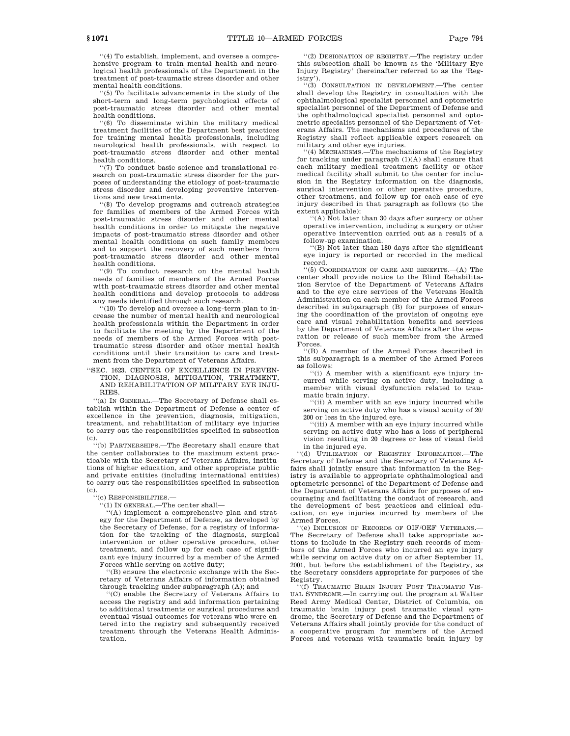''(4) To establish, implement, and oversee a comprehensive program to train mental health and neurological health professionals of the Department in the treatment of post-traumatic stress disorder and other mental health conditions.

'(5) To facilitate advancements in the study of the short-term and long-term psychological effects of post-traumatic stress disorder and other mental health conditions.

''(6) To disseminate within the military medical treatment facilities of the Department best practices for training mental health professionals, including neurological health professionals, with respect to post-traumatic stress disorder and other mental health conditions.

''(7) To conduct basic science and translational research on post-traumatic stress disorder for the purposes of understanding the etiology of post-traumatic stress disorder and developing preventive interventions and new treatments.

''(8) To develop programs and outreach strategies for families of members of the Armed Forces with post-traumatic stress disorder and other mental health conditions in order to mitigate the negative impacts of post-traumatic stress disorder and other mental health conditions on such family members and to support the recovery of such members from post-traumatic stress disorder and other mental health conditions.

''(9) To conduct research on the mental health needs of families of members of the Armed Forces with post-traumatic stress disorder and other mental health conditions and develop protocols to address any needs identified through such research.

''(10) To develop and oversee a long-term plan to increase the number of mental health and neurological health professionals within the Department in order to facilitate the meeting by the Department of the needs of members of the Armed Forces with posttraumatic stress disorder and other mental health conditions until their transition to care and treatment from the Department of Veterans Affairs.

''SEC. 1623. CENTER OF EXCELLENCE IN PREVEN-TION, DIAGNOSIS, MITIGATION, TREATMENT, AND REHABILITATION OF MILITARY EYE INJU-RIES.

''(a) IN GENERAL.—The Secretary of Defense shall establish within the Department of Defense a center of excellence in the prevention, diagnosis, mitigation, treatment, and rehabilitation of military eye injuries to carry out the responsibilities specified in subsection (c).

''(b) PARTNERSHIPS.—The Secretary shall ensure that the center collaborates to the maximum extent practicable with the Secretary of Veterans Affairs, institutions of higher education, and other appropriate public and private entities (including international entities) to carry out the responsibilities specified in subsection (c).

''(c) RESPONSIBILITIES.—

''(1) IN GENERAL.—The center shall—

''(A) implement a comprehensive plan and strategy for the Department of Defense, as developed by the Secretary of Defense, for a registry of information for the tracking of the diagnosis, surgical intervention or other operative procedure, other treatment, and follow up for each case of significant eye injury incurred by a member of the Armed Forces while serving on active duty;

''(B) ensure the electronic exchange with the Secretary of Veterans Affairs of information obtained through tracking under subparagraph (A); and

''(C) enable the Secretary of Veterans Affairs to access the registry and add information pertaining to additional treatments or surgical procedures and eventual visual outcomes for veterans who were entered into the registry and subsequently received treatment through the Veterans Health Administration.

''(2) DESIGNATION OF REGISTRY.—The registry under this subsection shall be known as the 'Military Eye Injury Registry' (hereinafter referred to as the 'Registry').

''(3) CONSULTATION IN DEVELOPMENT.—The center shall develop the Registry in consultation with the ophthalmological specialist personnel and optometric specialist personnel of the Department of Defense and the ophthalmological specialist personnel and optometric specialist personnel of the Department of Veterans Affairs. The mechanisms and procedures of the Registry shall reflect applicable expert research on military and other eye injuries. ''(4) MECHANISMS.—The mechanisms of the Registry

for tracking under paragraph (1)(A) shall ensure that each military medical treatment facility or other medical facility shall submit to the center for inclusion in the Registry information on the diagnosis, surgical intervention or other operative procedure, other treatment, and follow up for each case of eye injury described in that paragraph as follows (to the extent applicable):

''(A) Not later than 30 days after surgery or other operative intervention, including a surgery or other operative intervention carried out as a result of a follow-up examination.

''(B) Not later than 180 days after the significant eye injury is reported or recorded in the medical record.

''(5) COORDINATION OF CARE AND BENEFITS.—(A) The center shall provide notice to the Blind Rehabilitation Service of the Department of Veterans Affairs and to the eye care services of the Veterans Health Administration on each member of the Armed Forces described in subparagraph (B) for purposes of ensuring the coordination of the provision of ongoing eye care and visual rehabilitation benefits and services by the Department of Veterans Affairs after the separation or release of such member from the Armed Forces.

''(B) A member of the Armed Forces described in this subparagraph is a member of the Armed Forces as follows:

'(i) A member with a significant eye injury incurred while serving on active duty, including a member with visual dysfunction related to traumatic brain injury.

''(ii) A member with an eye injury incurred while serving on active duty who has a visual acuity of 20/ 200 or less in the injured eye.

''(iii) A member with an eye injury incurred while serving on active duty who has a loss of peripheral vision resulting in 20 degrees or less of visual field in the injured eye.

''(d) UTILIZATION OF REGISTRY INFORMATION.—The Secretary of Defense and the Secretary of Veterans Affairs shall jointly ensure that information in the Registry is available to appropriate ophthalmological and optometric personnel of the Department of Defense and the Department of Veterans Affairs for purposes of encouraging and facilitating the conduct of research, and the development of best practices and clinical education, on eye injuries incurred by members of the Armed Forces.

''(e) INCLUSION OF RECORDS OF OIF/OEF VETERANS.— The Secretary of Defense shall take appropriate actions to include in the Registry such records of members of the Armed Forces who incurred an eye injury while serving on active duty on or after September 11, 2001, but before the establishment of the Registry, as the Secretary considers appropriate for purposes of the Registry.

''(f) TRAUMATIC BRAIN INJURY POST TRAUMATIC VIS-UAL SYNDROME.—In carrying out the program at Walter Reed Army Medical Center, District of Columbia, on traumatic brain injury post traumatic visual syndrome, the Secretary of Defense and the Department of Veterans Affairs shall jointly provide for the conduct of a cooperative program for members of the Armed Forces and veterans with traumatic brain injury by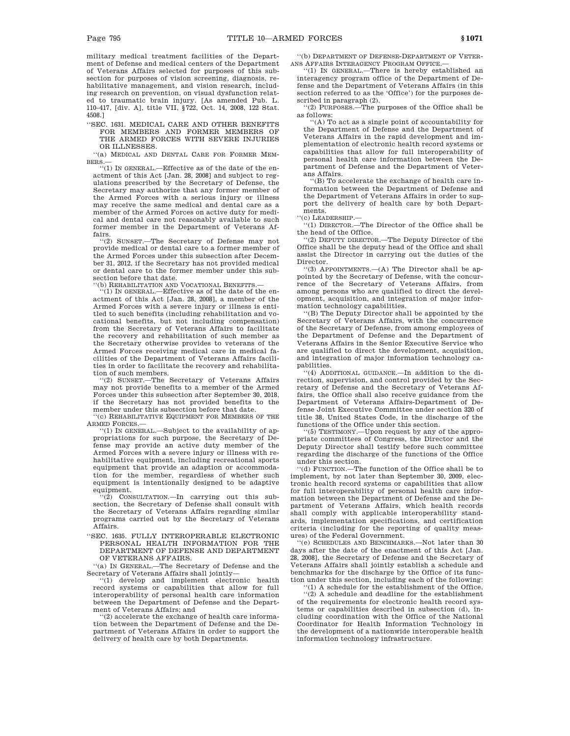military medical treatment facilities of the Department of Defense and medical centers of the Department of Veterans Affairs selected for purposes of this subsection for purposes of vision screening, diagnosis, rehabilitative management, and vision research, including research on prevention, on visual dysfunction related to traumatic brain injury. [As amended Pub. L. 110–417, [div. A], title VII, §722, Oct. 14, 2008, 122 Stat. 4508.]

''SEC. 1631. MEDICAL CARE AND OTHER BENEFITS FOR MEMBERS AND FORMER MEMBERS OF THE ARMED FORCES WITH SEVERE INJURIES OR ILLNESSES.

''(a) MEDICAL AND DENTAL CARE FOR FORMER MEM-**BERS** 

''(1) IN GENERAL.—Effective as of the date of the enactment of this Act [Jan. 28, 2008] and subject to regulations prescribed by the Secretary of Defense, the Secretary may authorize that any former member of the Armed Forces with a serious injury or illness may receive the same medical and dental care as a member of the Armed Forces on active duty for medical and dental care not reasonably available to such former member in the Department of Veterans Affairs.

''(2) SUNSET.—The Secretary of Defense may not provide medical or dental care to a former member of the Armed Forces under this subsection after December 31, 2012, if the Secretary has not provided medical or dental care to the former member under this subsection before that date.

''(b) REHABILITATION AND VOCATIONAL BENEFITS.—

'(1) IN GENERAL.—Effective as of the date of the enactment of this Act [Jan. 28, 2008], a member of the Armed Forces with a severe injury or illness is entitled to such benefits (including rehabilitation and vocational benefits, but not including compensation) from the Secretary of Veterans Affairs to facilitate the recovery and rehabilitation of such member as the Secretary otherwise provides to veterans of the Armed Forces receiving medical care in medical facilities of the Department of Veterans Affairs facilities in order to facilitate the recovery and rehabilitation of such members.

''(2) SUNSET.—The Secretary of Veterans Affairs may not provide benefits to a member of the Armed Forces under this subsection after September 30, 2018, if the Secretary has not provided benefits to the member under this subsection before that date.

''(c) REHABILITATIVE EQUIPMENT FOR MEMBERS OF THE ARMED FORCES.—

''(1) IN GENERAL.—Subject to the availability of appropriations for such purpose, the Secretary of Defense may provide an active duty member of the Armed Forces with a severe injury or illness with rehabilitative equipment, including recreational sports equipment that provide an adaption or accommodation for the member, regardless of whether such equipment is intentionally designed to be adaptive equipment.

''(2) CONSULTATION.—In carrying out this subsection, the Secretary of Defense shall consult with the Secretary of Veterans Affairs regarding similar programs carried out by the Secretary of Veterans Affairs.

''SEC. 1635. FULLY INTEROPERABLE ELECTRONIC PERSONAL HEALTH INFORMATION FOR THE DEPARTMENT OF DEFENSE AND DEPARTMENT OF VETERANS AFFAIRS.

''(a) IN GENERAL.—The Secretary of Defense and the Secretary of Veterans Affairs shall jointly—

''(1) develop and implement electronic health record systems or capabilities that allow for full interoperability of personal health care information between the Department of Defense and the Department of Veterans Affairs; and

''(2) accelerate the exchange of health care information between the Department of Defense and the Department of Veterans Affairs in order to support the delivery of health care by both Departments.

''(b) DEPARTMENT OF DEFENSE-DEPARTMENT OF VETER-ANS AFFAIRS INTERAGENCY PROGRAM OFFICE.—

''(1) IN GENERAL.—There is hereby established an interagency program office of the Department of Defense and the Department of Veterans Affairs (in this section referred to as the 'Office') for the purposes described in paragraph (2).

''(2) PURPOSES.—The purposes of the Office shall be as follows:

''(A) To act as a single point of accountability for the Department of Defense and the Department of Veterans Affairs in the rapid development and implementation of electronic health record systems or capabilities that allow for full interoperability of personal health care information between the Department of Defense and the Department of Veterans Affairs.

''(B) To accelerate the exchange of health care information between the Department of Defense and the Department of Veterans Affairs in order to support the delivery of health care by both Departments.

''(c) LEADERSHIP.— ''(1) DIRECTOR.—The Director of the Office shall be the head of the Office.

''(2) DEPUTY DIRECTOR.—The Deputy Director of the Office shall be the deputy head of the Office and shall assist the Director in carrying out the duties of the Director.

''(3) APPOINTMENTS.—(A) The Director shall be appointed by the Secretary of Defense, with the concurrence of the Secretary of Veterans Affairs, from among persons who are qualified to direct the development, acquisition, and integration of major information technology capabilities.

''(B) The Deputy Director shall be appointed by the Secretary of Veterans Affairs, with the concurrence of the Secretary of Defense, from among employees of the Department of Defense and the Department of Veterans Affairs in the Senior Executive Service who are qualified to direct the development, acquisition, and integration of major information technology capabilities.

''(4) ADDITIONAL GUIDANCE.—In addition to the direction, supervision, and control provided by the Secretary of Defense and the Secretary of Veterans Affairs, the Office shall also receive guidance from the Department of Veterans Affairs-Department of Defense Joint Executive Committee under section 320 of title 38, United States Code, in the discharge of the functions of the Office under this section.

'(5) TESTIMONY.—Upon request by any of the appropriate committees of Congress, the Director and the Deputy Director shall testify before such committee regarding the discharge of the functions of the Office under this section.

''(d) FUNCTION.—The function of the Office shall be to implement, by not later than September 30, 2009, electronic health record systems or capabilities that allow for full interoperability of personal health care information between the Department of Defense and the Department of Veterans Affairs, which health records shall comply with applicable interoperability standards, implementation specifications, and certification criteria (including for the reporting of quality measures) of the Federal Government.

''(e) SCHEDULES AND BENCHMARKS.—Not later than 30 days after the date of the enactment of this Act [Jan. 28, 2008], the Secretary of Defense and the Secretary of Veterans Affairs shall jointly establish a schedule and benchmarks for the discharge by the Office of its function under this section, including each of the following:

''(1) A schedule for the establishment of the Office.

''(2) A schedule and deadline for the establishment of the requirements for electronic health record systems or capabilities described in subsection (d), including coordination with the Office of the National Coordinator for Health Information Technology in the development of a nationwide interoperable health information technology infrastructure.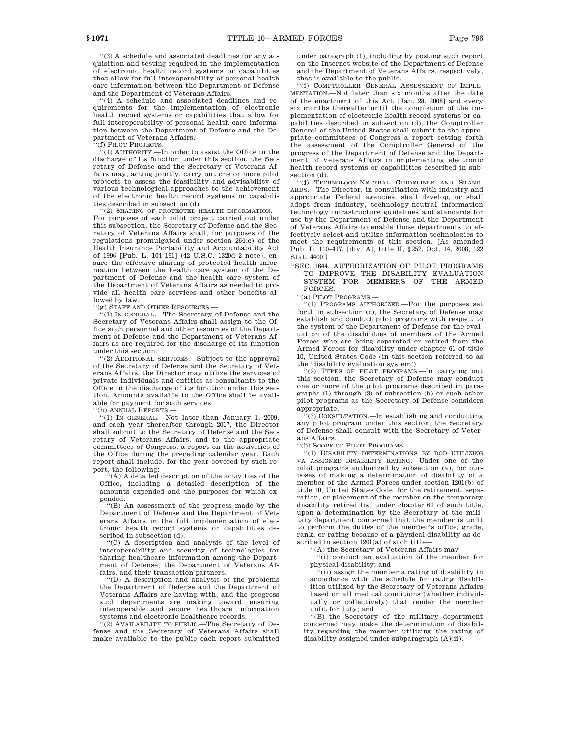''(3) A schedule and associated deadlines for any acquisition and testing required in the implementation of electronic health record systems or capabilities that allow for full interoperability of personal health care information between the Department of Defense and the Department of Veterans Affairs.

''(4) A schedule and associated deadlines and requirements for the implementation of electronic health record systems or capabilities that allow for full interoperability of personal health care information between the Department of Defense and the Department of Veterans Affairs.

'(f) PILOT PROJECTS.-

 $(1)$  AUTHORITY.—In order to assist the Office in the discharge of its function under this section, the Secretary of Defense and the Secretary of Veterans Affairs may, acting jointly, carry out one or more pilot projects to assess the feasibility and advisability of various technological approaches to the achievement of the electronic health record systems or capabilities described in subsection (d).

'(2) SHARING OF PROTECTED HEALTH INFORMATION.-For purposes of each pilot project carried out under this subsection, the Secretary of Defense and the Secretary of Veterans Affairs shall, for purposes of the regulations promulgated under section 264(c) of the Health Insurance Portability and Accountability Act of 1996 [Pub. L. 104–191] (42 U.S.C. 1320d–2 note), ensure the effective sharing of protected health information between the health care system of the Department of Defense and the health care system of the Department of Veterans Affairs as needed to provide all health care services and other benefits allowed by law.

''(g) STAFF AND OTHER RESOURCES.—

 $(1)$  IN GENERAL.—The Secretary of Defense and the Secretary of Veterans Affairs shall assign to the Office such personnel and other resources of the Department of Defense and the Department of Veterans Affairs as are required for the discharge of its function under this section.

'(2) ADDITIONAL SERVICES.—Subject to the approval of the Secretary of Defense and the Secretary of Veterans Affairs, the Director may utilize the services of private individuals and entities as consultants to the Office in the discharge of its function under this section. Amounts available to the Office shall be available for payment for such services.

''(h) ANNUAL REPORTS.—

'(1) IN GENERAL.—Not later than January 1, 2009, and each year thereafter through 2017, the Director shall submit to the Secretary of Defense and the Secretary of Veterans Affairs, and to the appropriate committees of Congress, a report on the activities of the Office during the preceding calendar year. Each report shall include, for the year covered by such report, the following:

 $($ A) A detailed description of the activities of the Office, including a detailed description of the amounts expended and the purposes for which expended.

'(B) An assessment of the progress made by the Department of Defense and the Department of Veterans Affairs in the full implementation of electronic health record systems or capabilities described in subsection (d).

''(C) A description and analysis of the level of interoperability and security of technologies for sharing healthcare information among the Department of Defense, the Department of Veterans Affairs, and their transaction partners.

'(D) A description and analysis of the problems the Department of Defense and the Department of Veterans Affairs are having with, and the progress such departments are making toward, ensuring interoperable and secure healthcare information systems and electronic healthcare records.

''(2) AVAILABILITY TO PUBLIC.—The Secretary of De-fense and the Secretary of Veterans Affairs shall make available to the public each report submitted under paragraph (1), including by posting such report on the Internet website of the Department of Defense and the Department of Veterans Affairs, respectively, that is available to the public.

''(i) COMPTROLLER GENERAL ASSESSMENT OF IMPLE-MENTATION.—Not later than six months after the date of the enactment of this Act [Jan. 28, 2008] and every six months thereafter until the completion of the implementation of electronic health record systems or capabilities described in subsection (d), the Comptroller General of the United States shall submit to the appropriate committees of Congress a report setting forth the assessment of the Comptroller General of the progress of the Department of Defense and the Department of Veterans Affairs in implementing electronic health record systems or capabilities described in subsection (d).

''(j) TECHNOLOGY-NEUTRAL GUIDELINES AND STAND-ARDS.—The Director, in consultation with industry and appropriate Federal agencies, shall develop, or shall adopt from industry, technology-neutral information technology infrastructure guidelines and standards for use by the Department of Defense and the Department of Veterans Affairs to enable those departments to effectively select and utilize information technologies to meet the requirements of this section. [As amended Pub. L. 110–417, [div. A], title II, §252, Oct. 14, 2008, 122 Stat. 4400.]

## ''SEC. 1644. AUTHORIZATION OF PILOT PROGRAMS TO IMPROVE THE DISABILITY EVALUATION SYSTEM FOR MEMBERS OF THE ARMED FORCES.

''(a) PILOT PROGRAMS.—

''(1) PROGRAMS AUTHORIZED.—For the purposes set forth in subsection (c), the Secretary of Defense may establish and conduct pilot programs with respect to the system of the Department of Defense for the evaluation of the disabilities of members of the Armed Forces who are being separated or retired from the Armed Forces for disability under chapter 61 of title 10, United States Code (in this section referred to as the 'disability evaluation system').

''(2) TYPES OF PILOT PROGRAMS.—In carrying out this section, the Secretary of Defense may conduct one or more of the pilot programs described in paragraphs (1) through (3) of subsection (b) or such other pilot programs as the Secretary of Defense considers appropriate.

''(3) CONSULTATION.—In establishing and conducting any pilot program under this section, the Secretary of Defense shall consult with the Secretary of Veterans Affairs.

''(b) SCOPE OF PILOT PROGRAMS.—

''(1) DISABILITY DETERMINATIONS BY DOD UTILIZING VA ASSIGNED DISABILITY RATING.—Under one of the pilot programs authorized by subsection (a), for purposes of making a determination of disability of a member of the Armed Forces under section 1201(b) of title 10, United States Code, for the retirement, separation, or placement of the member on the temporary disability retired list under chapter 61 of such title, upon a determination by the Secretary of the military department concerned that the member is unfit to perform the duties of the member's office, grade, rank, or rating because of a physical disability as described in section 1201(a) of such title—

''(A) the Secretary of Veterans Affairs may—

'(i) conduct an evaluation of the member for physical disability; and

''(ii) assign the member a rating of disability in accordance with the schedule for rating disabilities utilized by the Secretary of Veterans Affairs based on all medical conditions (whether individually or collectively) that render the member unfit for duty; and

''(B) the Secretary of the military department concerned may make the determination of disability regarding the member utilizing the rating of disability assigned under subparagraph (A)(ii).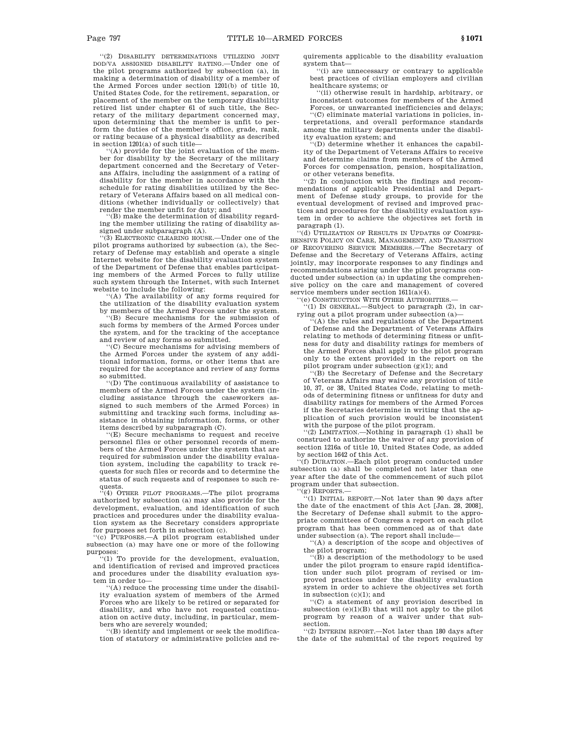''(2) DISABILITY DETERMINATIONS UTILIZING JOINT DOD/VA ASSIGNED DISABILITY RATING.—Under one of the pilot programs authorized by subsection (a), in making a determination of disability of a member of the Armed Forces under section 1201(b) of title 10, United States Code, for the retirement, separation, or placement of the member on the temporary disability retired list under chapter 61 of such title, the Secretary of the military department concerned may, upon determining that the member is unfit to perform the duties of the member's office, grade, rank, or rating because of a physical disability as described in section 1201(a) of such title—

''(A) provide for the joint evaluation of the member for disability by the Secretary of the military department concerned and the Secretary of Veterans Affairs, including the assignment of a rating of disability for the member in accordance with the schedule for rating disabilities utilized by the Secretary of Veterans Affairs based on all medical conditions (whether individually or collectively) that render the member unfit for duty; and

''(B) make the determination of disability regarding the member utilizing the rating of disability assigned under subparagraph (A).

'(3) ELECTRONIC CLEARING HOUSE.—Under one of the pilot programs authorized by subsection (a), the Secretary of Defense may establish and operate a single Internet website for the disability evaluation system of the Department of Defense that enables participating members of the Armed Forces to fully utilize such system through the Internet, with such Internet website to include the following:

'(A) The availability of any forms required for the utilization of the disability evaluation system

by members of the Armed Forces under the system. ''(B) Secure mechanisms for the submission of such forms by members of the Armed Forces under the system, and for the tracking of the acceptance and review of any forms so submitted.

''(C) Secure mechanisms for advising members of the Armed Forces under the system of any additional information, forms, or other items that are required for the acceptance and review of any forms so submitted.

''(D) The continuous availability of assistance to members of the Armed Forces under the system (including assistance through the caseworkers assigned to such members of the Armed Forces) in submitting and tracking such forms, including assistance in obtaining information, forms, or other items described by subparagraph (C).

''(E) Secure mechanisms to request and receive personnel files or other personnel records of members of the Armed Forces under the system that are required for submission under the disability evaluation system, including the capability to track requests for such files or records and to determine the status of such requests and of responses to such requests. ''(4) OTHER PILOT PROGRAMS.—The pilot programs

authorized by subsection (a) may also provide for the development, evaluation, and identification of such practices and procedures under the disability evaluation system as the Secretary considers appropriate for purposes set forth in subsection (c).

''(c) PURPOSES.—A pilot program established under subsection (a) may have one or more of the following purposes:

''(1) To provide for the development, evaluation, and identification of revised and improved practices and procedures under the disability evaluation system in order to—

'(A) reduce the processing time under the disability evaluation system of members of the Armed Forces who are likely to be retired or separated for disability, and who have not requested continuation on active duty, including, in particular, members who are severely wounded;

''(B) identify and implement or seek the modification of statutory or administrative policies and requirements applicable to the disability evaluation system that—

''(i) are unnecessary or contrary to applicable best practices of civilian employers and civilian healthcare systems; or

''(ii) otherwise result in hardship, arbitrary, or inconsistent outcomes for members of the Armed Forces, or unwarranted inefficiencies and delays;

''(C) eliminate material variations in policies, interpretations, and overall performance standards among the military departments under the disability evaluation system; and

''(D) determine whether it enhances the capability of the Department of Veterans Affairs to receive and determine claims from members of the Armed Forces for compensation, pension, hospitalization, or other veterans benefits.

''(2) In conjunction with the findings and recommendations of applicable Presidential and Department of Defense study groups, to provide for the eventual development of revised and improved practices and procedures for the disability evaluation system in order to achieve the objectives set forth in paragraph (1).

'(d) UTILIZATION OF RESULTS IN UPDATES OF COMPRE-HENSIVE POLICY ON CARE, MANAGEMENT, AND TRANSITION OF RECOVERING SERVICE MEMBERS.—The Secretary of Defense and the Secretary of Veterans Affairs, acting jointly, may incorporate responses to any findings and recommendations arising under the pilot programs conducted under subsection (a) in updating the comprehensive policy on the care and management of covered service members under section 1611(a)(4).

'(e) CONSTRUCTION WITH OTHER AUTHORITIES.

''(1) IN GENERAL.—Subject to paragraph (2), in carrying out a pilot program under subsection (a)—

''(A) the rules and regulations of the Department of Defense and the Department of Veterans Affairs relating to methods of determining fitness or unfitness for duty and disability ratings for members of the Armed Forces shall apply to the pilot program only to the extent provided in the report on the pilot program under subsection (g)(1); and

''(B) the Secretary of Defense and the Secretary of Veterans Affairs may waive any provision of title 10, 37, or 38, United States Code, relating to methods of determining fitness or unfitness for duty and disability ratings for members of the Armed Forces if the Secretaries determine in writing that the application of such provision would be inconsistent with the purpose of the pilot program.

''(2) LIMITATION.—Nothing in paragraph (1) shall be construed to authorize the waiver of any provision of section 1216a of title 10, United States Code, as added by section 1642 of this Act.

''(f) DURATION.—Each pilot program conducted under subsection (a) shall be completed not later than one year after the date of the commencement of such pilot program under that subsection.

 $'(g)$  REPORTS.

 $(1)$  INITIAL REPORT.—Not later than 90 days after the date of the enactment of this Act [Jan. 28, 2008], the Secretary of Defense shall submit to the appropriate committees of Congress a report on each pilot program that has been commenced as of that date under subsection (a). The report shall include—

''(A) a description of the scope and objectives of the pilot program;

''(B) a description of the methodology to be used under the pilot program to ensure rapid identification under such pilot program of revised or improved practices under the disability evaluation system in order to achieve the objectives set forth in subsection  $(c)(1)$ ; and

''(C) a statement of any provision described in subsection (e)(1)(B) that will not apply to the pilot program by reason of a waiver under that subsection.

''(2) INTERIM REPORT.—Not later than 180 days after the date of the submittal of the report required by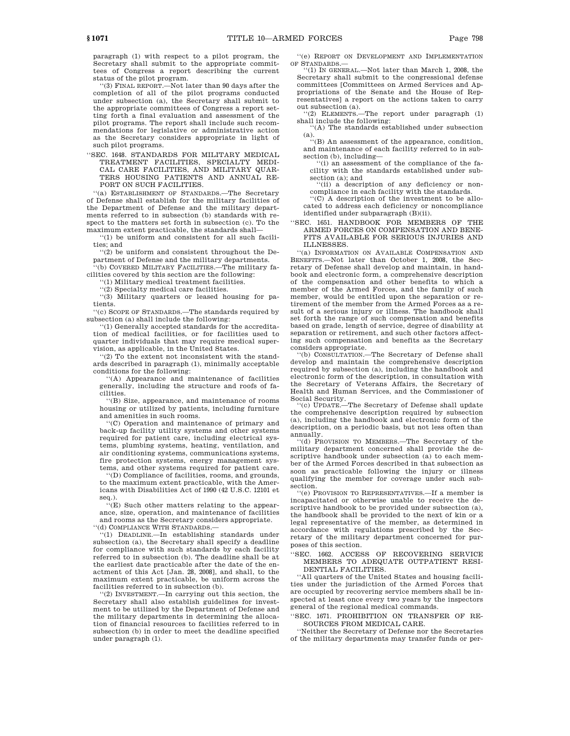paragraph (1) with respect to a pilot program, the Secretary shall submit to the appropriate committees of Congress a report describing the current status of the pilot program.

''(3) FINAL REPORT.—Not later than 90 days after the completion of all of the pilot programs conducted under subsection (a), the Secretary shall submit to the appropriate committees of Congress a report setting forth a final evaluation and assessment of the pilot programs. The report shall include such recommendations for legislative or administrative action as the Secretary considers appropriate in light of such pilot programs.

''SEC. 1648. STANDARDS FOR MILITARY MEDICAL TREATMENT FACILITIES, SPECIALTY MEDI-CAL CARE FACILITIES, AND MILITARY QUAR-TERS HOUSING PATIENTS AND ANNUAL RE-PORT ON SUCH FACILITIES.

''(a) ESTABLISHMENT OF STANDARDS.—The Secretary of Defense shall establish for the military facilities of the Department of Defense and the military departments referred to in subsection (b) standards with respect to the matters set forth in subsection (c). To the maximum extent practicable, the standards shall—

''(1) be uniform and consistent for all such facilities; and

''(2) be uniform and consistent throughout the Department of Defense and the military departments.

'(b) COVERED MILITARY FACILITIES.—The military facilities covered by this section are the following:

''(1) Military medical treatment facilities.

''(2) Specialty medical care facilities.

''(3) Military quarters or leased housing for patients.

'(c) SCOPE OF STANDARDS. The standards required by subsection (a) shall include the following:

''(1) Generally accepted standards for the accreditation of medical facilities, or for facilities used to quarter individuals that may require medical supervision, as applicable, in the United States.

''(2) To the extent not inconsistent with the standards described in paragraph (1), minimally acceptable conditions for the following:

''(A) Appearance and maintenance of facilities generally, including the structure and roofs of facilities.

''(B) Size, appearance, and maintenance of rooms housing or utilized by patients, including furniture and amenities in such rooms.

''(C) Operation and maintenance of primary and back-up facility utility systems and other systems required for patient care, including electrical systems, plumbing systems, heating, ventilation, and air conditioning systems, communications systems, fire protection systems, energy management systems, and other systems required for patient care.

''(D) Compliance of facilities, rooms, and grounds, to the maximum extent practicable, with the Americans with Disabilities Act of 1990 (42 U.S.C. 12101 et seq.).

''(E) Such other matters relating to the appearance, size, operation, and maintenance of facilities and rooms as the Secretary considers appropriate. ''(d) COMPLIANCE WITH STANDARDS.—

'(1) DEADLINE.—In establishing standards under subsection (a), the Secretary shall specify a deadline for compliance with such standards by each facility referred to in subsection (b). The deadline shall be at the earliest date practicable after the date of the enactment of this Act [Jan. 28, 2008], and shall, to the maximum extent practicable, be uniform across the facilities referred to in subsection (b).

''(2) INVESTMENT.—In carrying out this section, the Secretary shall also establish guidelines for investment to be utilized by the Department of Defense and the military departments in determining the allocation of financial resources to facilities referred to in subsection (b) in order to meet the deadline specified under paragraph (1).

''(e) REPORT ON DEVELOPMENT AND IMPLEMENTATION OF STANDARDS.

''(1) IN GENERAL.—Not later than March 1, 2008, the Secretary shall submit to the congressional defense committees [Committees on Armed Services and Appropriations of the Senate and the House of Representatives] a report on the actions taken to carry out subsection (a).

''(2) ELEMENTS.—The report under paragraph (1) shall include the following:

'(A) The standards established under subsection (a).

''(B) An assessment of the appearance, condition, and maintenance of each facility referred to in subsection (b), including—

''(i) an assessment of the compliance of the facility with the standards established under subsection (a); and

''(ii) a description of any deficiency or non-

compliance in each facility with the standards. ''(C) A description of the investment to be allocated to address each deficiency or noncompliance identified under subparagraph (B)(ii).

''SEC. 1651. HANDBOOK FOR MEMBERS OF THE ARMED FORCES ON COMPENSATION AND BENE-FITS AVAILABLE FOR SERIOUS INJURIES AND ILLNESSES.

''(a) INFORMATION ON AVAILABLE COMPENSATION AND BENEFITS.—Not later than October 1, 2008, the Secretary of Defense shall develop and maintain, in handbook and electronic form, a comprehensive description of the compensation and other benefits to which a member of the Armed Forces, and the family of such member, would be entitled upon the separation or retirement of the member from the Armed Forces as a result of a serious injury or illness. The handbook shall set forth the range of such compensation and benefits based on grade, length of service, degree of disability at separation or retirement, and such other factors affecting such compensation and benefits as the Secretary considers appropriate.

''(b) CONSULTATION.—The Secretary of Defense shall develop and maintain the comprehensive description required by subsection (a), including the handbook and electronic form of the description, in consultation with the Secretary of Veterans Affairs, the Secretary of Health and Human Services, and the Commissioner of

Social Security. ''(c) UPDATE.—The Secretary of Defense shall update the comprehensive description required by subsection (a), including the handbook and electronic form of the description, on a periodic basis, but not less often than annually.

'(d) PROVISION TO MEMBERS.—The Secretary of the military department concerned shall provide the descriptive handbook under subsection (a) to each member of the Armed Forces described in that subsection as soon as practicable following the injury or illness qualifying the member for coverage under such subsection.

''(e) PROVISION TO REPRESENTATIVES.—If a member is incapacitated or otherwise unable to receive the descriptive handbook to be provided under subsection (a), the handbook shall be provided to the next of kin or a legal representative of the member, as determined in accordance with regulations prescribed by the Secretary of the military department concerned for purposes of this section.

SEC. 1662. ACCESS OF RECOVERING SERVICE MEMBERS TO ADEQUATE OUTPATIENT RESI-DENTIAL FACILITIES.

''All quarters of the United States and housing facilities under the jurisdiction of the Armed Forces that are occupied by recovering service members shall be inspected at least once every two years by the inspectors general of the regional medical commands.

'SEC. 1671. PROHIBITION ON TRANSFER OF RE-SOURCES FROM MEDICAL CARE.

''Neither the Secretary of Defense nor the Secretaries of the military departments may transfer funds or per-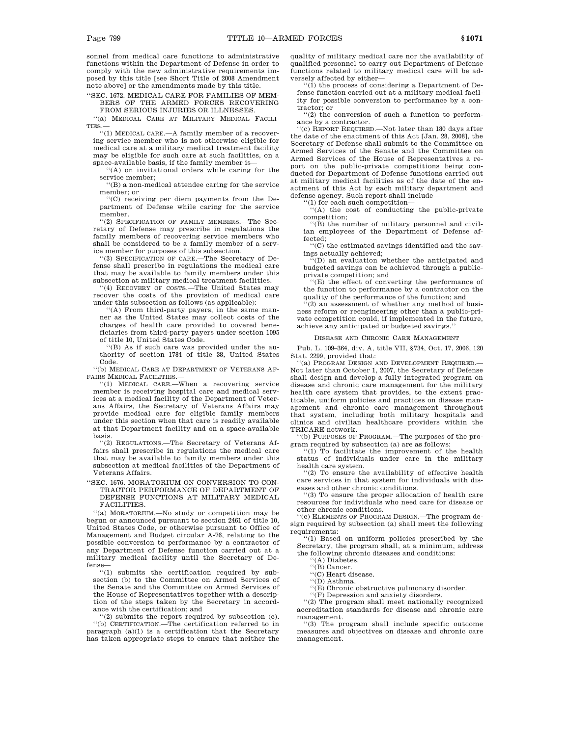sonnel from medical care functions to administrative functions within the Department of Defense in order to comply with the new administrative requirements imposed by this title [see Short Title of 2008 Amendment note above] or the amendments made by this title.

''SEC. 1672. MEDICAL CARE FOR FAMILIES OF MEM-BERS OF THE ARMED FORCES RECOVERING FROM SERIOUS INJURIES OR ILLNESSES.

''(a) MEDICAL CARE AT MILITARY MEDICAL FACILI-TIES.—

''(1) MEDICAL CARE.—A family member of a recovering service member who is not otherwise eligible for medical care at a military medical treatment facility may be eligible for such care at such facilities, on a space-available basis, if the family member is—

''(A) on invitational orders while caring for the service member;

''(B) a non-medical attendee caring for the service member; or

''(C) receiving per diem payments from the Department of Defense while caring for the service member.

''(2) SPECIFICATION OF FAMILY MEMBERS.—The Secretary of Defense may prescribe in regulations the family members of recovering service members who shall be considered to be a family member of a service member for purposes of this subsection. ''(3) SPECIFICATION OF CARE.—The Secretary of De-

fense shall prescribe in regulations the medical care that may be available to family members under this subsection at military medical treatment facilities.

''(4) RECOVERY OF COSTS.—The United States may recover the costs of the provision of medical care under this subsection as follows (as applicable):

''(A) From third-party payers, in the same manner as the United States may collect costs of the charges of health care provided to covered beneficiaries from third-party payers under section 1095 of title 10, United States Code.

''(B) As if such care was provided under the authority of section 1784 of title 38, United States Code.

''(b) MEDICAL CARE AT DEPARTMENT OF VETERANS AF-FAIRS MEDICAL FACILITIES.

''(1) MEDICAL CARE.—When a recovering service member is receiving hospital care and medical services at a medical facility of the Department of Veterans Affairs, the Secretary of Veterans Affairs may provide medical care for eligible family members under this section when that care is readily available at that Department facility and on a space-available basis.

''(2) REGULATIONS.—The Secretary of Veterans Affairs shall prescribe in regulations the medical care that may be available to family members under this subsection at medical facilities of the Department of Veterans Affairs.

''SEC. 1676. MORATORIUM ON CONVERSION TO CON-TRACTOR PERFORMANCE OF DEPARTMENT OF DEFENSE FUNCTIONS AT MILITARY MEDICAL FACILITIES.

''(a) MORATORIUM.—No study or competition may be begun or announced pursuant to section 2461 of title 10, United States Code, or otherwise pursuant to Office of Management and Budget circular A-76, relating to the possible conversion to performance by a contractor of any Department of Defense function carried out at a military medical facility until the Secretary of Defense—

''(1) submits the certification required by subsection (b) to the Committee on Armed Services of the Senate and the Committee on Armed Services of the House of Representatives together with a description of the steps taken by the Secretary in accordance with the certification; and

''(2) submits the report required by subsection (c). ''(b) CERTIFICATION.—The certification referred to in paragraph (a)(1) is a certification that the Secretary has taken appropriate steps to ensure that neither the quality of military medical care nor the availability of qualified personnel to carry out Department of Defense functions related to military medical care will be adversely affected by either—

''(1) the process of considering a Department of Defense function carried out at a military medical facility for possible conversion to performance by a contractor; or

''(2) the conversion of such a function to performance by a contractor.

''(c) REPORT REQUIRED.—Not later than 180 days after the date of the enactment of this Act [Jan. 28, 2008], the Secretary of Defense shall submit to the Committee on Armed Services of the Senate and the Committee on Armed Services of the House of Representatives a report on the public-private competitions being conducted for Department of Defense functions carried out at military medical facilities as of the date of the enactment of this Act by each military department and defense agency. Such report shall include—

''(1) for each such competition—

''(A) the cost of conducting the public-private competition;

''(B) the number of military personnel and civilian employees of the Department of Defense affected;

''(C) the estimated savings identified and the savings actually achieved;

''(D) an evaluation whether the anticipated and budgeted savings can be achieved through a publicprivate competition; and

''(E) the effect of converting the performance of the function to performance by a contractor on the quality of the performance of the function; and

 $(2)$  an assessment of whether any method of business reform or reengineering other than a public-private competition could, if implemented in the future, achieve any anticipated or budgeted savings.''

# ISEASE AND CHRONIC CARE MANAGEMENT

Pub. L. 109–364, div. A, title VII, §734, Oct. 17, 2006, 120 Stat. 2299, provided that:

''(a) PROGRAM DESIGN AND DEVELOPMENT REQUIRED.— Not later than October 1, 2007, the Secretary of Defense shall design and develop a fully integrated program on disease and chronic care management for the military health care system that provides, to the extent practicable, uniform policies and practices on disease management and chronic care management throughout that system, including both military hospitals and clinics and civilian healthcare providers within the TRICARE network.

''(b) PURPOSES OF PROGRAM.—The purposes of the program required by subsection (a) are as follows:

'(1) To facilitate the improvement of the health status of individuals under care in the military health care system.

''(2) To ensure the availability of effective health care services in that system for individuals with diseases and other chronic conditions.

''(3) To ensure the proper allocation of health care resources for individuals who need care for disease or other chronic conditions.

''(c) ELEMENTS OF PROGRAM DESIGN.—The program design required by subsection (a) shall meet the following requirements:

''(1) Based on uniform policies prescribed by the Secretary, the program shall, at a minimum, address the following chronic diseases and conditions:

''(A) Diabetes.

''(B) Cancer.

''(C) Heart disease.

''(D) Asthma.

''(E) Chronic obstructive pulmonary disorder.

''(F) Depression and anxiety disorders.

''(2) The program shall meet nationally recognized accreditation standards for disease and chronic care management.

''(3) The program shall include specific outcome measures and objectives on disease and chronic care management.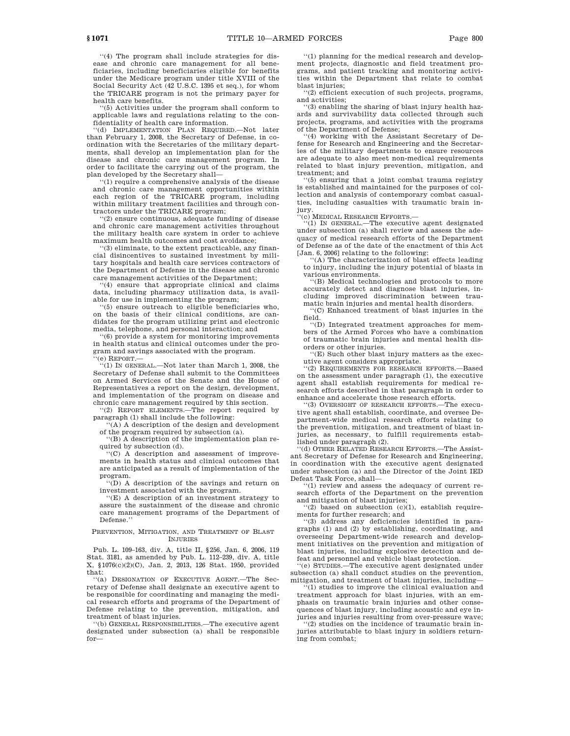''(4) The program shall include strategies for disease and chronic care management for all beneficiaries, including beneficiaries eligible for benefits under the Medicare program under title XVIII of the Social Security Act (42 U.S.C. 1395 et seq.), for whom the TRICARE program is not the primary payer for health care benefits.

'(5) Activities under the program shall conform to applicable laws and regulations relating to the confidentiality of health care information.

''(d) IMPLEMENTATION PLAN REQUIRED.—Not later than February 1, 2008, the Secretary of Defense, in coordination with the Secretaries of the military departments, shall develop an implementation plan for the disease and chronic care management program. In order to facilitate the carrying out of the program, the plan developed by the Secretary shall—

'(1) require a comprehensive analysis of the disease and chronic care management opportunities within each region of the TRICARE program, including within military treatment facilities and through contractors under the TRICARE program;

''(2) ensure continuous, adequate funding of disease and chronic care management activities throughout the military health care system in order to achieve maximum health outcomes and cost avoidance;

'(3) eliminate, to the extent practicable, any financial disincentives to sustained investment by military hospitals and health care services contractors of the Department of Defense in the disease and chronic care management activities of the Department;

''(4) ensure that appropriate clinical and claims data, including pharmacy utilization data, is available for use in implementing the program;

''(5) ensure outreach to eligible beneficiaries who, on the basis of their clinical conditions, are candidates for the program utilizing print and electronic media, telephone, and personal interaction; and

''(6) provide a system for monitoring improvements in health status and clinical outcomes under the program and savings associated with the program. '(e) REPORT.-

''(1) IN GENERAL.—Not later than March 1, 2008, the Secretary of Defense shall submit to the Committees on Armed Services of the Senate and the House of Representatives a report on the design, development, and implementation of the program on disease and chronic care management required by this section.

''(2) REPORT ELEMENTS.—The report required by paragraph (1) shall include the following:

 $(A)$  A description of the design and development of the program required by subsection (a).

''(B) A description of the implementation plan required by subsection (d).

''(C) A description and assessment of improvements in health status and clinical outcomes that are anticipated as a result of implementation of the program.

''(D) A description of the savings and return on investment associated with the program.

''(E) A description of an investment strategy to assure the sustainment of the disease and chronic care management programs of the Department of Defense.''

#### PREVENTION, MITIGATION, AND TREATMENT OF BLAST INJURIES

Pub. L. 109–163, div. A, title II, §256, Jan. 6, 2006, 119 Stat. 3181, as amended by Pub. L. 112–239, div. A, title X, §1076(c)(2)(C), Jan. 2, 2013, 126 Stat. 1950, provided that:

''(a) DESIGNATION OF EXECUTIVE AGENT.—The Secretary of Defense shall designate an executive agent to be responsible for coordinating and managing the medical research efforts and programs of the Department of Defense relating to the prevention, mitigation, and treatment of blast injuries.

''(b) GENERAL RESPONSIBILITIES.—The executive agent designated under subsection (a) shall be responsible for—

''(1) planning for the medical research and development projects, diagnostic and field treatment programs, and patient tracking and monitoring activities within the Department that relate to combat blast injuries;

''(2) efficient execution of such projects, programs, and activities;

''(3) enabling the sharing of blast injury health hazards and survivability data collected through such projects, programs, and activities with the programs of the Department of Defense;

''(4) working with the Assistant Secretary of Defense for Research and Engineering and the Secretaries of the military departments to ensure resources are adequate to also meet non-medical requirements related to blast injury prevention, mitigation, and treatment; and

''(5) ensuring that a joint combat trauma registry is established and maintained for the purposes of collection and analysis of contemporary combat casualties, including casualties with traumatic brain injury.

''(c) MEDICAL RESEARCH EFFORTS.— ''(1) IN GENERAL.—The executive agent designated under subsection (a) shall review and assess the adequacy of medical research efforts of the Department of Defense as of the date of the enactment of this Act [Jan. 6, 2006] relating to the following:

''(A) The characterization of blast effects leading to injury, including the injury potential of blasts in various environments.

''(B) Medical technologies and protocols to more accurately detect and diagnose blast injuries, including improved discrimination between traumatic brain injuries and mental health disorders.

''(C) Enhanced treatment of blast injuries in the field.

''(D) Integrated treatment approaches for members of the Armed Forces who have a combination of traumatic brain injuries and mental health disorders or other injuries.

 $'(E)$  Such other blast injury matters as the executive agent considers appropriate.

''(2) REQUIREMENTS FOR RESEARCH EFFORTS.—Based on the assessment under paragraph (1), the executive agent shall establish requirements for medical research efforts described in that paragraph in order to enhance and accelerate those research efforts.

'(3) OVERSIGHT OF RESEARCH EFFORTS. The executive agent shall establish, coordinate, and oversee Department-wide medical research efforts relating to the prevention, mitigation, and treatment of blast injuries, as necessary, to fulfill requirements established under paragraph (2).

''(d) OTHER RELATED RESEARCH EFFORTS.—The Assistant Secretary of Defense for Research and Engineering, in coordination with the executive agent designated under subsection (a) and the Director of the Joint IED Defeat Task Force, shall—

''(1) review and assess the adequacy of current research efforts of the Department on the prevention and mitigation of blast injuries;

 $''(2)$  based on subsection  $(c)(1)$ , establish requirements for further research; and

''(3) address any deficiencies identified in paragraphs (1) and (2) by establishing, coordinating, and overseeing Department-wide research and development initiatives on the prevention and mitigation of blast injuries, including explosive detection and defeat and personnel and vehicle blast protection.

''(e) STUDIES.—The executive agent designated under subsection (a) shall conduct studies on the prevention, mitigation, and treatment of blast injuries, including—

''(1) studies to improve the clinical evaluation and treatment approach for blast injuries, with an emphasis on traumatic brain injuries and other consequences of blast injury, including acoustic and eye injuries and injuries resulting from over-pressure wave;

 $(2)$  studies on the incidence of traumatic brain injuries attributable to blast injury in soldiers returning from combat;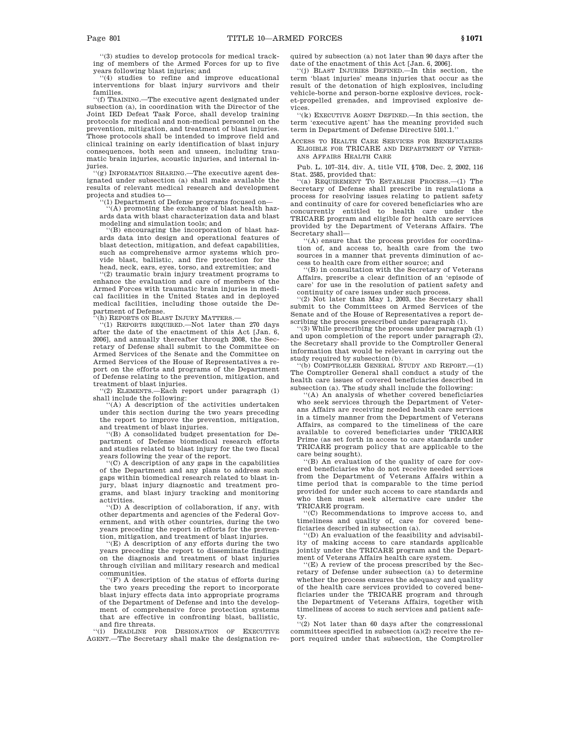''(3) studies to develop protocols for medical tracking of members of the Armed Forces for up to five years following blast injuries; and

''(4) studies to refine and improve educational interventions for blast injury survivors and their families.

''(f) TRAINING.—The executive agent designated under subsection (a), in coordination with the Director of the Joint IED Defeat Task Force, shall develop training protocols for medical and non-medical personnel on the prevention, mitigation, and treatment of blast injuries. Those protocols shall be intended to improve field and clinical training on early identification of blast injury consequences, both seen and unseen, including traumatic brain injuries, acoustic injuries, and internal injuries

''(g) INFORMATION SHARING.—The executive agent designated under subsection (a) shall make available the results of relevant medical research and development projects and studies to—

''(1) Department of Defense programs focused on—

''(A) promoting the exchange of blast health hazards data with blast characterization data and blast modeling and simulation tools; and

(B) encouraging the incorporation of blast hazards data into design and operational features of blast detection, mitigation, and defeat capabilities, such as comprehensive armor systems which provide blast, ballistic, and fire protection for the head, neck, ears, eyes, torso, and extremities; and

''(2) traumatic brain injury treatment programs to enhance the evaluation and care of members of the Armed Forces with traumatic brain injuries in medical facilities in the United States and in deployed medical facilities, including those outside the De-

partment of Defense. ''(h) REPORTS ON BLAST INJURY MATTERS.—

''(1) REPORTS REQUIRED.—Not later than 270 days after the date of the enactment of this Act [Jan. 6, 2006], and annually thereafter through 2008, the Secretary of Defense shall submit to the Committee on Armed Services of the Senate and the Committee on Armed Services of the House of Representatives a report on the efforts and programs of the Department of Defense relating to the prevention, mitigation, and treatment of blast injuries.

''(2) ELEMENTS.—Each report under paragraph (1)

shall include the following: ''(A) A description of the activities undertaken under this section during the two years preceding the report to improve the prevention, mitigation, and treatment of blast injuries.

''(B) A consolidated budget presentation for Department of Defense biomedical research efforts and studies related to blast injury for the two fiscal years following the year of the report.

''(C) A description of any gaps in the capabilities of the Department and any plans to address such gaps within biomedical research related to blast injury, blast injury diagnostic and treatment programs, and blast injury tracking and monitoring activities.

''(D) A description of collaboration, if any, with other departments and agencies of the Federal Government, and with other countries, during the two years preceding the report in efforts for the prevention, mitigation, and treatment of blast injuries.

''(E) A description of any efforts during the two years preceding the report to disseminate findings on the diagnosis and treatment of blast injuries through civilian and military research and medical communities.

''(F) A description of the status of efforts during the two years preceding the report to incorporate blast injury effects data into appropriate programs of the Department of Defense and into the development of comprehensive force protection systems that are effective in confronting blast, ballistic,

and fire threats.<br>
"(i) DEADLINE FOR DESIGNATION OF EXECUTIVE AGENT.—The Secretary shall make the designation required by subsection (a) not later than 90 days after the date of the enactment of this Act [Jan. 6, 2006].

''(j) BLAST INJURIES DEFINED.—In this section, the term 'blast injuries' means injuries that occur as the result of the detonation of high explosives, including vehicle-borne and person-borne explosive devices, rocket-propelled grenades, and improvised explosive devices.

''(k) EXECUTIVE AGENT DEFINED.—In this section, the term 'executive agent' has the meaning provided such term in Department of Defense Directive 5101.1.''

ACCESS TO HEALTH CARE SERVICES FOR BENEFICIARIES ELIGIBLE FOR TRICARE AND DEPARTMENT OF VETER-ANS AFFAIRS HEALTH CARE

Pub. L. 107–314, div. A, title VII, §708, Dec. 2, 2002, 116 Stat. 2585, provided that:

''(a) REQUIREMENT TO ESTABLISH PROCESS.—(1) The Secretary of Defense shall prescribe in regulations a process for resolving issues relating to patient safety and continuity of care for covered beneficiaries who are concurrently entitled to health care under the TRICARE program and eligible for health care services provided by the Department of Veterans Affairs. The Secretary shall—

''(A) ensure that the process provides for coordination of, and access to, health care from the two sources in a manner that prevents diminution of access to health care from either source; and

(B) in consultation with the Secretary of Veterans Affairs, prescribe a clear definition of an 'episode of care' for use in the resolution of patient safety and continuity of care issues under such process.

'(2) Not later than May 1, 2003, the Secretary shall submit to the Committees on Armed Services of the Senate and of the House of Representatives a report describing the process prescribed under paragraph (1).

''(3) While prescribing the process under paragraph (1) and upon completion of the report under paragraph (2), the Secretary shall provide to the Comptroller General information that would be relevant in carrying out the study required by subsection (b).

''(b) COMPTROLLER GENERAL STUDY AND REPORT.—(1) The Comptroller General shall conduct a study of the health care issues of covered beneficiaries described in subsection (a). The study shall include the following:

'(A) An analysis of whether covered beneficiaries who seek services through the Department of Veterans Affairs are receiving needed health care services in a timely manner from the Department of Veterans Affairs, as compared to the timeliness of the care available to covered beneficiaries under TRICARE Prime (as set forth in access to care standards under TRICARE program policy that are applicable to the care being sought).

''(B) An evaluation of the quality of care for covered beneficiaries who do not receive needed services from the Department of Veterans Affairs within a time period that is comparable to the time period provided for under such access to care standards and who then must seek alternative care under the TRICARE program.

''(C) Recommendations to improve access to, and timeliness and quality of, care for covered beneficiaries described in subsection (a).

''(D) An evaluation of the feasibility and advisability of making access to care standards applicable jointly under the TRICARE program and the Department of Veterans Affairs health care system.

''(E) A review of the process prescribed by the Secretary of Defense under subsection (a) to determine whether the process ensures the adequacy and quality of the health care services provided to covered beneficiaries under the TRICARE program and through the Department of Veterans Affairs, together with timeliness of access to such services and patient safety.

''(2) Not later than 60 days after the congressional committees specified in subsection (a)(2) receive the report required under that subsection, the Comptroller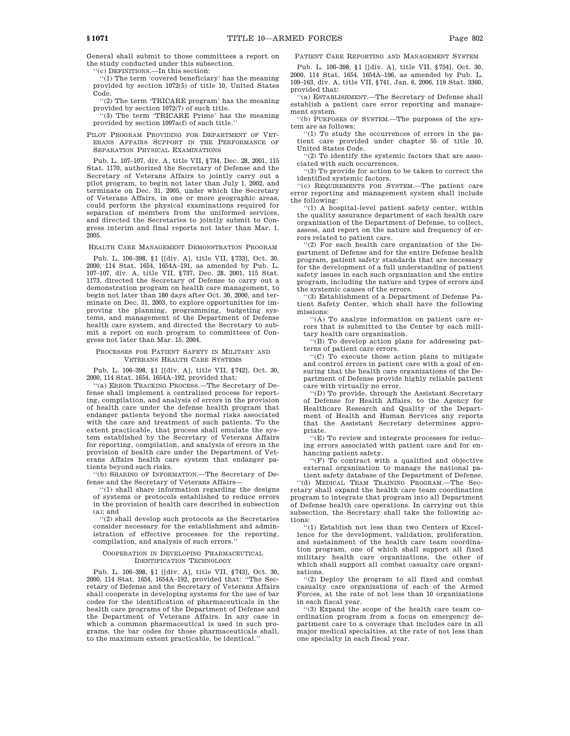the study conducted under this subsection.

''(c) DEFINITIONS.—In this section:

''(1) The term 'covered beneficiary' has the meaning provided by section 1072(5) of title 10, United States Code.

''(2) The term 'TRICARE program' has the meaning provided by section 1072(7) of such title.

''(3) The term 'TRICARE Prime' has the meaning provided by section 1097a(f) of such title.''

PILOT PROGRAM PROVIDING FOR DEPARTMENT OF VET-ERANS AFFAIRS SUPPORT IN THE PERFORMANCE OF SEPARATION PHYSICAL EXAMINATIONS

Pub. L. 107–107, div. A, title VII, §734, Dec. 28, 2001, 115 Stat. 1170, authorized the Secretary of Defense and the Secretary of Veterans Affairs to jointly carry out a pilot program, to begin not later than July 1, 2002, and terminate on Dec. 31, 2005, under which the Secretary of Veterans Affairs, in one or more geographic areas, could perform the physical examinations required for separation of members from the uniformed services, and directed the Secretaries to jointly submit to Congress interim and final reports not later than Mar. 1, 2005.

# HEALTH CARE MANAGEMENT DEMONSTRATION PROGRAM

Pub. L. 106–398, §1 [[div. A], title VII, §733], Oct. 30, 2000, 114 Stat. 1654, 1654A–191, as amended by Pub. L. 107–107, div. A, title VII, §737, Dec. 28, 2001, 115 Stat. 1173, directed the Secretary of Defense to carry out a demonstration program on health care management, to begin not later than 180 days after Oct. 30, 2000, and terminate on Dec. 31, 2003, to explore opportunities for improving the planning, programming, budgeting systems, and management of the Department of Defense health care system, and directed the Secretary to submit a report on such program to committees of Congress not later than Mar. 15, 2004.

# PROCESSES FOR PATIENT SAFETY IN MILITARY AND VETERANS HEALTH CARE SYSTEMS

Pub. L. 106–398, §1 [[div. A], title VII, §742], Oct. 30, 2000, 114 Stat. 1654, 1654A–192, provided that:

''(a) ERROR TRACKING PROCESS.—The Secretary of Defense shall implement a centralized process for reporting, compilation, and analysis of errors in the provision of health care under the defense health program that endanger patients beyond the normal risks associated with the care and treatment of such patients. To the extent practicable, that process shall emulate the system established by the Secretary of Veterans Affairs for reporting, compilation, and analysis of errors in the provision of health care under the Department of Veterans Affairs health care system that endanger patients beyond such risks.

''(b) SHARING OF INFORMATION.—The Secretary of Defense and the Secretary of Veterans Affairs—

''(1) shall share information regarding the designs of systems or protocols established to reduce errors in the provision of health care described in subsection (a); and

''(2) shall develop such protocols as the Secretaries consider necessary for the establishment and administration of effective processes for the reporting, compilation, and analysis of such errors.''

# COOPERATION IN DEVELOPING PHARMACEUTICAL IDENTIFICATION TECHNOLOGY

Pub. L. 106–398, §1 [[div. A], title VII, §743], Oct. 30, 2000, 114 Stat. 1654, 1654A–192, provided that: ''The Secretary of Defense and the Secretary of Veterans Affairs shall cooperate in developing systems for the use of bar codes for the identification of pharmaceuticals in the health care programs of the Department of Defense and the Department of Veterans Affairs. In any case in which a common pharmaceutical is used in such programs, the bar codes for those pharmaceuticals shall, to the maximum extent practicable, be identical.''

PATIENT CARE REPORTING AND MANAGEMENT SYSTEM

Pub. L. 106–398, §1 [[div. A], title VII, §754], Oct. 30, 2000, 114 Stat. 1654, 1654A–196, as amended by Pub. L. 109–163, div. A, title VII, §741, Jan. 6, 2006, 119 Stat. 3360, provided that:

''(a) ESTABLISHMENT.—The Secretary of Defense shall establish a patient care error reporting and management system.

''(b) PURPOSES OF SYSTEM.—The purposes of the system are as follows:

''(1) To study the occurrences of errors in the patient care provided under chapter 55 of title 10, United States Code.

''(2) To identify the systemic factors that are associated with such occurrences.

''(3) To provide for action to be taken to correct the identified systemic factors.

''(c) REQUIREMENTS FOR SYSTEM.—The patient care error reporting and management system shall include the following:

''(1) A hospital-level patient safety center, within the quality assurance department of each health care organization of the Department of Defense, to collect, assess, and report on the nature and frequency of errors related to patient care.

''(2) For each health care organization of the Department of Defense and for the entire Defense health program, patient safety standards that are necessary for the development of a full understanding of patient safety issues in each such organization and the entire program, including the nature and types of errors and the systemic causes of the errors.

''(3) Establishment of a Department of Defense Patient Safety Center, which shall have the following missions:

''(A) To analyze information on patient care errors that is submitted to the Center by each military health care organization.

''(B) To develop action plans for addressing patterns of patient care errors.

''(C) To execute those action plans to mitigate and control errors in patient care with a goal of ensuring that the health care organizations of the Department of Defense provide highly reliable patient care with virtually no error.

''(D) To provide, through the Assistant Secretary of Defense for Health Affairs, to the Agency for Healthcare Research and Quality of the Department of Health and Human Services any reports that the Assistant Secretary determines appropriate.

''(E) To review and integrate processes for reducing errors associated with patient care and for enhancing patient safety.

''(F) To contract with a qualified and objective external organization to manage the national patient safety database of the Department of Defense.

''(d) MEDICAL TEAM TRAINING PROGRAM.—The Secretary shall expand the health care team coordination program to integrate that program into all Department of Defense health care operations. In carrying out this subsection, the Secretary shall take the following actions:

''(1) Establish not less than two Centers of Excellence for the development, validation, proliferation, and sustainment of the health care team coordination program, one of which shall support all fixed military health care organizations, the other of which shall support all combat casualty care organizations.

''(2) Deploy the program to all fixed and combat casualty care organizations of each of the Armed Forces, at the rate of not less than 10 organizations in each fiscal year.

''(3) Expand the scope of the health care team coordination program from a focus on emergency department care to a coverage that includes care in all major medical specialties, at the rate of not less than one specialty in each fiscal year.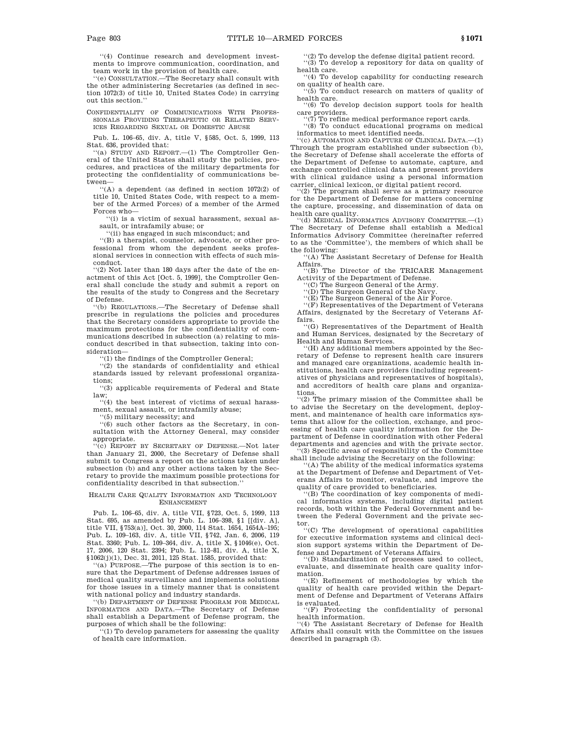''(4) Continue research and development investments to improve communication, coordination, and team work in the provision of health care.

'(e) CONSULTATION.—The Secretary shall consult with the other administering Secretaries (as defined in section 1072(3) of title 10, United States Code) in carrying out this section.''

CONFIDENTIALITY OF COMMUNICATIONS WITH PROFES-SIONALS PROVIDING THERAPEUTIC OR RELATED SERV-ICES REGARDING SEXUAL OR DOMESTIC ABUSE

Pub. L. 106–65, div. A, title V, §585, Oct. 5, 1999, 113 Stat. 636, provided that:

 $(a)$  STUDY AND REPORT.— $(1)$  The Comptroller General of the United States shall study the policies, procedures, and practices of the military departments for protecting the confidentiality of communications between—

''(A) a dependent (as defined in section 1072(2) of title 10, United States Code, with respect to a member of the Armed Forces) of a member of the Armed Forces who—

''(i) is a victim of sexual harassment, sexual assault, or intrafamily abuse; or

''(ii) has engaged in such misconduct; and

''(B) a therapist, counselor, advocate, or other professional from whom the dependent seeks professional services in connection with effects of such misconduct.

'(2) Not later than 180 days after the date of the enactment of this Act [Oct. 5, 1999], the Comptroller General shall conclude the study and submit a report on the results of the study to Congress and the Secretary of Defense.

''(b) REGULATIONS.—The Secretary of Defense shall prescribe in regulations the policies and procedures that the Secretary considers appropriate to provide the maximum protections for the confidentiality of communications described in subsection (a) relating to misconduct described in that subsection, taking into consideration—

'(1) the findings of the Comptroller General;

''(2) the standards of confidentiality and ethical standards issued by relevant professional organizations;

''(3) applicable requirements of Federal and State law;

''(4) the best interest of victims of sexual harassment, sexual assault, or intrafamily abuse;

''(5) military necessity; and

''(6) such other factors as the Secretary, in consultation with the Attorney General, may consider appropriate.

(c) REPORT BY SECRETARY OF DEFENSE.-Not later than January 21, 2000, the Secretary of Defense shall submit to Congress a report on the actions taken under subsection (b) and any other actions taken by the Secretary to provide the maximum possible protections for confidentiality described in that subsection.''

# HEALTH CARE QUALITY INFORMATION AND TECHNOLOGY ENHANCEMENT

Pub. L. 106–65, div. A, title VII, §723, Oct. 5, 1999, 113 Stat. 695, as amended by Pub. L. 106–398, §1 [[div. A], title VII, §753(a)], Oct. 30, 2000, 114 Stat. 1654, 1654A–195; Pub. L. 109–163, div. A, title VII, §742, Jan. 6, 2006, 119 Stat. 3360; Pub. L. 109–364, div. A, title X, §1046(e), Oct. 17, 2006, 120 Stat. 2394; Pub. L. 112–81, div. A, title X, §1062(j)(1), Dec. 31, 2011, 125 Stat. 1585, provided that:

''(a) PURPOSE.—The purpose of this section is to ensure that the Department of Defense addresses issues of medical quality surveillance and implements solutions for those issues in a timely manner that is consistent with national policy and industry standards.

''(b) DEPARTMENT OF DEFENSE PROGRAM FOR MEDICAL INFORMATICS AND DATA.—The Secretary of Defense shall establish a Department of Defense program, the

purposes of which shall be the following:<br>"(1) To develop parameters for assessing the quality" of health care information.

''(2) To develop the defense digital patient record. ''(3) To develop a repository for data on quality of health care.

''(4) To develop capability for conducting research on quality of health care.

''(5) To conduct research on matters of quality of health care.

''(6) To develop decision support tools for health care providers.

''(7) To refine medical performance report cards. ''(8) To conduct educational programs on medical informatics to meet identified needs.

 $'(c)$  AUTOMATION AND CAPTURE OF CLINICAL DATA.— $(1)$ Through the program established under subsection (b), the Secretary of Defense shall accelerate the efforts of the Department of Defense to automate, capture, and exchange controlled clinical data and present providers with clinical guidance using a personal information carrier, clinical lexicon, or digital patient record.

''(2) The program shall serve as a primary resource for the Department of Defense for matters concerning the capture, processing, and dissemination of data on health care quality.

''(d) MEDICAL INFORMATICS ADVISORY COMMITTEE.—(1) The Secretary of Defense shall establish a Medical Informatics Advisory Committee (hereinafter referred to as the 'Committee'), the members of which shall be the following:

''(A) The Assistant Secretary of Defense for Health Affairs.

''(B) The Director of the TRICARE Management

Activity of the Department of Defense. ''(C) The Surgeon General of the Army.

''(D) The Surgeon General of the Navy. ''(E) The Surgeon General of the Air Force.

''(F) Representatives of the Department of Veterans Affairs, designated by the Secretary of Veterans Affairs.

 $\dddot{G}$ ) Representatives of the Department of Health and Human Services, designated by the Secretary of Health and Human Services.

'(H) Any additional members appointed by the Secretary of Defense to represent health care insurers and managed care organizations, academic health institutions, health care providers (including representatives of physicians and representatives of hospitals), and accreditors of health care plans and organizations.

''(2) The primary mission of the Committee shall be to advise the Secretary on the development, deployment, and maintenance of health care informatics systems that allow for the collection, exchange, and processing of health care quality information for the Department of Defense in coordination with other Federal departments and agencies and with the private sector. ''(3) Specific areas of responsibility of the Committee

shall include advising the Secretary on the following:<br>"(A) The ability of the medical informatics systems

at the Department of Defense and Department of Veterans Affairs to monitor, evaluate, and improve the

quality of care provided to beneficiaries. ''(B) The coordination of key components of medical informatics systems, including digital patient records, both within the Federal Government and between the Federal Government and the private sec-

tor. ''(C) The development of operational capabilities for executive information systems and clinical decision support systems within the Department of Defense and Department of Veterans Affairs.

''(D) Standardization of processes used to collect, evaluate, and disseminate health care quality information.

''(E) Refinement of methodologies by which the quality of health care provided within the Department of Defense and Department of Veterans Affairs is evaluated.

''(F) Protecting the confidentiality of personal health information.

'(4) The Assistant Secretary of Defense for Health Affairs shall consult with the Committee on the issues described in paragraph (3).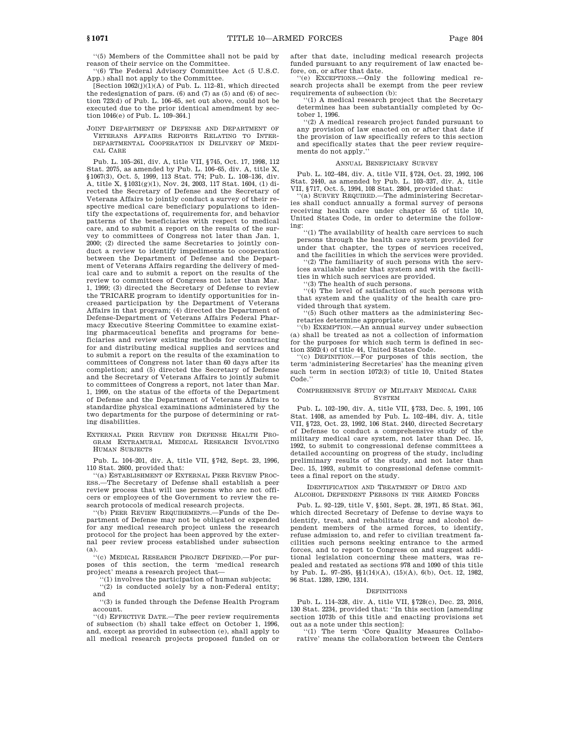''(5) Members of the Committee shall not be paid by reason of their service on the Committee.

''(6) The Federal Advisory Committee Act (5 U.S.C. App.) shall not apply to the Committee.

[Section  $1062(j)(1)(A)$  of Pub. L. 112-81, which directed the redesignation of pars.  $(6)$  and  $(7)$  as  $(5)$  and  $(6)$  of section 723(d) of Pub. L. 106–65, set out above, could not be executed due to the prior identical amendment by section 1046(e) of Pub. L. 109–364.]

JOINT DEPARTMENT OF DEFENSE AND DEPARTMENT OF VETERANS AFFAIRS REPORTS RELATING TO INTER-DEPARTMENTAL COOPERATION IN DELIVERY OF MEDI-CAL CARE

Pub. L. 105–261, div. A, title VII, §745, Oct. 17, 1998, 112 Stat. 2075, as amended by Pub. L. 106–65, div. A, title X, §1067(3), Oct. 5, 1999, 113 Stat. 774; Pub. L. 108–136, div. A, title X, §1031(g)(1), Nov. 24, 2003, 117 Stat. 1604, (1) directed the Secretary of Defense and the Secretary of Veterans Affairs to jointly conduct a survey of their respective medical care beneficiary populations to identify the expectations of, requirements for, and behavior patterns of the beneficiaries with respect to medical care, and to submit a report on the results of the survey to committees of Congress not later than Jan. 1, 2000; (2) directed the same Secretaries to jointly conduct a review to identify impediments to cooperation between the Department of Defense and the Department of Veterans Affairs regarding the delivery of medical care and to submit a report on the results of the review to committees of Congress not later than Mar. 1, 1999; (3) directed the Secretary of Defense to review the TRICARE program to identify opportunities for increased participation by the Department of Veterans Affairs in that program; (4) directed the Department of Defense-Department of Veterans Affairs Federal Pharmacy Executive Steering Committee to examine existing pharmaceutical benefits and programs for beneficiaries and review existing methods for contracting for and distributing medical supplies and services and to submit a report on the results of the examination to committees of Congress not later than 60 days after its completion; and (5) directed the Secretary of Defense and the Secretary of Veterans Affairs to jointly submit to committees of Congress a report, not later than Mar. 1, 1999, on the status of the efforts of the Department of Defense and the Department of Veterans Affairs to standardize physical examinations administered by the two departments for the purpose of determining or rating disabilities.

EXTERNAL PEER REVIEW FOR DEFENSE HEALTH PRO-GRAM EXTRAMURAL MEDICAL RESEARCH INVOLVING HUMAN SUBJECTS

Pub. L. 104–201, div. A, title VII, §742, Sept. 23, 1996, 110 Stat. 2600, provided that:

''(a) ESTABLISHMENT OF EXTERNAL PEER REVIEW PROC-ESS.—The Secretary of Defense shall establish a peer review process that will use persons who are not officers or employees of the Government to review the research protocols of medical research projects.

''(b) PEER REVIEW REQUIREMENTS.—Funds of the Department of Defense may not be obligated or expended for any medical research project unless the research protocol for the project has been approved by the external peer review process established under subsection (a).

''(c) MEDICAL RESEARCH PROJECT DEFINED.—For purposes of this section, the term 'medical research project' means a research project that—

''(1) involves the participation of human subjects;

''(2) is conducted solely by a non-Federal entity; and

''(3) is funded through the Defense Health Program account.

''(d) EFFECTIVE DATE.—The peer review requirements of subsection (b) shall take effect on October 1, 1996, and, except as provided in subsection (e), shall apply to all medical research projects proposed funded on or

after that date, including medical research projects funded pursuant to any requirement of law enacted before, on, or after that date.

''(e) EXCEPTIONS.—Only the following medical research projects shall be exempt from the peer review requirements of subsection (b):

''(1) A medical research project that the Secretary determines has been substantially completed by October 1, 1996.

''(2) A medical research project funded pursuant to any provision of law enacted on or after that date if the provision of law specifically refers to this section and specifically states that the peer review requirements do not apply.''

#### ANNUAL BENEFICIARY SURVEY

Pub. L. 102–484, div. A, title VII, §724, Oct. 23, 1992, 106 Stat. 2440, as amended by Pub. L. 103–337, div. A, title VII, §717, Oct. 5, 1994, 108 Stat. 2804, provided that:

''(a) SURVEY REQUIRED.—The administering Secretaries shall conduct annually a formal survey of persons receiving health care under chapter 55 of title 10, United States Code, in order to determine the following:

''(1) The availability of health care services to such persons through the health care system provided for under that chapter, the types of services received, and the facilities in which the services were provided.

''(2) The familiarity of such persons with the services available under that system and with the facilities in which such services are provided.

''(3) The health of such persons.

''(4) The level of satisfaction of such persons with that system and the quality of the health care provided through that system.

''(5) Such other matters as the administering Secretaries determine appropriate.

''(b) EXEMPTION.—An annual survey under subsection (a) shall be treated as not a collection of information for the purposes for which such term is defined in section 3502(4) of title 44, United States Code.

''(c) DEFINITION.—For purposes of this section, the term 'administering Secretaries' has the meaning given such term in section 1072(3) of title 10, United States Code.''

#### COMPREHENSIVE STUDY OF MILITARY MEDICAL CARE **SYSTEM**

Pub. L. 102–190, div. A, title VII, §733, Dec. 5, 1991, 105 Stat. 1408, as amended by Pub. L. 102–484, div. A, title VII, §723, Oct. 23, 1992, 106 Stat. 2440, directed Secretary of Defense to conduct a comprehensive study of the military medical care system, not later than Dec. 15, 1992, to submit to congressional defense committees a detailed accounting on progress of the study, including preliminary results of the study, and not later than Dec. 15, 1993, submit to congressional defense committees a final report on the study.

IDENTIFICATION AND TREATMENT OF DRUG AND ALCOHOL DEPENDENT PERSONS IN THE ARMED FORCES

Pub. L. 92–129, title V, §501, Sept. 28, 1971, 85 Stat. 361, which directed Secretary of Defense to devise ways to identify, treat, and rehabilitate drug and alcohol dependent members of the armed forces, to identify, refuse admission to, and refer to civilian treatment facilities such persons seeking entrance to the armed forces, and to report to Congress on and suggest additional legislation concerning these matters, was repealed and restated as sections 978 and 1090 of this title by Pub. L. 97–295, §§1(14)(A), (15)(A), 6(b), Oct. 12, 1982, 96 Stat. 1289, 1290, 1314.

#### **DEFINITIONS**

Pub. L. 114–328, div. A, title VII, §728(c), Dec. 23, 2016, 130 Stat. 2234, provided that: ''In this section [amending section 1073b of this title and enacting provisions set out as a note under this section]: ''(1) The term 'Core Quality Measures Collabo-

rative' means the collaboration between the Centers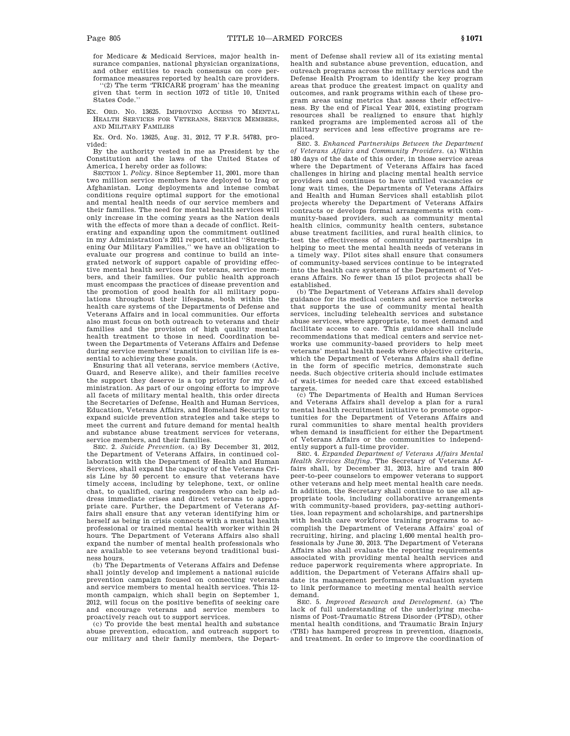for Medicare & Medicaid Services, major health insurance companies, national physician organizations, and other entities to reach consensus on core performance measures reported by health care providers. ''(2) The term 'TRICARE program' has the meaning given that term in section 1072 of title 10, United States Code.''

EX. ORD. NO. 13625. IMPROVING ACCESS TO MENTAL HEALTH SERVICES FOR VETERANS, SERVICE MEMBERS, AND MILITARY FAMILIES

Ex. Ord. No. 13625, Aug. 31, 2012, 77 F.R. 54783, provided:

By the authority vested in me as President by the Constitution and the laws of the United States of America, I hereby order as follows:

SECTION 1. *Policy*. Since September 11, 2001, more than two million service members have deployed to Iraq or Afghanistan. Long deployments and intense combat conditions require optimal support for the emotional and mental health needs of our service members and their families. The need for mental health services will only increase in the coming years as the Nation deals with the effects of more than a decade of conflict. Reiterating and expanding upon the commitment outlined in my Administration's 2011 report, entitled ''Strengthening Our Military Families,'' we have an obligation to evaluate our progress and continue to build an integrated network of support capable of providing effective mental health services for veterans, service members, and their families. Our public health approach must encompass the practices of disease prevention and the promotion of good health for all military populations throughout their lifespans, both within the health care systems of the Departments of Defense and Veterans Affairs and in local communities. Our efforts also must focus on both outreach to veterans and their families and the provision of high quality mental health treatment to those in need. Coordination between the Departments of Veterans Affairs and Defense during service members' transition to civilian life is essential to achieving these goals.

Ensuring that all veterans, service members (Active, Guard, and Reserve alike), and their families receive the support they deserve is a top priority for my Administration. As part of our ongoing efforts to improve all facets of military mental health, this order directs the Secretaries of Defense, Health and Human Services, Education, Veterans Affairs, and Homeland Security to expand suicide prevention strategies and take steps to meet the current and future demand for mental health and substance abuse treatment services for veterans,

service members, and their families. SEC. 2. *Suicide Prevention*. (a) By December 31, 2012, the Department of Veterans Affairs, in continued collaboration with the Department of Health and Human Services, shall expand the capacity of the Veterans Crisis Line by 50 percent to ensure that veterans have timely access, including by telephone, text, or online chat, to qualified, caring responders who can help address immediate crises and direct veterans to appropriate care. Further, the Department of Veterans Affairs shall ensure that any veteran identifying him or herself as being in crisis connects with a mental health professional or trained mental health worker within 24 hours. The Department of Veterans Affairs also shall expand the number of mental health professionals who are available to see veterans beyond traditional business hours.

(b) The Departments of Veterans Affairs and Defense shall jointly develop and implement a national suicide prevention campaign focused on connecting veterans and service members to mental health services. This 12 month campaign, which shall begin on September 1, 2012, will focus on the positive benefits of seeking care and encourage veterans and service members to proactively reach out to support services.

(c) To provide the best mental health and substance abuse prevention, education, and outreach support to our military and their family members, the Department of Defense shall review all of its existing mental health and substance abuse prevention, education, and outreach programs across the military services and the Defense Health Program to identify the key program areas that produce the greatest impact on quality and outcomes, and rank programs within each of these program areas using metrics that assess their effectiveness. By the end of Fiscal Year 2014, existing program resources shall be realigned to ensure that highly ranked programs are implemented across all of the military services and less effective programs are replaced.

SEC. 3. *Enhanced Partnerships Between the Department of Veterans Affairs and Community Providers*. (a) Within 180 days of the date of this order, in those service areas where the Department of Veterans Affairs has faced challenges in hiring and placing mental health service providers and continues to have unfilled vacancies or long wait times, the Departments of Veterans Affairs and Health and Human Services shall establish pilot projects whereby the Department of Veterans Affairs contracts or develops formal arrangements with community-based providers, such as community mental health clinics, community health centers, substance abuse treatment facilities, and rural health clinics, to test the effectiveness of community partnerships in helping to meet the mental health needs of veterans in a timely way. Pilot sites shall ensure that consumers of community-based services continue to be integrated into the health care systems of the Department of Veterans Affairs. No fewer than 15 pilot projects shall be established.

(b) The Department of Veterans Affairs shall develop guidance for its medical centers and service networks that supports the use of community mental health services, including telehealth services and substance abuse services, where appropriate, to meet demand and facilitate access to care. This guidance shall include recommendations that medical centers and service networks use community-based providers to help meet veterans' mental health needs where objective criteria, which the Department of Veterans Affairs shall define in the form of specific metrics, demonstrate such needs. Such objective criteria should include estimates of wait-times for needed care that exceed established targets.

(c) The Departments of Health and Human Services and Veterans Affairs shall develop a plan for a rural mental health recruitment initiative to promote opportunities for the Department of Veterans Affairs and rural communities to share mental health providers when demand is insufficient for either the Department of Veterans Affairs or the communities to independently support a full-time provider.

SEC. 4. *Expanded Department of Veterans Affairs Mental Health Services Staffing*. The Secretary of Veterans Affairs shall, by December 31, 2013, hire and train 800 peer-to-peer counselors to empower veterans to support other veterans and help meet mental health care needs. In addition, the Secretary shall continue to use all appropriate tools, including collaborative arrangements with community-based providers, pay-setting authorities, loan repayment and scholarships, and partnerships with health care workforce training programs to accomplish the Department of Veterans Affairs' goal of recruiting, hiring, and placing 1,600 mental health professionals by June 30, 2013. The Department of Veterans Affairs also shall evaluate the reporting requirements associated with providing mental health services and reduce paperwork requirements where appropriate. In addition, the Department of Veterans Affairs shall update its management performance evaluation system to link performance to meeting mental health service demand.

SEC. 5. *Improved Research and Development*. (a) The lack of full understanding of the underlying mechanisms of Post-Traumatic Stress Disorder (PTSD), other mental health conditions, and Traumatic Brain Injury (TBI) has hampered progress in prevention, diagnosis, and treatment. In order to improve the coordination of